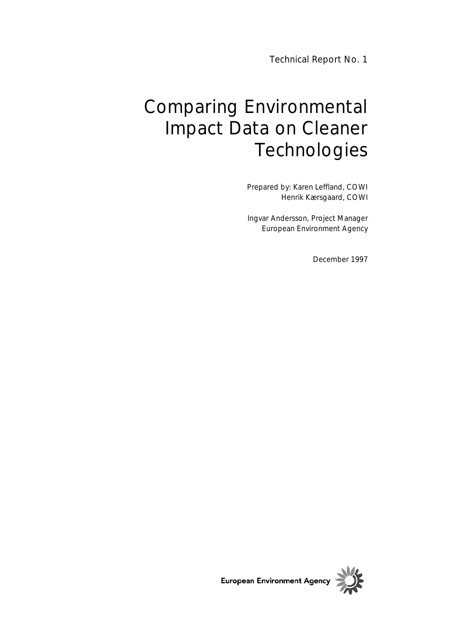Technical Report No. 1

# Comparing Environmental Impact Data on Cleaner **Technologies**

Prepared by: Karen Leffland, COWI Henrik Kærsgaard, COWI

Ingvar Andersson, Project Manager European Environment Agency

December 1997

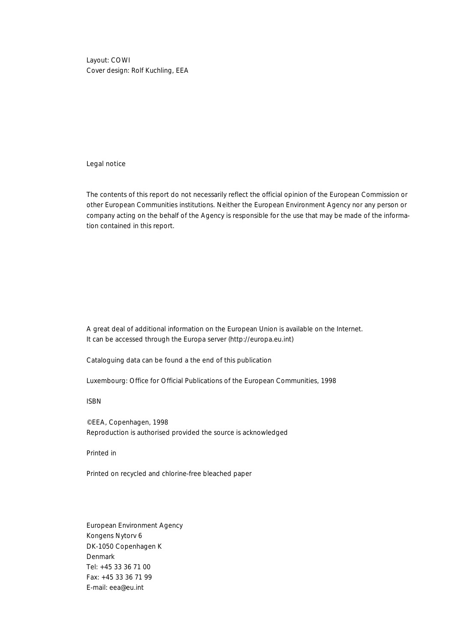Layout: COWI Cover design: Rolf Kuchling, EEA

#### Legal notice

The contents of this report do not necessarily reflect the official opinion of the European Commission or other European Communities institutions. Neither the European Environment Agency nor any person or company acting on the behalf of the Agency is responsible for the use that may be made of the information contained in this report.

A great deal of additional information on the European Union is available on the Internet. It can be accessed through the Europa server (http://europa.eu.int)

Cataloguing data can be found a the end of this publication

Luxembourg: Office for Official Publications of the European Communities, 1998

ISBN

©EEA, Copenhagen, 1998 Reproduction is authorised provided the source is acknowledged

Printed in

Printed on recycled and chlorine-free bleached paper

European Environment Agency Kongens Nytorv 6 DK-1050 Copenhagen K Denmark Tel: +45 33 36 71 00 Fax: +45 33 36 71 99 E-mail: eea@eu.int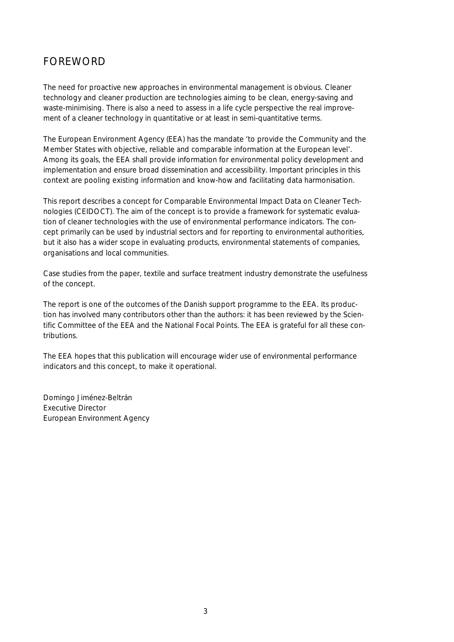# FOREWORD

The need for proactive new approaches in environmental management is obvious. Cleaner technology and cleaner production are technologies aiming to be clean, energy-saving and waste-minimising. There is also a need to assess in a life cycle perspective the real improvement of a cleaner technology in quantitative or at least in semi-quantitative terms.

The European Environment Agency (EEA) has the mandate 'to provide the Community and the Member States with objective, reliable and comparable information at the European level'. Among its goals, the EEA shall provide information for environmental policy development and implementation and ensure broad dissemination and accessibility. Important principles in this context are pooling existing information and know-how and facilitating data harmonisation.

This report describes a concept for Comparable Environmental Impact Data on Cleaner Technologies (CEIDOCT). The aim of the concept is to provide a framework for systematic evaluation of cleaner technologies with the use of environmental performance indicators. The concept primarily can be used by industrial sectors and for reporting to environmental authorities, but it also has a wider scope in evaluating products, environmental statements of companies, organisations and local communities.

Case studies from the paper, textile and surface treatment industry demonstrate the usefulness of the concept.

The report is one of the outcomes of the Danish support programme to the EEA. Its production has involved many contributors other than the authors: it has been reviewed by the Scientific Committee of the EEA and the National Focal Points. The EEA is grateful for all these contributions.

The EEA hopes that this publication will encourage wider use of environmental performance indicators and this concept, to make it operational.

Domingo Jiménez-Beltrán Executive Director European Environment Agency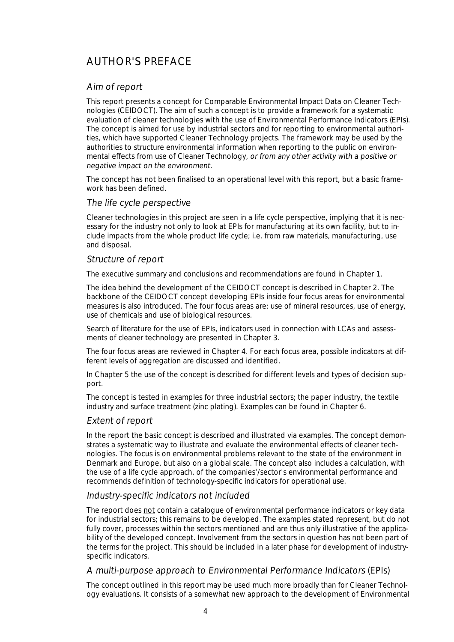# AUTHOR'S PREFACE

#### Aim of report

This report presents a concept for Comparable Environmental Impact Data on Cleaner Technologies (CEIDOCT). The aim of such a concept is to provide a framework for a systematic evaluation of cleaner technologies with the use of Environmental Performance Indicators (EPIs). The concept is aimed for use by industrial sectors and for reporting to environmental authorities, which have supported Cleaner Technology projects. The framework may be used by the authorities to structure environmental information when reporting to the public on environmental effects from use of Cleaner Technology, or from any other activity with a positive or negative impact on the environment.

The concept has not been finalised to an operational level with this report, but a basic framework has been defined.

#### The life cycle perspective

Cleaner technologies in this project are seen in a life cycle perspective, implying that it is necessary for the industry not only to look at EPIs for manufacturing at its own facility, but to include impacts from the whole product life cycle; i.e. from raw materials, manufacturing, use and disposal.

#### Structure of report

The executive summary and conclusions and recommendations are found in Chapter 1.

The idea behind the development of the CEIDOCT concept is described in Chapter 2. The backbone of the CEIDOCT concept developing EPIs inside four focus areas for environmental measures is also introduced. The four focus areas are: use of mineral resources, use of energy, use of chemicals and use of biological resources.

Search of literature for the use of EPIs, indicators used in connection with LCAs and assessments of cleaner technology are presented in Chapter 3.

The four focus areas are reviewed in Chapter 4. For each focus area, possible indicators at different levels of aggregation are discussed and identified.

In Chapter 5 the use of the concept is described for different levels and types of decision support.

The concept is tested in examples for three industrial sectors; the paper industry, the textile industry and surface treatment (zinc plating). Examples can be found in Chapter 6.

#### Extent of report

In the report the basic concept is described and illustrated via examples. The concept demonstrates a systematic way to illustrate and evaluate the environmental effects of cleaner technologies. The focus is on environmental problems relevant to the state of the environment in Denmark and Europe, but also on a global scale. The concept also includes a calculation, with the use of a life cycle approach, of the companies'/sector's environmental performance and recommends definition of technology-specific indicators for operational use.

#### Industry-specific indicators not included

The report does not contain a catalogue of environmental performance indicators or key data for industrial sectors; this remains to be developed. The examples stated represent, but do not fully cover, processes within the sectors mentioned and are thus only illustrative of the applicability of the developed concept. Involvement from the sectors in question has not been part of the terms for the project. This should be included in a later phase for development of industryspecific indicators.

#### A multi-purpose approach to Environmental Performance Indicators (EPIs)

The concept outlined in this report may be used much more broadly than for Cleaner Technology evaluations. It consists of a somewhat new approach to the development of Environmental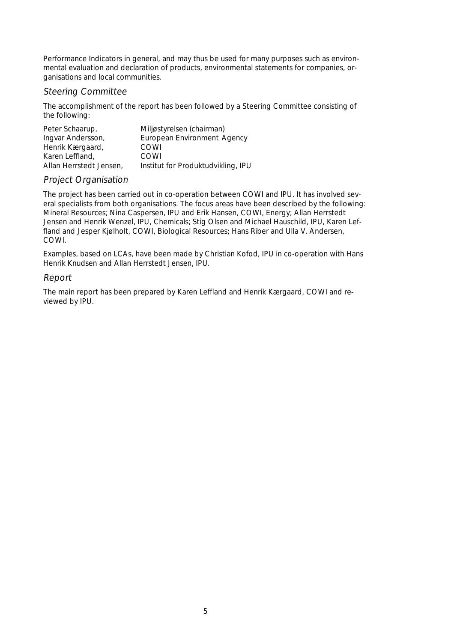Performance Indicators in general, and may thus be used for many purposes such as environmental evaluation and declaration of products, environmental statements for companies, organisations and local communities.

#### Steering Committee

The accomplishment of the report has been followed by a Steering Committee consisting of the following:

| Peter Schaarup,         | Miljøstyrelsen (chairman)          |
|-------------------------|------------------------------------|
| Ingvar Andersson,       | European Environment Agency        |
| Henrik Kærgaard,        | COWI                               |
| Karen Leffland.         | COWL                               |
| Allan Herrstedt Jensen, | Institut for Produktudvikling, IPU |

#### Project Organisation

The project has been carried out in co-operation between COWI and IPU. It has involved several specialists from both organisations. The focus areas have been described by the following: Mineral Resources; Nina Caspersen, IPU and Erik Hansen, COWI, Energy; Allan Herrstedt Jensen and Henrik Wenzel, IPU, Chemicals; Stig Olsen and Michael Hauschild, IPU, Karen Leffland and Jesper Kjølholt, COWI, Biological Resources; Hans Riber and Ulla V. Andersen, COWI.

Examples, based on LCAs, have been made by Christian Kofod, IPU in co-operation with Hans Henrik Knudsen and Allan Herrstedt Jensen, IPU.

#### Report

The main report has been prepared by Karen Leffland and Henrik Kærgaard, COWI and reviewed by IPU.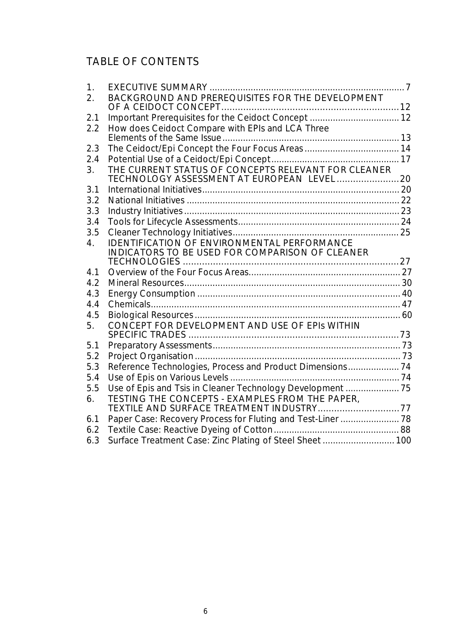# TABLE OF CONTENTS

| 1.  |                                                                                                   |  |
|-----|---------------------------------------------------------------------------------------------------|--|
| 2.  | BACKGROUND AND PREREQUISITES FOR THE DEVELOPMENT                                                  |  |
|     |                                                                                                   |  |
| 2.1 |                                                                                                   |  |
| 2.2 | How does Ceidoct Compare with EPIs and LCA Three                                                  |  |
|     |                                                                                                   |  |
| 2.3 |                                                                                                   |  |
| 2.4 |                                                                                                   |  |
| 3.  | THE CURRENT STATUS OF CONCEPTS RELEVANT FOR CLEANER<br>TECHNOLOGY ASSESSMENT AT EUROPEAN LEVEL 20 |  |
| 3.1 |                                                                                                   |  |
| 3.2 |                                                                                                   |  |
| 3.3 |                                                                                                   |  |
| 3.4 |                                                                                                   |  |
| 3.5 |                                                                                                   |  |
| 4.  | <b>IDENTIFICATION OF ENVIRONMENTAL PERFORMANCE</b>                                                |  |
|     | <b>INDICATORS TO BE USED FOR COMPARISON OF CLEANER</b>                                            |  |
|     |                                                                                                   |  |
| 4.1 |                                                                                                   |  |
| 4.2 |                                                                                                   |  |
| 4.3 |                                                                                                   |  |
| 4.4 |                                                                                                   |  |
| 4.5 |                                                                                                   |  |
| 5.  | CONCEPT FOR DEVELOPMENT AND USE OF EPIs WITHIN                                                    |  |
|     |                                                                                                   |  |
| 5.1 |                                                                                                   |  |
| 5.2 |                                                                                                   |  |
| 5.3 | Reference Technologies, Process and Product Dimensions 74                                         |  |
| 5.4 |                                                                                                   |  |
| 5.5 | Use of Epis and Tsis in Cleaner Technology Development  75                                        |  |
| 6.  | TESTING THE CONCEPTS - EXAMPLES FROM THE PAPER,                                                   |  |
|     | TEXTILE AND SURFACE TREATMENT INDUSTRY77                                                          |  |
| 6.1 | Paper Case: Recovery Process for Fluting and Test-Liner  78                                       |  |
| 6.2 |                                                                                                   |  |
| 6.3 | Surface Treatment Case: Zinc Plating of Steel Sheet  100                                          |  |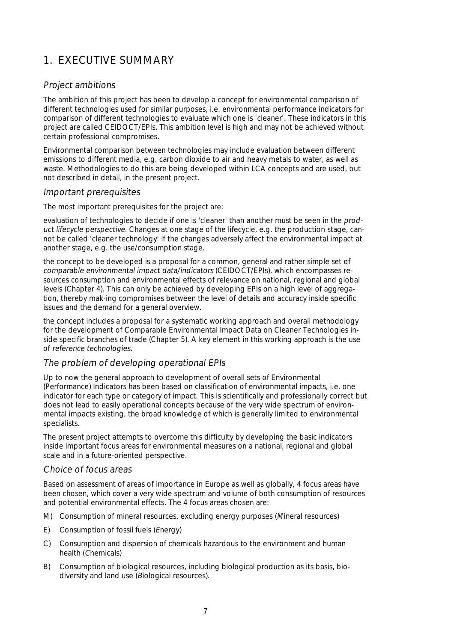# 1. EXECUTIVE SUMMARY

#### Project ambitions

The ambition of this project has been to develop a concept for environmental comparison of different technologies used for similar purposes, i.e. environmental performance indicators for comparison of different technologies to evaluate which one is 'cleaner'. These indicators in this project are called CEIDOCT/EPIs. This ambition level is high and may not be achieved without certain professional compromises.

Environmental comparison between technologies may include evaluation between different emissions to different media, e.g. carbon dioxide to air and heavy metals to water, as well as waste. Methodologies to do this are being developed within LCA concepts and are used, but not described in detail, in the present project.

#### Important prerequisites

The most important prerequisites for the project are:

evaluation of technologies to decide if one is 'cleaner' than another must be seen in the product lifecycle perspective. Changes at one stage of the lifecycle, e.g. the production stage, cannot be called 'cleaner technology' if the changes adversely affect the environmental impact at another stage, e.g. the use/consumption stage.

the concept to be developed is a proposal for a common, general and rather simple set of comparable environmental impact data/indicators (CEIDOCT/EPIs), which encompasses resources consumption and environmental effects of relevance on national, regional and global levels (Chapter 4). This can only be achieved by developing EPIs on a high level of aggregation, thereby mak-ing compromises between the level of details and accuracy inside specific issues and the demand for a general overview.

the concept includes a proposal for a systematic working approach and overall methodology for the development of Comparable Environmental Impact Data on Cleaner Technologies inside specific branches of trade (Chapter 5). A key element in this working approach is the use of reference technologies.

#### The problem of developing operational EPIs

Up to now the general approach to development of overall sets of Environmental (Performance) Indicators has been based on classification of environmental impacts, i.e. one indicator for each type or category of impact. This is scientifically and professionally correct but does not lead to easily operational concepts because of the very wide spectrum of environmental impacts existing, the broad knowledge of which is generally limited to environmental specialists.

The present project attempts to overcome this difficulty by developing the basic indicators inside important focus areas for environmental measures on a national, regional and global scale and in a future-oriented perspective.

#### Choice of focus areas

Based on assessment of areas of importance in Europe as well as globally, 4 focus areas have been chosen, which cover a very wide spectrum and volume of both consumption of resources and potential environmental effects. The 4 focus areas chosen are:

- M) Consumption of mineral resources, excluding energy purposes (Mineral resources)
- E) Consumption of fossil fuels (Energy)
- C) Consumption and dispersion of chemicals hazardous to the environment and human health (Chemicals)
- B) Consumption of biological resources, including biological production as its basis, biodiversity and land use (Biological resources).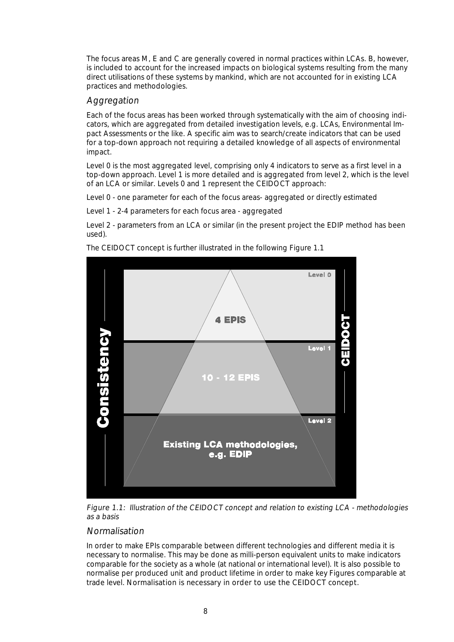The focus areas M, E and C are generally covered in normal practices within LCAs. B, however, is included to account for the increased impacts on biological systems resulting from the many direct utilisations of these systems by mankind, which are not accounted for in existing LCA practices and methodologies.

#### Aggregation

Each of the focus areas has been worked through systematically with the aim of choosing indicators, which are aggregated from detailed investigation levels, e.g. LCAs, Environmental Impact Assessments or the like. A specific aim was to search/create indicators that can be used for a top-down approach not requiring a detailed knowledge of all aspects of environmental impact.

Level 0 is the most aggregated level, comprising only 4 indicators to serve as a first level in a top-down approach. Level 1 is more detailed and is aggregated from level 2, which is the level of an LCA or similar. Levels 0 and 1 represent the CEIDOCT approach:

Level 0 - one parameter for each of the focus areas- aggregated or directly estimated

Level 1 - 2-4 parameters for each focus area - aggregated

Level 2 - parameters from an LCA or similar (in the present project the EDIP method has been used).



The CEIDOCT concept is further illustrated in the following Figure 1.1

Figure 1.1: Illustration of the CEIDOCT concept and relation to existing LCA - methodologies as a basis

#### Normalisation

In order to make EPIs comparable between different technologies and different media it is necessary to normalise. This may be done as milli-person equivalent units to make indicators comparable for the society as a whole (at national or international level). It is also possible to normalise per produced unit and product lifetime in order to make key Figures comparable at trade level. Normalisation is necessary in order to use the CEIDOCT concept.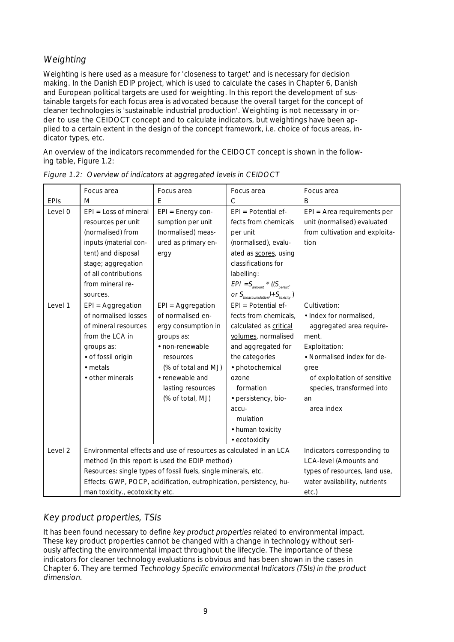### Weighting

Weighting is here used as a measure for 'closeness to target' and is necessary for decision making. In the Danish EDIP project, which is used to calculate the cases in Chapter 6, Danish and European political targets are used for weighting. In this report the development of sustainable targets for each focus area is advocated because the overall target for the concept of cleaner technologies is 'sustainable industrial production'. Weighting is not necessary in order to use the CEIDOCT concept and to calculate indicators, but weightings have been applied to a certain extent in the design of the concept framework, i.e. choice of focus areas, indicator types, etc.

An overview of the indicators recommended for the CEIDOCT concept is shown in the following table, Figure 1.2:

|                    | Focus area                                                          | Focus area                                                         | Focus area                                           | Focus area                     |
|--------------------|---------------------------------------------------------------------|--------------------------------------------------------------------|------------------------------------------------------|--------------------------------|
| <b>EPIs</b>        | M                                                                   | $\mathsf{C}$<br>Е                                                  |                                                      | B                              |
| Level 0            | $EPI = Loss of mineral$                                             | $EPI = Energy con-$                                                | $EPI = Potential$                                    | EPI = Area requirements per    |
|                    | resources per unit                                                  | sumption per unit                                                  | fects from chemicals                                 | unit (normalised) evaluated    |
|                    | (normalised) from                                                   | (normalised) meas-                                                 | per unit                                             | from cultivation and exploita- |
|                    | inputs (material con-                                               | ured as primary en-                                                | (normalised), evalu-                                 | tion                           |
|                    | tent) and disposal                                                  | ergy                                                               | ated as scores, using                                |                                |
|                    | stage; aggregation                                                  |                                                                    | classifications for                                  |                                |
|                    | of all contributions                                                |                                                                    | labelling:                                           |                                |
|                    | from mineral re-                                                    |                                                                    | $EPI = S_{amount} * ((S_{persistent})$               |                                |
|                    | sources.                                                            |                                                                    | or $S_{\text{bioacumulation}} + S_{\text{toxicity}}$ |                                |
| Level 1            | $EPI = Aggregation$                                                 | EPI = Aggregation                                                  | $EPI = Potential$                                    | Cultivation:                   |
|                    | of normalised losses                                                | of normalised en-                                                  | fects from chemicals,                                | • Index for normalised,        |
|                    | of mineral resources                                                | ergy consumption in                                                | calculated as critical                               | aggregated area require-       |
|                    | from the LCA in                                                     | groups as:                                                         | volumes, normalised                                  | ment.                          |
|                    | groups as:                                                          | • non-renewable                                                    | and aggregated for                                   | Exploitation:                  |
|                    | · of fossil origin                                                  | resources                                                          | the categories                                       | · Normalised index for de-     |
|                    | $\bullet$ metals                                                    | (% of total and MJ)                                                | · photochemical                                      | gree                           |
|                    | • other minerals                                                    | • renewable and                                                    | ozone                                                | of exploitation of sensitive   |
|                    |                                                                     | lasting resources                                                  | formation                                            | species, transformed into      |
|                    |                                                                     | (% of total, MJ)                                                   | · persistency, bio-                                  | an                             |
|                    |                                                                     |                                                                    | accu-                                                | area index                     |
|                    |                                                                     |                                                                    | mulation                                             |                                |
|                    |                                                                     |                                                                    | • human toxicity                                     |                                |
|                    |                                                                     |                                                                    | $\bullet$ ecotoxicity                                |                                |
| Level <sub>2</sub> |                                                                     | Environmental effects and use of resources as calculated in an LCA |                                                      | Indicators corresponding to    |
|                    |                                                                     | method (in this report is used the EDIP method)                    |                                                      | <b>LCA-level (Amounts and</b>  |
|                    |                                                                     | Resources: single types of fossil fuels, single minerals, etc.     |                                                      | types of resources, land use,  |
|                    | Effects: GWP, POCP, acidification, eutrophication, persistency, hu- | water availability, nutrients                                      |                                                      |                                |
|                    | man toxicity., ecotoxicity etc.                                     | etc.)                                                              |                                                      |                                |

Figure 1.2: Overview of indicators at aggregated levels in CEIDOCT

### Key product properties, TSIs

It has been found necessary to define key product properties related to environmental impact. These key product properties cannot be changed with a change in technology without seriously affecting the environmental impact throughout the lifecycle. The importance of these indicators for cleaner technology evaluations is obvious and has been shown in the cases in Chapter 6. They are termed Technology Specific environmental Indicators (TSIs) in the product dimension.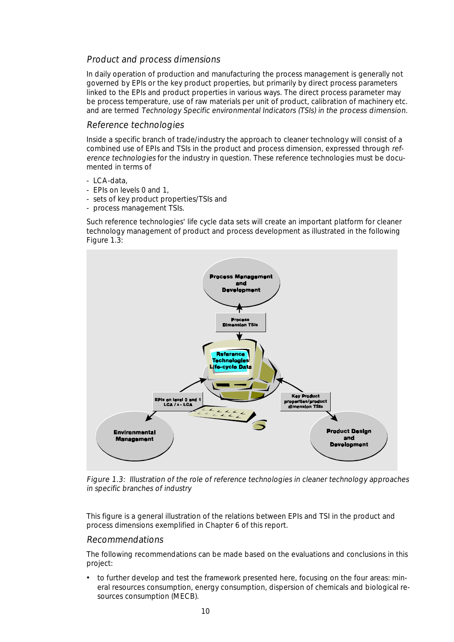#### Product and process dimensions

In daily operation of production and manufacturing the process management is generally not governed by EPIs or the key product properties, but primarily by direct process parameters linked to the EPIs and product properties in various ways. The direct process parameter may be process temperature, use of raw materials per unit of product, calibration of machinery etc. and are termed Technology Specific environmental Indicators (TSIs) in the process dimension.

#### Reference technologies

Inside a specific branch of trade/industry the approach to cleaner technology will consist of a combined use of EPIs and TSIs in the product and process dimension, expressed through reference technologies for the industry in question. These reference technologies must be documented in terms of

- LCA-data,
- EPIs on levels 0 and 1,
- sets of key product properties/TSIs and
- process management TSIs.

Such reference technologies' life cycle data sets will create an important platform for cleaner technology management of product and process development as illustrated in the following Figure 1.3:



Figure 1.3: Illustration of the role of reference technologies in cleaner technology approaches in specific branches of industry

This figure is a general illustration of the relations between EPIs and TSI in the product and process dimensions exemplified in Chapter 6 of this report.

#### Recommendations

The following recommendations can be made based on the evaluations and conclusions in this project:

• to further develop and test the framework presented here, focusing on the four areas: mineral resources consumption, energy consumption, dispersion of chemicals and biological resources consumption (MECB).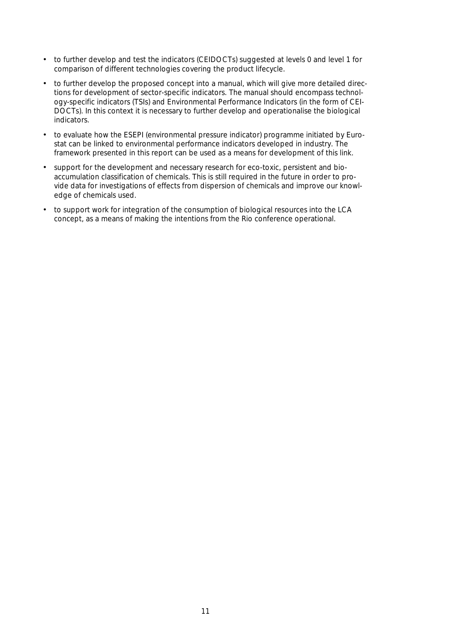- to further develop and test the indicators (CEIDOCTs) suggested at levels 0 and level 1 for comparison of different technologies covering the product lifecycle.
- to further develop the proposed concept into a manual, which will give more detailed directions for development of sector-specific indicators. The manual should encompass technology-specific indicators (TSIs) and Environmental Performance Indicators (in the form of CEI-DOCTs). In this context it is necessary to further develop and operationalise the biological indicators.
- to evaluate how the ESEPI (environmental pressure indicator) programme initiated by Eurostat can be linked to environmental performance indicators developed in industry. The framework presented in this report can be used as a means for development of this link.
- support for the development and necessary research for eco-toxic, persistent and bioaccumulation classification of chemicals. This is still required in the future in order to provide data for investigations of effects from dispersion of chemicals and improve our knowledge of chemicals used.
- to support work for integration of the consumption of biological resources into the LCA concept, as a means of making the intentions from the Rio conference operational.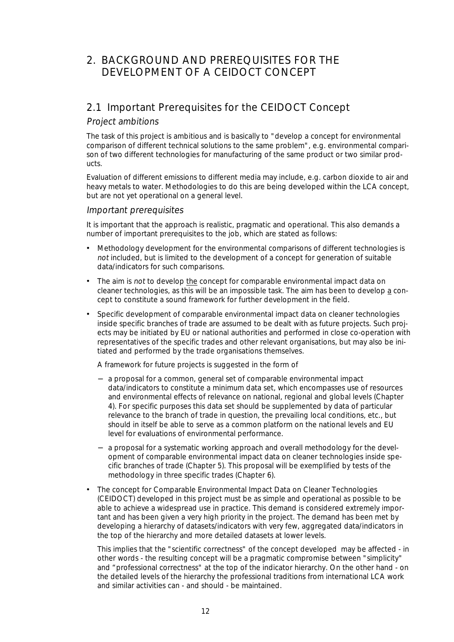# 2. BACKGROUND AND PREREQUISITES FOR THE DEVELOPMENT OF A CEIDOCT CONCEPT

# 2.1 Important Prerequisites for the CEIDOCT Concept

#### Project ambitions

The task of this project is ambitious and is basically to "develop a concept for environmental comparison of different technical solutions to the same problem", e.g. environmental comparison of two different technologies for manufacturing of the same product or two similar products.

Evaluation of different emissions to different media may include, e.g. carbon dioxide to air and heavy metals to water. Methodologies to do this are being developed within the LCA concept, but are not yet operational on a general level.

#### Important prerequisites

It is important that the approach is realistic, pragmatic and operational. This also demands a number of important prerequisites to the job, which are stated as follows:

- Methodology development for the environmental comparisons of different technologies is not included, but is limited to the development of a concept for generation of suitable data/indicators for such comparisons.
- The aim is not to develop the concept for comparable environmental impact data on cleaner technologies, as this will be an impossible task. The aim has been to develop a concept to constitute a sound framework for further development in the field.
- Specific development of comparable environmental impact data on cleaner technologies inside specific branches of trade are assumed to be dealt with as future projects. Such projects may be initiated by EU or national authorities and performed in close co-operation with representatives of the specific trades and other relevant organisations, but may also be initiated and performed by the trade organisations themselves.

A framework for future projects is suggested in the form of

- − a proposal for a common, general set of comparable environmental impact data/indicators to constitute a minimum data set, which encompasses use of resources and environmental effects of relevance on national, regional and global levels (Chapter 4). For specific purposes this data set should be supplemented by data of particular relevance to the branch of trade in question, the prevailing local conditions, etc., but should in itself be able to serve as a common platform on the national levels and EU level for evaluations of environmental performance.
- − a proposal for a systematic working approach and overall methodology for the development of comparable environmental impact data on cleaner technologies inside specific branches of trade (Chapter 5). This proposal will be exemplified by tests of the methodology in three specific trades (Chapter 6).
- The concept for Comparable Environmental Impact Data on Cleaner Technologies (CEIDOCT) developed in this project must be as simple and operational as possible to be able to achieve a widespread use in practice. This demand is considered extremely important and has been given a very high priority in the project. The demand has been met by developing a hierarchy of datasets/indicators with very few, aggregated data/indicators in the top of the hierarchy and more detailed datasets at lower levels.

 This implies that the "scientific correctness" of the concept developed may be affected - in other words - the resulting concept will be a pragmatic compromise between "simplicity" and "professional correctness" at the top of the indicator hierarchy. On the other hand - on the detailed levels of the hierarchy the professional traditions from international LCA work and similar activities can - and should - be maintained.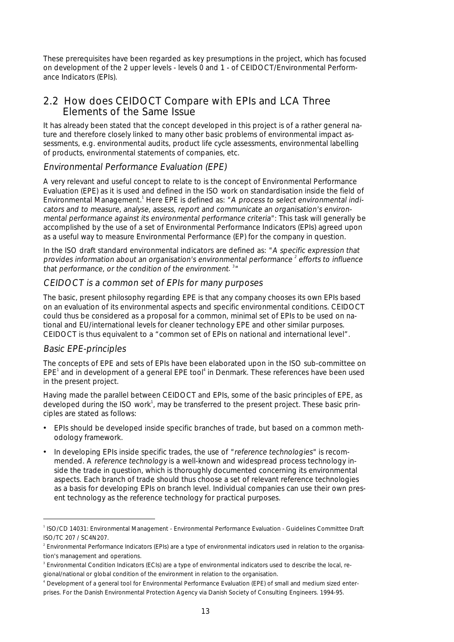These prerequisites have been regarded as key presumptions in the project, which has focused on development of the 2 upper levels - levels 0 and 1 - of CEIDOCT/Environmental Performance Indicators (EPIs).

### 2.2 How does CEIDOCT Compare with EPIs and LCA Three Elements of the Same Issue

It has already been stated that the concept developed in this project is of a rather general nature and therefore closely linked to many other basic problems of environmental impact assessments, e.g. environmental audits, product life cycle assessments, environmental labelling of products, environmental statements of companies, etc.

#### Environmental Performance Evaluation (EPE)

A very relevant and useful concept to relate to is the concept of Environmental Performance Evaluation (EPE) as it is used and defined in the ISO work on standardisation inside the field of Environmental Management.<sup>1</sup> Here EPE is defined as: "A process to select environmental indicators and to measure, analyse, assess, report and communicate an organisation's environmental performance against its environmental performance criteria": This task will generally be accomplished by the use of a set of Environmental Performance Indicators (EPIs) agreed upon as a useful way to measure Environmental Performance (EP) for the company in question.

In the ISO draft standard environmental indicators are defined as: "A specific expression that provides information about an organisation's environmental performance  $^{\scriptscriptstyle 2}$  efforts to influence that performance, or the condition of the environment.<sup>3</sup>

#### CEIDOCT is a common set of EPIs for many purposes

The basic, present philosophy regarding EPE is that any company chooses its own EPIs based on an evaluation of its environmental aspects and specific environmental conditions. CEIDOCT could thus be considered as a proposal for a common, minimal set of EPIs to be used on national and EU/international levels for cleaner technology EPE and other similar purposes. CEIDOCT is thus equivalent to a "common set of EPIs on national and international level".

#### Basic EPE-principles

The concepts of EPE and sets of EPIs have been elaborated upon in the ISO sub-committee on EPE<sup>1</sup> and in development of a general EPE tool<sup>4</sup> in Denmark. These references have been used in the present project.

Having made the parallel between CEIDOCT and EPIs, some of the basic principles of EPE, as developed during the ISO work<sup>1</sup>, may be transferred to the present project. These basic principles are stated as follows:

- EPIs should be developed inside specific branches of trade, but based on a common methodology framework.
- In developing EPIs inside specific trades, the use of "reference technologies" is recommended. A reference technology is a well-known and widespread process technology inside the trade in question, which is thoroughly documented concerning its environmental aspects. Each branch of trade should thus choose a set of relevant reference technologies as a basis for developing EPIs on branch level. Individual companies can use their own present technology as the reference technology for practical purposes.

<sup>—&</sup>lt;br>1 <sup>1</sup> ISO/CD 14031: Environmental Management - Environmental Performance Evaluation - Guidelines Committee Draft ISO/TC 207 / SC4N207.

<sup>&</sup>lt;sup>2</sup> Environmental Performance Indicators (EPIs) are a type of environmental indicators used in relation to the organisation's management and operations.

<sup>&</sup>lt;sup>3</sup> Environmental Condition Indicators (ECIs) are a type of environmental indicators used to describe the local, regional/national or global condition of the environment in relation to the organisation.

<sup>4</sup> Development of a general tool for Environmental Performance Evaluation (EPE) of small and medium sized enterprises. For the Danish Environmental Protection Agency via Danish Society of Consulting Engineers. 1994-95.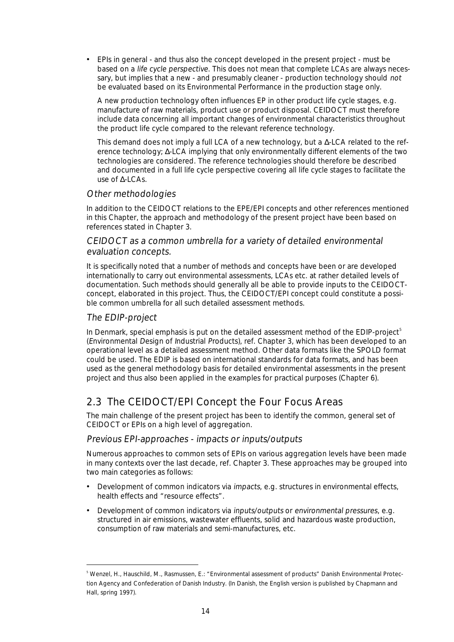• EPIs in general - and thus also the concept developed in the present project - must be based on a life cycle perspective. This does not mean that complete LCAs are always necessary, but implies that a new - and presumably cleaner - production technology should not be evaluated based on its Environmental Performance in the production stage only.

 A new production technology often influences EP in other product life cycle stages, e.g. manufacture of raw materials, product use or product disposal. CEIDOCT must therefore include data concerning all important changes of environmental characteristics throughout the product life cycle compared to the relevant reference technology.

 This demand does not imply a full LCA of a new technology, but a ∆-LCA related to the reference technology; ∆-LCA implying that only environmentally different elements of the two technologies are considered. The reference technologies should therefore be described and documented in a full life cycle perspective covering all life cycle stages to facilitate the use of ∆-LCAs.

#### Other methodologies

In addition to the CEIDOCT relations to the EPE/EPI concepts and other references mentioned in this Chapter, the approach and methodology of the present project have been based on references stated in Chapter 3.

#### CEIDOCT as a common umbrella for a variety of detailed environmental evaluation concepts.

It is specifically noted that a number of methods and concepts have been or are developed internationally to carry out environmental assessments, LCAs etc. at rather detailed levels of documentation. Such methods should generally all be able to provide inputs to the CEIDOCTconcept, elaborated in this project. Thus, the CEIDOCT/EPI concept could constitute a possible common umbrella for all such detailed assessment methods.

#### The EDIP-project

In Denmark, special emphasis is put on the detailed assessment method of the EDIP-project<sup>5</sup> (Environmental Design of Industrial Products), ref. Chapter 3, which has been developed to an operational level as a detailed assessment method. Other data formats like the SPOLD format could be used. The EDIP is based on international standards for data formats, and has been used as the general methodology basis for detailed environmental assessments in the present project and thus also been applied in the examples for practical purposes (Chapter 6).

# 2.3 The CEIDOCT/EPI Concept the Four Focus Areas

The main challenge of the present project has been to identify the common, general set of CEIDOCT or EPIs on a high level of aggregation.

#### Previous EPI-approaches - impacts or inputs/outputs

Numerous approaches to common sets of EPIs on various aggregation levels have been made in many contexts over the last decade, ref. Chapter 3. These approaches may be grouped into two main categories as follows:

- Development of common indicators via impacts, e.g. structures in environmental effects, health effects and "resource effects".
- Development of common indicators via inputs/outputs or environmental pressures, e.g. structured in air emissions, wastewater effluents, solid and hazardous waste production, consumption of raw materials and semi-manufactures, etc.

<sup>—&</sup>lt;br>5 Wenzel, H., Hauschild, M., Rasmussen, E.: "Environmental assessment of products" Danish Environmental Protection Agency and Confederation of Danish Industry. (In Danish, the English version is published by Chapmann and Hall, spring 1997).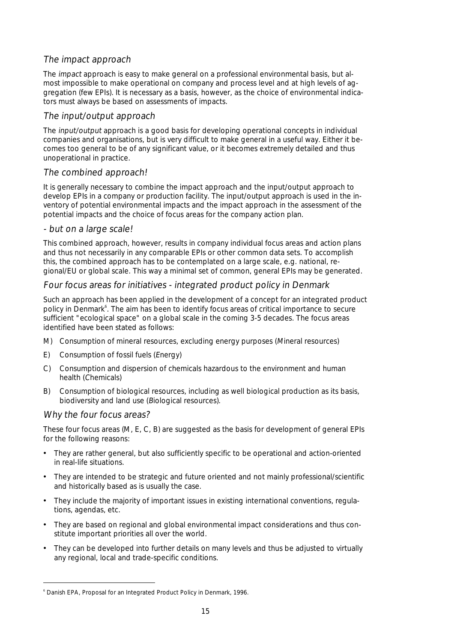#### The impact approach

The impact approach is easy to make general on a professional environmental basis, but almost impossible to make operational on company and process level and at high levels of aggregation (few EPIs). It is necessary as a basis, however, as the choice of environmental indicators must always be based on assessments of impacts.

#### The input/output approach

The input/output approach is a good basis for developing operational concepts in individual companies and organisations, but is very difficult to make general in a useful way. Either it becomes too general to be of any significant value, or it becomes extremely detailed and thus unoperational in practice.

#### The combined approach!

It is generally necessary to combine the impact approach and the input/output approach to develop EPIs in a company or production facility. The input/output approach is used in the inventory of potential environmental impacts and the impact approach in the assessment of the potential impacts and the choice of focus areas for the company action plan.

#### - but on a large scale!

This combined approach, however, results in company individual focus areas and action plans and thus not necessarily in any comparable EPIs or other common data sets. To accomplish this, the combined approach has to be contemplated on a large scale, e.g. national, regional/EU or global scale. This way a minimal set of common, general EPIs may be generated.

#### Four focus areas for initiatives - integrated product policy in Denmark

Such an approach has been applied in the development of a concept for an integrated product policy in Denmark<sup>6</sup>. The aim has been to identify focus areas of critical importance to secure sufficient "ecological space" on a global scale in the coming 3-5 decades. The focus areas identified have been stated as follows:

- M) Consumption of mineral resources, excluding energy purposes (Mineral resources)
- E) Consumption of fossil fuels (Energy)
- C) Consumption and dispersion of chemicals hazardous to the environment and human health (Chemicals)
- B) Consumption of biological resources, including as well biological production as its basis, biodiversity and land use (Biological resources).

#### Why the four focus areas?

These four focus areas (M, E, C, B) are suggested as the basis for development of general EPIs for the following reasons:

- They are rather general, but also sufficiently specific to be operational and action-oriented in real-life situations.
- They are intended to be strategic and future oriented and not mainly professional/scientific and historically based as is usually the case.
- They include the majority of important issues in existing international conventions, regulations, agendas, etc.
- They are based on regional and global environmental impact considerations and thus constitute important priorities all over the world.
- They can be developed into further details on many levels and thus be adjusted to virtually any regional, local and trade-specific conditions.

 $\frac{1}{6}$ Danish EPA, Proposal for an Integrated Product Policy in Denmark, 1996.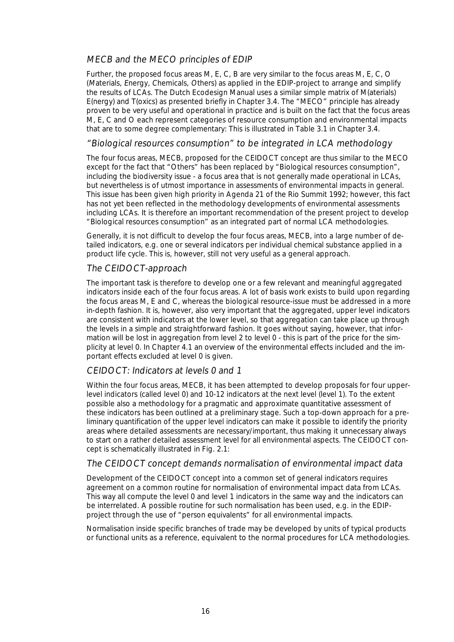#### MECB and the MECO principles of EDIP

Further, the proposed focus areas M, E, C, B are very similar to the focus areas M, E, C, O (Materials, Energy, Chemicals, Others) as applied in the EDIP-project to arrange and simplify the results of LCAs. The Dutch Ecodesign Manual uses a similar simple matrix of M(aterials) E(nergy) and T(oxics) as presented briefly in Chapter 3.4. The "MECO" principle has already proven to be very useful and operational in practice and is built on the fact that the focus areas M, E, C and O each represent categories of resource consumption and environmental impacts that are to some degree complementary: This is illustrated in Table 3.1 in Chapter 3.4.

#### "Biological resources consumption" to be integrated in LCA methodology

The four focus areas, MECB, proposed for the CEIDOCT concept are thus similar to the MECO except for the fact that "Others" has been replaced by "Biological resources consumption", including the biodiversity issue - a focus area that is not generally made operational in LCAs, but nevertheless is of utmost importance in assessments of environmental impacts in general. This issue has been given high priority in Agenda 21 of the Rio Summit 1992; however, this fact has not yet been reflected in the methodology developments of environmental assessments including LCAs. It is therefore an important recommendation of the present project to develop "Biological resources consumption" as an integrated part of normal LCA methodologies.

Generally, it is not difficult to develop the four focus areas, MECB, into a large number of detailed indicators, e.g. one or several indicators per individual chemical substance applied in a product life cycle. This is, however, still not very useful as a general approach.

#### The CEIDOCT-approach

The important task is therefore to develop one or a few relevant and meaningful aggregated indicators inside each of the four focus areas. A lot of basis work exists to build upon regarding the focus areas M, E and C, whereas the biological resource-issue must be addressed in a more in-depth fashion. It is, however, also very important that the aggregated, upper level indicators are consistent with indicators at the lower level, so that aggregation can take place up through the levels in a simple and straightforward fashion. It goes without saying, however, that information will be lost in aggregation from level 2 to level 0 - this is part of the price for the simplicity at level 0. In Chapter 4.1 an overview of the environmental effects included and the important effects excluded at level 0 is given.

#### CEIDOCT: Indicators at levels 0 and 1

Within the four focus areas, MECB, it has been attempted to develop proposals for four upperlevel indicators (called level 0) and 10-12 indicators at the next level (level 1). To the extent possible also a methodology for a pragmatic and approximate quantitative assessment of these indicators has been outlined at a preliminary stage. Such a top-down approach for a preliminary quantification of the upper level indicators can make it possible to identify the priority areas where detailed assessments are necessary/important, thus making it unnecessary always to start on a rather detailed assessment level for all environmental aspects. The CEIDOCT concept is schematically illustrated in Fig. 2.1:

#### The CEIDOCT concept demands normalisation of environmental impact data

Development of the CEIDOCT concept into a common set of general indicators requires agreement on a common routine for normalisation of environmental impact data from LCAs. This way all compute the level 0 and level 1 indicators in the same way and the indicators can be interrelated. A possible routine for such normalisation has been used, e.g. in the EDIPproject through the use of "person equivalents" for all environmental impacts.

Normalisation inside specific branches of trade may be developed by units of typical products or functional units as a reference, equivalent to the normal procedures for LCA methodologies.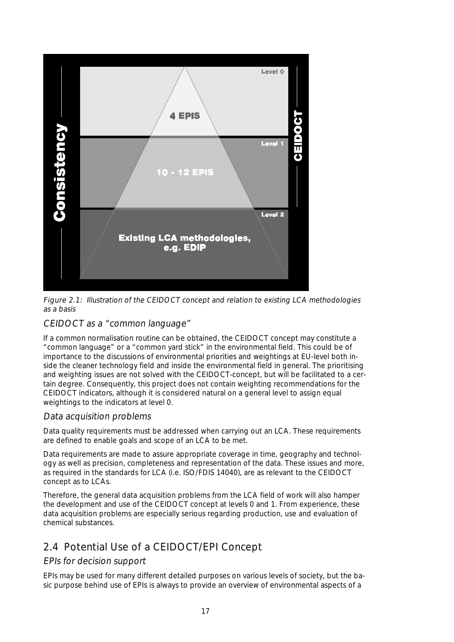

Figure 2.1: Illustration of the CEIDOCT concept and relation to existing LCA methodologies as a basis

#### CEIDOCT as a "common language"

If a common normalisation routine can be obtained, the CEIDOCT concept may constitute a "common language" or a "common yard stick" in the environmental field. This could be of importance to the discussions of environmental priorities and weightings at EU-level both inside the cleaner technology field and inside the environmental field in general. The prioritising and weighting issues are not solved with the CEIDOCT-concept, but will be facilitated to a certain degree. Consequently, this project does not contain weighting recommendations for the CEIDOCT indicators, although it is considered natural on a general level to assign equal weightings to the indicators at level 0.

#### Data acquisition problems

Data quality requirements must be addressed when carrying out an LCA. These requirements are defined to enable goals and scope of an LCA to be met.

Data requirements are made to assure appropriate coverage in time, geography and technology as well as precision, completeness and representation of the data. These issues and more, as required in the standards for LCA (i.e. ISO/FDIS 14040), are as relevant to the CEIDOCT concept as to LCAs.

Therefore, the general data acquisition problems from the LCA field of work will also hamper the development and use of the CEIDOCT concept at levels 0 and 1. From experience, these data acquisition problems are especially serious regarding production, use and evaluation of chemical substances.

# 2.4 Potential Use of a CEIDOCT/EPI Concept

#### EPIs for decision support

EPIs may be used for many different detailed purposes on various levels of society, but the basic purpose behind use of EPIs is always to provide an overview of environmental aspects of a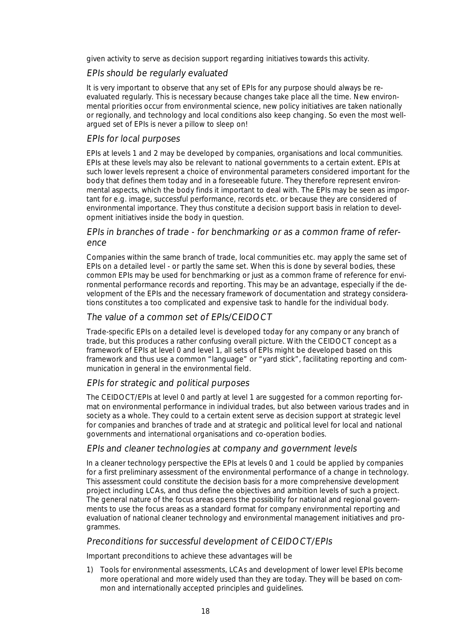given activity to serve as decision support regarding initiatives towards this activity.

#### EPIs should be regularly evaluated

It is very important to observe that any set of EPIs for any purpose should always be reevaluated regularly. This is necessary because changes take place all the time. New environmental priorities occur from environmental science, new policy initiatives are taken nationally or regionally, and technology and local conditions also keep changing. So even the most wellargued set of EPIs is never a pillow to sleep on!

#### EPIs for local purposes

EPIs at levels 1 and 2 may be developed by companies, organisations and local communities. EPIs at these levels may also be relevant to national governments to a certain extent. EPIs at such lower levels represent a choice of environmental parameters considered important for the body that defines them today and in a foreseeable future. They therefore represent environmental aspects, which the body finds it important to deal with. The EPIs may be seen as important for e.g. image, successful performance, records etc. or because they are considered of environmental importance. They thus constitute a decision support basis in relation to development initiatives inside the body in question.

#### EPIs in branches of trade - for benchmarking or as a common frame of reference

Companies within the same branch of trade, local communities etc. may apply the same set of EPIs on a detailed level - or partly the same set. When this is done by several bodies, these common EPIs may be used for benchmarking or just as a common frame of reference for environmental performance records and reporting. This may be an advantage, especially if the development of the EPIs and the necessary framework of documentation and strategy considerations constitutes a too complicated and expensive task to handle for the individual body.

#### The value of a common set of EPIs/CEIDOCT

Trade-specific EPIs on a detailed level is developed today for any company or any branch of trade, but this produces a rather confusing overall picture. With the CEIDOCT concept as a framework of EPIs at level 0 and level 1, all sets of EPIs might be developed based on this framework and thus use a common "language" or "yard stick", facilitating reporting and communication in general in the environmental field.

#### EPIs for strategic and political purposes

The CEIDOCT/EPIs at level 0 and partly at level 1 are suggested for a common reporting format on environmental performance in individual trades, but also between various trades and in society as a whole. They could to a certain extent serve as decision support at strategic level for companies and branches of trade and at strategic and political level for local and national governments and international organisations and co-operation bodies.

#### EPIs and cleaner technologies at company and government levels

In a cleaner technology perspective the EPIs at levels 0 and 1 could be applied by companies for a first preliminary assessment of the environmental performance of a change in technology. This assessment could constitute the decision basis for a more comprehensive development project including LCAs, and thus define the objectives and ambition levels of such a project. The general nature of the focus areas opens the possibility for national and regional governments to use the focus areas as a standard format for company environmental reporting and evaluation of national cleaner technology and environmental management initiatives and programmes.

#### Preconditions for successful development of CEIDOCT/EPIs

Important preconditions to achieve these advantages will be

1) Tools for environmental assessments, LCAs and development of lower level EPIs become more operational and more widely used than they are today. They will be based on common and internationally accepted principles and guidelines.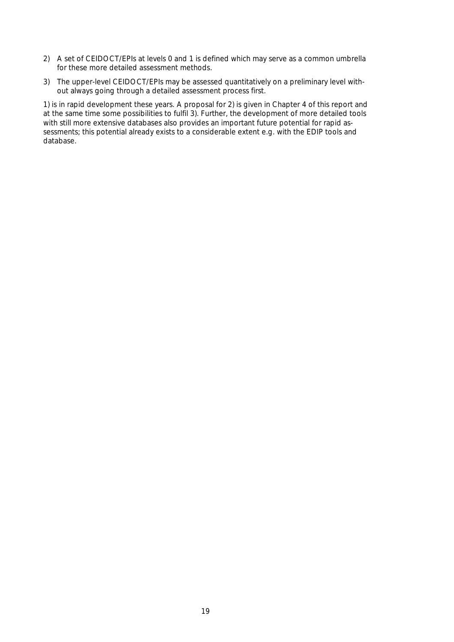- 2) A set of CEIDOCT/EPIs at levels 0 and 1 is defined which may serve as a common umbrella for these more detailed assessment methods.
- 3) The upper-level CEIDOCT/EPIs may be assessed quantitatively on a preliminary level without always going through a detailed assessment process first.

1) is in rapid development these years. A proposal for 2) is given in Chapter 4 of this report and at the same time some possibilities to fulfil 3). Further, the development of more detailed tools with still more extensive databases also provides an important future potential for rapid assessments; this potential already exists to a considerable extent e.g. with the EDIP tools and database.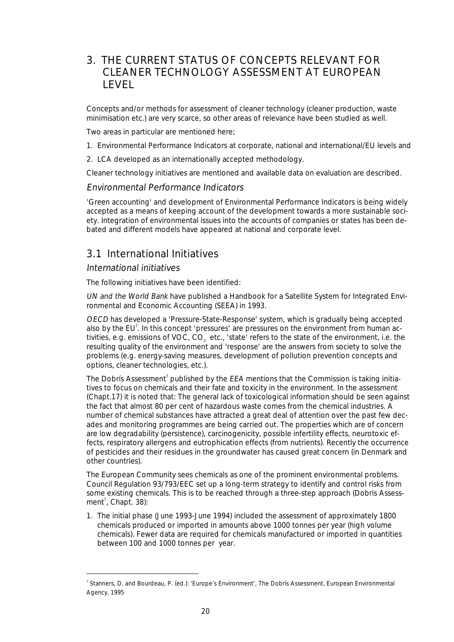# 3. THE CURRENT STATUS OF CONCEPTS RELEVANT FOR CLEANER TECHNOLOGY ASSESSMENT AT EUROPEAN LEVEL

Concepts and/or methods for assessment of cleaner technology (cleaner production, waste minimisation etc.) are very scarce, so other areas of relevance have been studied as well.

Two areas in particular are mentioned here;

- 1. Environmental Performance Indicators at corporate, national and international/EU levels and
- 2. LCA developed as an internationally accepted methodology.

Cleaner technology initiatives are mentioned and available data on evaluation are described.

Environmental Performance Indicators

'Green accounting' and development of Environmental Performance Indicators is being widely accepted as a means of keeping account of the development towards a more sustainable society. Integration of environmental issues into the accounts of companies or states has been debated and different models have appeared at national and corporate level.

# 3.1 International Initiatives

#### International initiatives

The following initiatives have been identified:

UN and the World Bank have published a Handbook for a Satellite System for Integrated Environmental and Economic Accounting (SEEA) in 1993.

OECD has developed a 'Pressure-State-Response' system, which is gradually being accepted also by the EU<sup>7</sup>. In this concept 'pressures' are pressures on the environment from human activities, e.g. emissions of VOC, CO<sub>2</sub> etc., 'state' refers to the state of the environment, i.e. the resulting quality of the environment and 'response' are the answers from society to solve the problems (e.g. energy-saving measures, development of pollution prevention concepts and options, cleaner technologies, etc.).

The Dobrís Assessment<sup>7</sup> published by the EEA mentions that the Commission is taking initiatives to focus on chemicals and their fate and toxicity in the environment. In the assessment (Chapt.17) it is noted that: The general lack of toxicological information should be seen against the fact that almost 80 per cent of hazardous waste comes from the chemical industries. A number of chemical substances have attracted a great deal of attention over the past few decades and monitoring programmes are being carried out. The properties which are of concern are low degradability (persistence), carcinogenicity, possible infertility effects, neurotoxic effects, respiratory allergens and eutrophication effects (from nutrients). Recently the occurrence of pesticides and their residues in the groundwater has caused great concern (in Denmark and other countries).

The European Community sees chemicals as one of the prominent environmental problems. Council Regulation 93/793/EEC set up a long-term strategy to identify and control risks from some existing chemicals. This is to be reached through a three-step approach (Dobris Assessment<sup>7</sup>, Chapt. 38):

1. The initial phase (June 1993-June 1994) included the assessment of approximately 1800 chemicals produced or imported in amounts above 1000 tonnes per year (high volume chemicals). Fewer data are required for chemicals manufactured or imported in quantities between 100 and 1000 tonnes per year.

 $\frac{1}{7}$ <sup>7</sup> Stanners, D. and Bourdeau, P. (ed.): 'Europe's Environment', The Dobrís Assessment, European Environmental Agency, 1995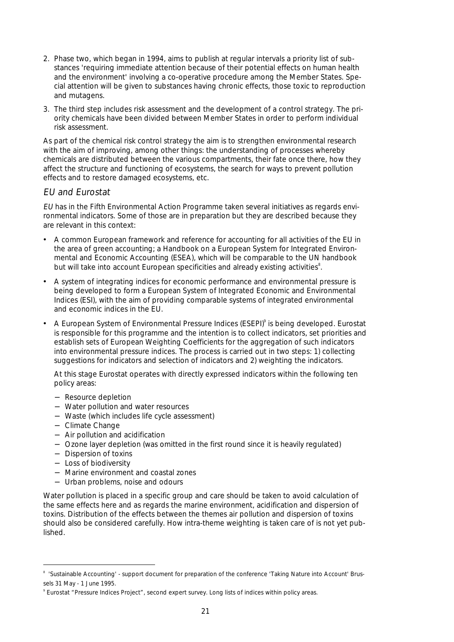- 2. Phase two, which began in 1994, aims to publish at regular intervals a priority list of substances 'requiring immediate attention because of their potential effects on human health and the environment' involving a co-operative procedure among the Member States. Special attention will be given to substances having chronic effects, those toxic to reproduction and mutagens.
- 3. The third step includes risk assessment and the development of a control strategy. The priority chemicals have been divided between Member States in order to perform individual risk assessment.

As part of the chemical risk control strategy the aim is to strengthen environmental research with the aim of improving, among other things: the understanding of processes whereby chemicals are distributed between the various compartments, their fate once there, how they affect the structure and functioning of ecosystems, the search for ways to prevent pollution effects and to restore damaged ecosystems, etc.

#### EU and Eurostat

EU has in the Fifth Environmental Action Programme taken several initiatives as regards environmental indicators. Some of those are in preparation but they are described because they are relevant in this context:

- A common European framework and reference for accounting for all activities of the EU in the area of green accounting; a Handbook on a European System for Integrated Environmental and Economic Accounting (ESEA), which will be comparable to the UN handbook but will take into account European specificities and already existing activities $^{\text{s}}$ .
- A system of integrating indices for economic performance and environmental pressure is being developed to form a European System of Integrated Economic and Environmental Indices (ESI), with the aim of providing comparable systems of integrated environmental and economic indices in the EU.
- A European System of Environmental Pressure Indices (ESEPI)<sup>9</sup> is being developed. Eurostat is responsible for this programme and the intention is to collect indicators, set priorities and establish sets of European Weighting Coefficients for the aggregation of such indicators into environmental pressure indices. The process is carried out in two steps: 1) collecting suggestions for indicators and selection of indicators and 2) weighting the indicators.

 At this stage Eurostat operates with directly expressed indicators within the following ten policy areas:

- − Resource depletion
- − Water pollution and water resources
- − Waste (which includes life cycle assessment)
- − Climate Change
- − Air pollution and acidification
- − Ozone layer depletion (was omitted in the first round since it is heavily regulated)
- − Dispersion of toxins
- − Loss of biodiversity
- − Marine environment and coastal zones
- − Urban problems, noise and odours

Water pollution is placed in a specific group and care should be taken to avoid calculation of the same effects here and as regards the marine environment, acidification and dispersion of toxins. Distribution of the effects between the themes air pollution and dispersion of toxins should also be considered carefully. How intra-theme weighting is taken care of is not yet published.

<sup>—&</sup>lt;br>8 'Sustainable Accounting' - support document for preparation of the conference 'Taking Nature into Account' Brussels 31 May - 1 June 1995.

<sup>9</sup> Eurostat "Pressure Indices Project", second expert survey. Long lists of indices within policy areas.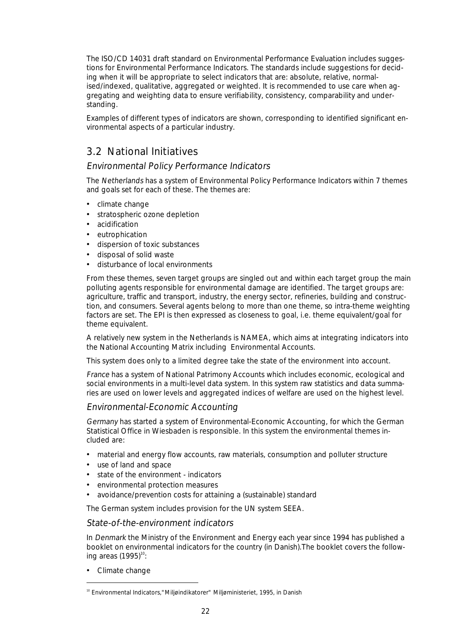The ISO/CD 14031 draft standard on Environmental Performance Evaluation includes suggestions for Environmental Performance Indicators. The standards include suggestions for deciding when it will be appropriate to select indicators that are: absolute, relative, normalised/indexed, qualitative, aggregated or weighted. It is recommended to use care when aggregating and weighting data to ensure verifiability, consistency, comparability and understanding.

Examples of different types of indicators are shown, corresponding to identified significant environmental aspects of a particular industry.

# 3.2 National Initiatives

#### Environmental Policy Performance Indicators

The Netherlands has a system of Environmental Policy Performance Indicators within 7 themes and goals set for each of these. The themes are:

- climate change
- stratospheric ozone depletion
- acidification
- eutrophication
- dispersion of toxic substances
- disposal of solid waste
- disturbance of local environments

From these themes, seven target groups are singled out and within each target group the main polluting agents responsible for environmental damage are identified. The target groups are: agriculture, traffic and transport, industry, the energy sector, refineries, building and construction, and consumers. Several agents belong to more than one theme, so intra-theme weighting factors are set. The EPI is then expressed as closeness to goal, i.e. theme equivalent/goal for theme equivalent.

A relatively new system in the Netherlands is NAMEA, which aims at integrating indicators into the National Accounting Matrix including Environmental Accounts.

This system does only to a limited degree take the state of the environment into account.

France has a system of National Patrimony Accounts which includes economic, ecological and social environments in a multi-level data system. In this system raw statistics and data summaries are used on lower levels and aggregated indices of welfare are used on the highest level.

#### Environmental-Economic Accounting

Germany has started a system of Environmental-Economic Accounting, for which the German Statistical Office in Wiesbaden is responsible. In this system the environmental themes included are:

- material and energy flow accounts, raw materials, consumption and polluter structure
- use of land and space
- state of the environment indicators
- environmental protection measures
- avoidance/prevention costs for attaining a (sustainable) standard

The German system includes provision for the UN system SEEA.

#### State-of-the-environment indicators

In Denmark the Ministry of the Environment and Energy each year since 1994 has published a booklet on environmental indicators for the country (in Danish).The booklet covers the following areas  $(1995)^{10}$ :

• Climate change

<sup>&</sup>lt;sup>10</sup> Environmental Indicators, "Miljøindikatorer" Miljøministeriet, 1995, in Danish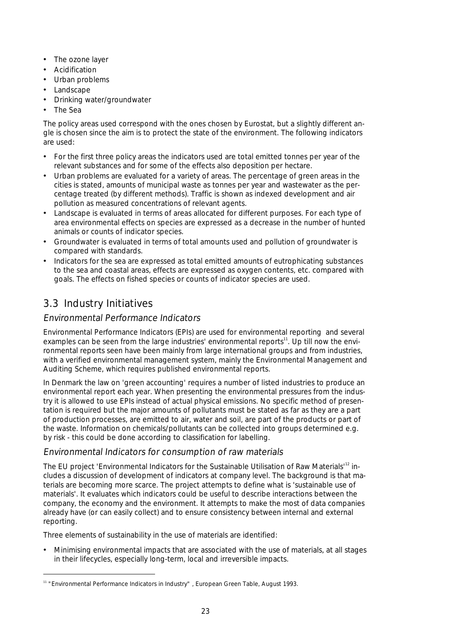- The ozone layer
- Acidification
- Urban problems
- Landscape
- Drinking water/groundwater
- The Sea

The policy areas used correspond with the ones chosen by Eurostat, but a slightly different angle is chosen since the aim is to protect the state of the environment. The following indicators are used:

- For the first three policy areas the indicators used are total emitted tonnes per year of the relevant substances and for some of the effects also deposition per hectare.
- Urban problems are evaluated for a variety of areas. The percentage of green areas in the cities is stated, amounts of municipal waste as tonnes per year and wastewater as the percentage treated (by different methods). Traffic is shown as indexed development and air pollution as measured concentrations of relevant agents.
- Landscape is evaluated in terms of areas allocated for different purposes. For each type of area environmental effects on species are expressed as a decrease in the number of hunted animals or counts of indicator species.
- Groundwater is evaluated in terms of total amounts used and pollution of groundwater is compared with standards.
- Indicators for the sea are expressed as total emitted amounts of eutrophicating substances to the sea and coastal areas, effects are expressed as oxygen contents, etc. compared with goals. The effects on fished species or counts of indicator species are used.

# 3.3 Industry Initiatives

#### Environmental Performance Indicators

Environmental Performance Indicators (EPIs) are used for environmental reporting and several examples can be seen from the large industries' environmental reports $11$ . Up till now the environmental reports seen have been mainly from large international groups and from industries, with a verified environmental management system, mainly the Environmental Management and Auditing Scheme, which requires published environmental reports.

In Denmark the law on 'green accounting' requires a number of listed industries to produce an environmental report each year. When presenting the environmental pressures from the industry it is allowed to use EPIs instead of actual physical emissions. No specific method of presentation is required but the major amounts of pollutants must be stated as far as they are a part of production processes, are emitted to air, water and soil, are part of the products or part of the waste. Information on chemicals/pollutants can be collected into groups determined e.g. by risk - this could be done according to classification for labelling.

#### Environmental Indicators for consumption of raw materials

The EU project 'Environmental Indicators for the Sustainable Utilisation of Raw Materials<sup>12</sup> includes a discussion of development of indicators at company level. The background is that materials are becoming more scarce. The project attempts to define what is 'sustainable use of materials'. It evaluates which indicators could be useful to describe interactions between the company, the economy and the environment. It attempts to make the most of data companies already have (or can easily collect) and to ensure consistency between internal and external reporting.

Three elements of sustainability in the use of materials are identified:

• Minimising environmental impacts that are associated with the use of materials, at all stages in their lifecycles, especially long-term, local and irreversible impacts.

<sup>&</sup>lt;sup>11</sup> "Environmental Performance Indicators in Industry", European Green Table, August 1993.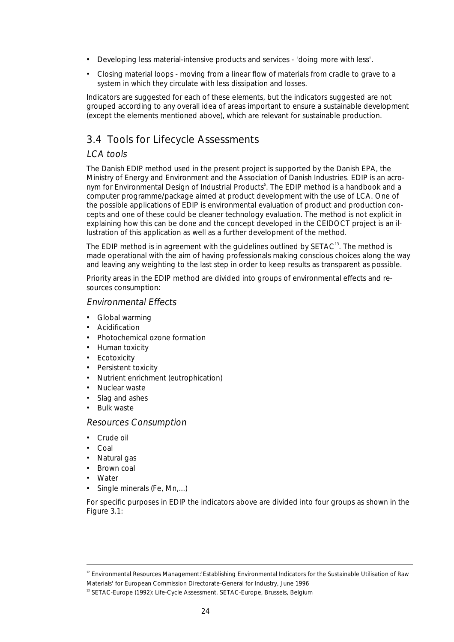- Developing less material-intensive products and services 'doing more with less'.
- Closing material loops moving from a linear flow of materials from cradle to grave to a system in which they circulate with less dissipation and losses.

Indicators are suggested for each of these elements, but the indicators suggested are not grouped according to any overall idea of areas important to ensure a sustainable development (except the elements mentioned above), which are relevant for sustainable production.

# 3.4 Tools for Lifecycle Assessments

#### LCA tools

The Danish EDIP method used in the present project is supported by the Danish EPA, the Ministry of Energy and Environment and the Association of Danish Industries. EDIP is an acronym for Environmental Design of Industrial Products<sup>5</sup>. The EDIP method is a handbook and a computer programme/package aimed at product development with the use of LCA. One of the possible applications of EDIP is environmental evaluation of product and production concepts and one of these could be cleaner technology evaluation. The method is not explicit in explaining how this can be done and the concept developed in the CEIDOCT project is an illustration of this application as well as a further development of the method.

The EDIP method is in agreement with the guidelines outlined by  $SETAC^{13}$ . The method is made operational with the aim of having professionals making conscious choices along the way and leaving any weighting to the last step in order to keep results as transparent as possible.

Priority areas in the EDIP method are divided into groups of environmental effects and resources consumption:

#### Environmental Effects

- Global warming
- **Acidification**
- Photochemical ozone formation
- Human toxicity
- **Ecotoxicity**
- Persistent toxicity
- Nutrient enrichment (eutrophication)
- Nuclear waste
- Slag and ashes
- Bulk waste

#### Resources Consumption

- Crude oil
- Coal
- Natural gas
- Brown coal
- Water
- Single minerals (Fe, Mn,...)

For specific purposes in EDIP the indicators above are divided into four groups as shown in the Figure 3.1:

<sup>&</sup>lt;sup>12</sup> Environmental Resources Management:'Establishing Environmental Indicators for the Sustainable Utilisation of Raw Materials' for European Commission Directorate-General for Industry, June 1996

<sup>&</sup>lt;sup>13</sup> SETAC-Europe (1992): Life-Cycle Assessment. SETAC-Europe, Brussels, Belgium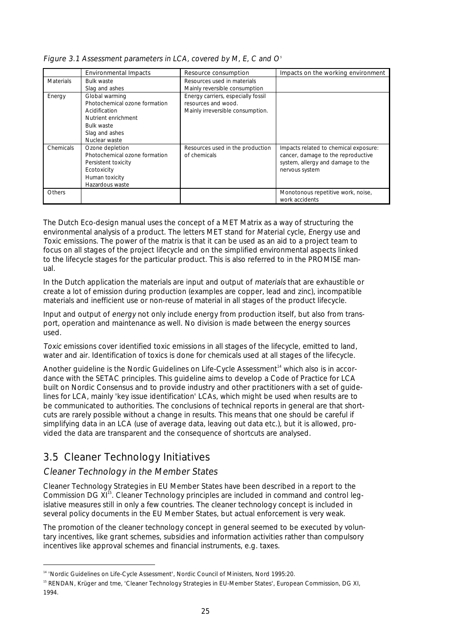|                  | <b>Environmental Impacts</b>                                                                                                                    | Resource consumption                                                                          | Impacts on the working environment                                                                                                 |
|------------------|-------------------------------------------------------------------------------------------------------------------------------------------------|-----------------------------------------------------------------------------------------------|------------------------------------------------------------------------------------------------------------------------------------|
| <b>Materials</b> | <b>Bulk waste</b><br>Slag and ashes                                                                                                             | Resources used in materials<br>Mainly reversible consumption                                  |                                                                                                                                    |
| Energy           | Global warming<br>Photochemical ozone formation<br>Acidification<br>Nutrient enrichment<br><b>Bulk waste</b><br>Slag and ashes<br>Nuclear waste | Energy carriers, especially fossil<br>resources and wood.<br>Mainly irreversible consumption. |                                                                                                                                    |
| Chemicals        | Ozone depletion<br>Photochemical ozone formation<br>Persistent toxicity<br>Ecotoxicity<br>Human toxicity<br>Hazardous waste                     | Resources used in the production<br>of chemicals                                              | Impacts related to chemical exposure:<br>cancer, damage to the reproductive<br>system, allergy and damage to the<br>nervous system |
| <b>Others</b>    |                                                                                                                                                 |                                                                                               | Monotonous repetitive work, noise,<br>work accidents                                                                               |

|  |  | Figure 3.1 Assessment parameters in LCA, covered by M, E, C and $Os$ |
|--|--|----------------------------------------------------------------------|
|--|--|----------------------------------------------------------------------|

The Dutch Eco-design manual uses the concept of a MET Matrix as a way of structuring the environmental analysis of a product. The letters MET stand for Material cycle, Energy use and Toxic emissions. The power of the matrix is that it can be used as an aid to a project team to focus on all stages of the project lifecycle and on the simplified environmental aspects linked to the lifecycle stages for the particular product. This is also referred to in the PROMISE manual.

In the Dutch application the materials are input and output of materials that are exhaustible or create a lot of emission during production (examples are copper, lead and zinc), incompatible materials and inefficient use or non-reuse of material in all stages of the product lifecycle.

Input and output of energy not only include energy from production itself, but also from transport, operation and maintenance as well. No division is made between the energy sources used.

Toxic emissions cover identified toxic emissions in all stages of the lifecycle, emitted to land, water and air. Identification of toxics is done for chemicals used at all stages of the lifecycle.

Another quideline is the Nordic Guidelines on Life-Cycle Assessment<sup>14</sup> which also is in accordance with the SETAC principles. This guideline aims to develop a Code of Practice for LCA built on Nordic Consensus and to provide industry and other practitioners with a set of guidelines for LCA, mainly 'key issue identification' LCAs, which might be used when results are to be communicated to authorities. The conclusions of technical reports in general are that shortcuts are rarely possible without a change in results. This means that one should be careful if simplifying data in an LCA (use of average data, leaving out data etc.), but it is allowed, provided the data are transparent and the consequence of shortcuts are analysed.

# 3.5 Cleaner Technology Initiatives

#### Cleaner Technology in the Member States

Cleaner Technology Strategies in EU Member States have been described in a report to the Commission DG XI<sup>15</sup>. Cleaner Technology principles are included in command and control legislative measures still in only a few countries. The cleaner technology concept is included in several policy documents in the EU Member States, but actual enforcement is very weak.

The promotion of the cleaner technology concept in general seemed to be executed by voluntary incentives, like grant schemes, subsidies and information activities rather than compulsory incentives like approval schemes and financial instruments, e.g. taxes.

<sup>&</sup>lt;sup>14</sup> 'Nordic Guidelines on Life-Cycle Assessment', Nordic Council of Ministers, Nord 1995:20.

<sup>&</sup>lt;sup>15</sup> RENDAN, Krüger and tme, 'Cleaner Technology Strategies in EU-Member States', European Commission, DG XI, 1994.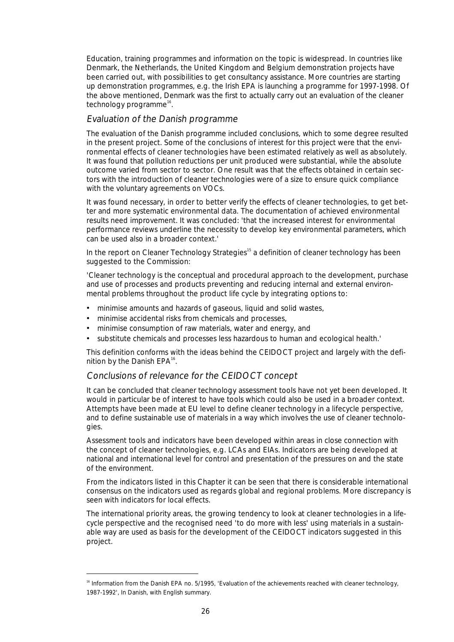Education, training programmes and information on the topic is widespread. In countries like Denmark, the Netherlands, the United Kingdom and Belgium demonstration projects have been carried out, with possibilities to get consultancy assistance. More countries are starting up demonstration programmes, e.g. the Irish EPA is launching a programme for 1997-1998. Of the above mentioned, Denmark was the first to actually carry out an evaluation of the cleaner technology programme<sup>16</sup>.

#### Evaluation of the Danish programme

The evaluation of the Danish programme included conclusions, which to some degree resulted in the present project. Some of the conclusions of interest for this project were that the environmental effects of cleaner technologies have been estimated relatively as well as absolutely. It was found that pollution reductions per unit produced were substantial, while the absolute outcome varied from sector to sector. One result was that the effects obtained in certain sectors with the introduction of cleaner technologies were of a size to ensure quick compliance with the voluntary agreements on VOCs.

It was found necessary, in order to better verify the effects of cleaner technologies, to get better and more systematic environmental data. The documentation of achieved environmental results need improvement. It was concluded: 'that the increased interest for environmental performance reviews underline the necessity to develop key environmental parameters, which can be used also in a broader context.'

In the report on Cleaner Technology Strategies<sup>15</sup> a definition of cleaner technology has been suggested to the Commission:

'Cleaner technology is the conceptual and procedural approach to the development, purchase and use of processes and products preventing and reducing internal and external environmental problems throughout the product life cycle by integrating options to:

- minimise amounts and hazards of gaseous, liquid and solid wastes,
- minimise accidental risks from chemicals and processes,
- minimise consumption of raw materials, water and energy, and
- substitute chemicals and processes less hazardous to human and ecological health.'

This definition conforms with the ideas behind the CEIDOCT project and largely with the definition by the Danish  $EPA^{16}$ .

#### Conclusions of relevance for the CEIDOCT concept

It can be concluded that cleaner technology assessment tools have not yet been developed. It would in particular be of interest to have tools which could also be used in a broader context. Attempts have been made at EU level to define cleaner technology in a lifecycle perspective, and to define sustainable use of materials in a way which involves the use of cleaner technologies.

Assessment tools and indicators have been developed within areas in close connection with the concept of cleaner technologies, e.g. LCAs and EIAs. Indicators are being developed at national and international level for control and presentation of the pressures on and the state of the environment.

From the indicators listed in this Chapter it can be seen that there is considerable international consensus on the indicators used as regards global and regional problems. More discrepancy is seen with indicators for local effects.

The international priority areas, the growing tendency to look at cleaner technologies in a lifecycle perspective and the recognised need 'to do more with less' using materials in a sustainable way are used as basis for the development of the CEIDOCT indicators suggested in this project.

<sup>&</sup>lt;sup>16</sup> Information from the Danish EPA no. 5/1995, 'Evaluation of the achievements reached with cleaner technology, 1987-1992', In Danish, with English summary.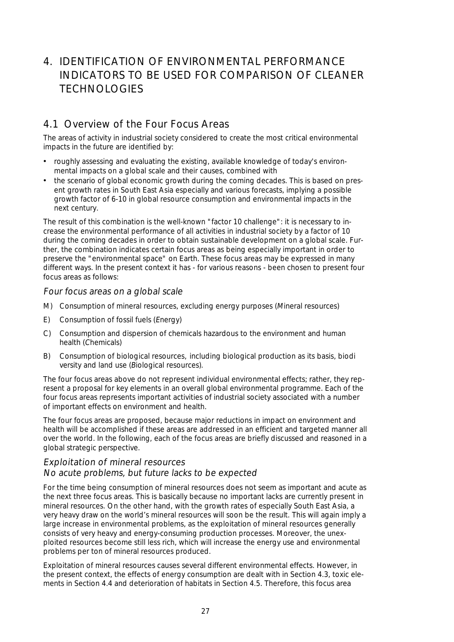# 4. IDENTIFICATION OF ENVIRONMENTAL PERFORMANCE INDICATORS TO BE USED FOR COMPARISON OF CLEANER TECHNOLOGIES

### 4.1 Overview of the Four Focus Areas

The areas of activity in industrial society considered to create the most critical environmental impacts in the future are identified by:

- roughly assessing and evaluating the existing, available knowledge of today's environmental impacts on a global scale and their causes, combined with
- the scenario of global economic growth during the coming decades. This is based on present growth rates in South East Asia especially and various forecasts, implying a possible growth factor of 6-10 in global resource consumption and environmental impacts in the next century.

The result of this combination is the well-known "factor 10 challenge": it is necessary to increase the environmental performance of all activities in industrial society by a factor of 10 during the coming decades in order to obtain sustainable development on a global scale. Further, the combination indicates certain focus areas as being especially important in order to preserve the "environmental space" on Earth. These focus areas may be expressed in many different ways. In the present context it has - for various reasons - been chosen to present four focus areas as follows:

#### Four focus areas on a global scale

- M) Consumption of mineral resources, excluding energy purposes (Mineral resources)
- E) Consumption of fossil fuels (Energy)
- C) Consumption and dispersion of chemicals hazardous to the environment and human health (Chemicals)
- B) Consumption of biological resources, including biological production as its basis, biodi versity and land use (Biological resources).

The four focus areas above do not represent individual environmental effects; rather, they represent a proposal for key elements in an overall global environmental programme. Each of the four focus areas represents important activities of industrial society associated with a number of important effects on environment and health.

The four focus areas are proposed, because major reductions in impact on environment and health will be accomplished if these areas are addressed in an efficient and targeted manner all over the world. In the following, each of the focus areas are briefly discussed and reasoned in a global strategic perspective.

#### Exploitation of mineral resources

#### No acute problems, but future lacks to be expected

For the time being consumption of mineral resources does not seem as important and acute as the next three focus areas. This is basically because no important lacks are currently present in mineral resources. On the other hand, with the growth rates of especially South East Asia, a very heavy draw on the world's mineral resources will soon be the result. This will again imply a large increase in environmental problems, as the exploitation of mineral resources generally consists of very heavy and energy-consuming production processes. Moreover, the unexploited resources become still less rich, which will increase the energy use and environmental problems per ton of mineral resources produced.

Exploitation of mineral resources causes several different environmental effects. However, in the present context, the effects of energy consumption are dealt with in Section 4.3, toxic elements in Section 4.4 and deterioration of habitats in Section 4.5. Therefore, this focus area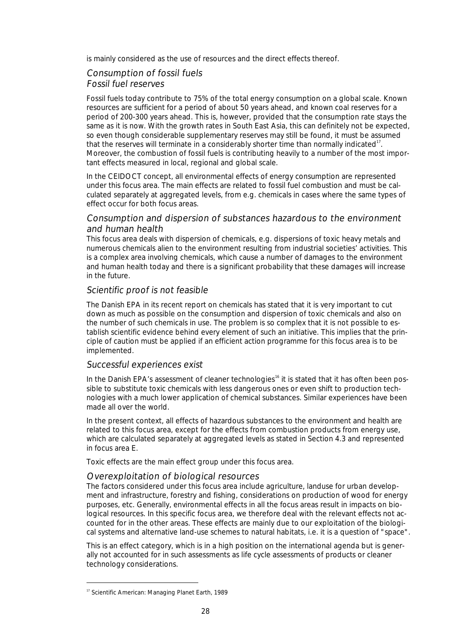is mainly considered as the use of resources and the direct effects thereof.

#### Consumption of fossil fuels

#### Fossil fuel reserves

Fossil fuels today contribute to 75% of the total energy consumption on a global scale. Known resources are sufficient for a period of about 50 years ahead, and known coal reserves for a period of 200-300 years ahead. This is, however, provided that the consumption rate stays the same as it is now. With the growth rates in South East Asia, this can definitely not be expected, so even though considerable supplementary reserves may still be found, it must be assumed that the reserves will terminate in a considerably shorter time than normally indicated<sup>17</sup>. Moreover, the combustion of fossil fuels is contributing heavily to a number of the most important effects measured in local, regional and global scale.

In the CEIDOCT concept, all environmental effects of energy consumption are represented under this focus area. The main effects are related to fossil fuel combustion and must be calculated separately at aggregated levels, from e.g. chemicals in cases where the same types of effect occur for both focus areas.

#### Consumption and dispersion of substances hazardous to the environment and human health

This focus area deals with dispersion of chemicals, e.g. dispersions of toxic heavy metals and numerous chemicals alien to the environment resulting from industrial societies' activities. This is a complex area involving chemicals, which cause a number of damages to the environment and human health today and there is a significant probability that these damages will increase in the future.

#### Scientific proof is not feasible

The Danish EPA in its recent report on chemicals has stated that it is very important to cut down as much as possible on the consumption and dispersion of toxic chemicals and also on the number of such chemicals in use. The problem is so complex that it is not possible to establish scientific evidence behind every element of such an initiative. This implies that the principle of caution must be applied if an efficient action programme for this focus area is to be implemented.

#### Successful experiences exist

In the Danish EPA's assessment of cleaner technologies<sup>16</sup> it is stated that it has often been possible to substitute toxic chemicals with less dangerous ones or even shift to production technologies with a much lower application of chemical substances. Similar experiences have been made all over the world.

In the present context, all effects of hazardous substances to the environment and health are related to this focus area, except for the effects from combustion products from energy use, which are calculated separately at aggregated levels as stated in Section 4.3 and represented in focus area E.

Toxic effects are the main effect group under this focus area.

#### Overexploitation of biological resources

The factors considered under this focus area include agriculture, landuse for urban development and infrastructure, forestry and fishing, considerations on production of wood for energy purposes, etc. Generally, environmental effects in all the focus areas result in impacts on biological resources. In this specific focus area, we therefore deal with the relevant effects not accounted for in the other areas. These effects are mainly due to our exploitation of the biological systems and alternative land-use schemes to natural habitats, i.e. it is a question of "space".

This is an effect category, which is in a high position on the international agenda but is generally not accounted for in such assessments as life cycle assessments of products or cleaner technology considerations.

<sup>&</sup>lt;sup>17</sup> Scientific American: Managing Planet Earth, 1989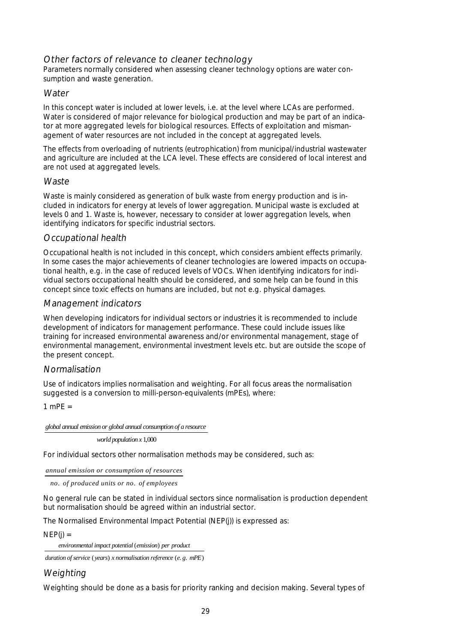#### Other factors of relevance to cleaner technology

Parameters normally considered when assessing cleaner technology options are water consumption and waste generation.

#### **Water**

In this concept water is included at lower levels, i.e. at the level where LCAs are performed. Water is considered of major relevance for biological production and may be part of an indicator at more aggregated levels for biological resources. Effects of exploitation and mismanagement of water resources are not included in the concept at aggregated levels.

The effects from overloading of nutrients (eutrophication) from municipal/industrial wastewater and agriculture are included at the LCA level. These effects are considered of local interest and are not used at aggregated levels.

#### **Waste**

Waste is mainly considered as generation of bulk waste from energy production and is included in indicators for energy at levels of lower aggregation. Municipal waste is excluded at levels 0 and 1. Waste is, however, necessary to consider at lower aggregation levels, when identifying indicators for specific industrial sectors.

#### Occupational health

Occupational health is not included in this concept, which considers ambient effects primarily. In some cases the major achievements of cleaner technologies are lowered impacts on occupational health, e.g. in the case of reduced levels of VOCs. When identifying indicators for individual sectors occupational health should be considered, and some help can be found in this concept since toxic effects on humans are included, but not e.g. physical damages.

#### Management indicators

When developing indicators for individual sectors or industries it is recommended to include development of indicators for management performance. These could include issues like training for increased environmental awareness and/or environmental management, stage of environmental management, environmental investment levels etc. but are outside the scope of the present concept.

#### Normalisation

Use of indicators implies normalisation and weighting. For all focus areas the normalisation suggested is a conversion to milli-person-equivalents (mPEs), where:

 $1$  mPF  $=$ 

#### *global annual emission or global annual consumption of a resource*

world population *x* 1,000

For individual sectors other normalisation methods may be considered, such as:

*annual emission or consumption of resources*

no. of produced units or no. of employees

No general rule can be stated in individual sectors since normalisation is production dependent but normalisation should be agreed within an industrial sector.

The Normalised Environmental Impact Potential (NEP(j)) is expressed as:

 $NEP(i) =$ 

environmental impact potential (emission) per product

duration of service (years) x normalisation reference (e.g. mPE)

### Weighting

Weighting should be done as a basis for priority ranking and decision making. Several types of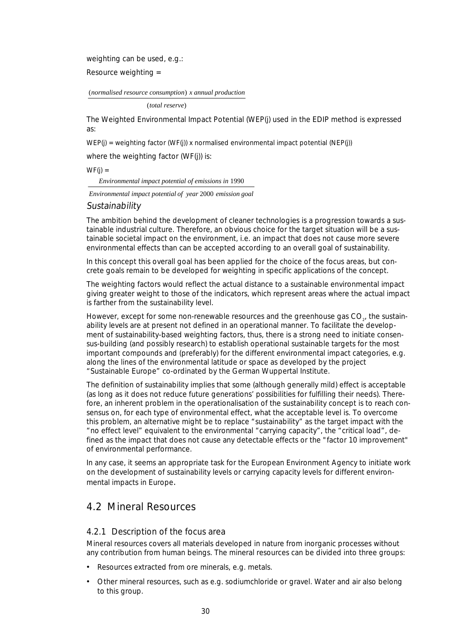weighting can be used, e.g.:

Resource weighting =

(normalised resource consumption) x annual production

(total reserve)

The Weighted Environmental Impact Potential (WEP(j) used in the EDIP method is expressed as:

 $WEP(j)$  = weighting factor (WF(j)) x normalised environmental impact potential (NEP(j))

where the weighting factor (WF(i)) is:

 $WF(i) =$ 

*Environmental impact potential of emissions in* 1990

Environmental impact potential of year 2000 emission goal

#### **Sustainability**

The ambition behind the development of cleaner technologies is a progression towards a sustainable industrial culture. Therefore, an obvious choice for the target situation will be a sustainable societal impact on the environment, i.e. an impact that does not cause more severe environmental effects than can be accepted according to an overall goal of sustainability.

In this concept this overall goal has been applied for the choice of the focus areas, but concrete goals remain to be developed for weighting in specific applications of the concept.

The weighting factors would reflect the actual distance to a sustainable environmental impact giving greater weight to those of the indicators, which represent areas where the actual impact is farther from the sustainability level.

However, except for some non-renewable resources and the greenhouse gas  $CO<sub>2</sub>$ , the sustainability levels are at present not defined in an operational manner. To facilitate the development of sustainability-based weighting factors, thus, there is a strong need to initiate consensus-building (and possibly research) to establish operational sustainable targets for the most important compounds and (preferably) for the different environmental impact categories, e.g. along the lines of the environmental latitude or space as developed by the project "Sustainable Europe" co-ordinated by the German Wuppertal Institute.

The definition of sustainability implies that some (although generally mild) effect is acceptable (as long as it does not reduce future generations' possibilities for fulfilling their needs). Therefore, an inherent problem in the operationalisation of the sustainability concept is to reach consensus on, for each type of environmental effect, what the acceptable level is. To overcome this problem, an alternative might be to replace "sustainability" as the target impact with the "no effect level" equivalent to the environmental "carrying capacity", the "critical load", defined as the impact that does not cause any detectable effects or the "factor 10 improvement" of environmental performance.

In any case, it seems an appropriate task for the European Environment Agency to initiate work on the development of sustainability levels or carrying capacity levels for different environmental impacts in Europe.

# 4.2 Mineral Resources

#### 4.2.1 Description of the focus area

Mineral resources covers all materials developed in nature from inorganic processes without any contribution from human beings. The mineral resources can be divided into three groups:

- Resources extracted from ore minerals, e.g. metals.
- Other mineral resources, such as e.g. sodiumchloride or gravel. Water and air also belong to this group.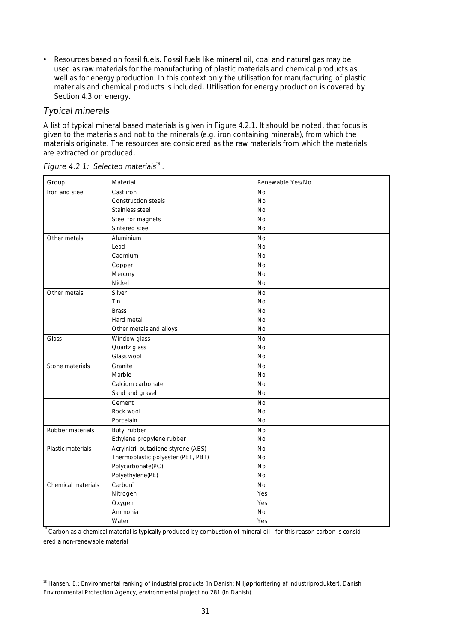• Resources based on fossil fuels. Fossil fuels like mineral oil, coal and natural gas may be used as raw materials for the manufacturing of plastic materials and chemical products as well as for energy production. In this context only the utilisation for manufacturing of plastic materials and chemical products is included. Utilisation for energy production is covered by Section 4.3 on energy.

### Typical minerals

A list of typical mineral based materials is given in Figure 4.2.1. It should be noted, that focus is given to the materials and not to the minerals (e.g. iron containing minerals), from which the materials originate. The resources are considered as the raw materials from which the materials are extracted or produced.

| Group              | Material                            | Renewable Yes/No |
|--------------------|-------------------------------------|------------------|
| Iron and steel     | Cast iron                           | No               |
|                    | <b>Construction steels</b>          | <b>No</b>        |
|                    | Stainless steel                     | <b>No</b>        |
|                    | Steel for magnets                   | No               |
|                    | Sintered steel                      | <b>No</b>        |
| Other metals       | Aluminium                           | <b>No</b>        |
|                    | Lead                                | <b>No</b>        |
|                    | Cadmium                             | <b>No</b>        |
|                    | Copper                              | No               |
|                    | Mercury                             | <b>No</b>        |
|                    | Nickel                              | <b>No</b>        |
| Other metals       | Silver                              | No               |
|                    | Tin                                 | No               |
|                    | <b>Brass</b>                        | No               |
|                    | Hard metal                          | No               |
|                    | Other metals and alloys             | <b>No</b>        |
| Glass              | Window glass                        | No               |
|                    | Quartz glass                        | <b>No</b>        |
|                    | Glass wool                          | <b>No</b>        |
| Stone materials    | Granite                             | <b>No</b>        |
|                    | Marble                              | <b>No</b>        |
|                    | Calcium carbonate                   | No               |
|                    | Sand and gravel                     | <b>No</b>        |
|                    | Cement                              | No               |
|                    | Rock wool                           | <b>No</b>        |
|                    | Porcelain                           | No               |
| Rubber materials   | Butyl rubber                        | <b>No</b>        |
|                    | Ethylene propylene rubber           | <b>No</b>        |
| Plastic materials  | Acrylnitril butadiene styrene (ABS) | No               |
|                    | Thermoplastic polyester (PET, PBT)  | <b>No</b>        |
|                    | Polycarbonate(PC)                   | No               |
|                    | Polyethylene(PE)                    | <b>No</b>        |
| Chemical materials | Carbon <sup>®</sup>                 | No               |
|                    | Nitrogen                            | Yes              |
|                    | Oxygen                              | Yes              |
|                    | Ammonia                             | No               |
|                    | Water                               | Yes              |

Figure 4.2.1: Selected materials<sup>18</sup>.

.<br>Carbon as a chemical material is typically produced by combustion of mineral oil - for this reason carbon is considered a non-renewable material

<sup>&</sup>lt;sup>18</sup> Hansen, E.: Environmental ranking of industrial products (In Danish: Miljøprioritering af industriprodukter). Danish Environmental Protection Agency, environmental project no 281 (In Danish).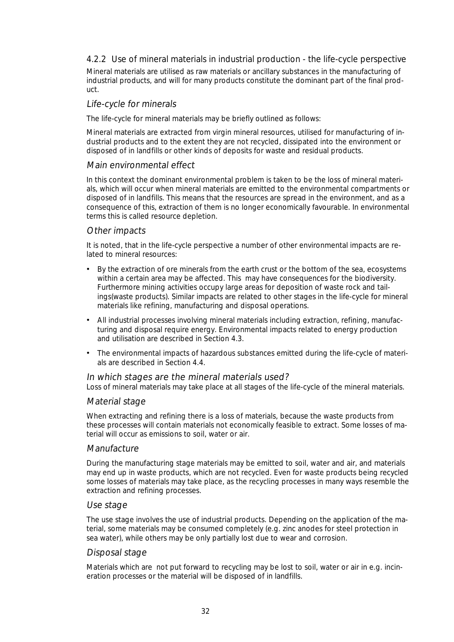#### 4.2.2 Use of mineral materials in industrial production - the life-cycle perspective

Mineral materials are utilised as raw materials or ancillary substances in the manufacturing of industrial products, and will for many products constitute the dominant part of the final product.

#### Life-cycle for minerals

The life-cycle for mineral materials may be briefly outlined as follows:

Mineral materials are extracted from virgin mineral resources, utilised for manufacturing of industrial products and to the extent they are not recycled, dissipated into the environment or disposed of in landfills or other kinds of deposits for waste and residual products.

#### Main environmental effect

In this context the dominant environmental problem is taken to be the loss of mineral materials, which will occur when mineral materials are emitted to the environmental compartments or disposed of in landfills. This means that the resources are spread in the environment, and as a consequence of this, extraction of them is no longer economically favourable. In environmental terms this is called resource depletion.

#### Other impacts

It is noted, that in the life-cycle perspective a number of other environmental impacts are related to mineral resources:

- By the extraction of ore minerals from the earth crust or the bottom of the sea, ecosystems within a certain area may be affected. This may have consequences for the biodiversity. Furthermore mining activities occupy large areas for deposition of waste rock and tailings(waste products). Similar impacts are related to other stages in the life-cycle for mineral materials like refining, manufacturing and disposal operations.
- All industrial processes involving mineral materials including extraction, refining, manufacturing and disposal require energy. Environmental impacts related to energy production and utilisation are described in Section 4.3.
- The environmental impacts of hazardous substances emitted during the life-cycle of materials are described in Section 4.4.

#### In which stages are the mineral materials used?

Loss of mineral materials may take place at all stages of the life-cycle of the mineral materials.

#### Material stage

When extracting and refining there is a loss of materials, because the waste products from these processes will contain materials not economically feasible to extract. Some losses of material will occur as emissions to soil, water or air.

#### **Manufacture**

During the manufacturing stage materials may be emitted to soil, water and air, and materials may end up in waste products, which are not recycled. Even for waste products being recycled some losses of materials may take place, as the recycling processes in many ways resemble the extraction and refining processes.

#### Use stage

The use stage involves the use of industrial products. Depending on the application of the material, some materials may be consumed completely (e.g. zinc anodes for steel protection in sea water), while others may be only partially lost due to wear and corrosion.

#### Disposal stage

Materials which are not put forward to recycling may be lost to soil, water or air in e.g. incineration processes or the material will be disposed of in landfills.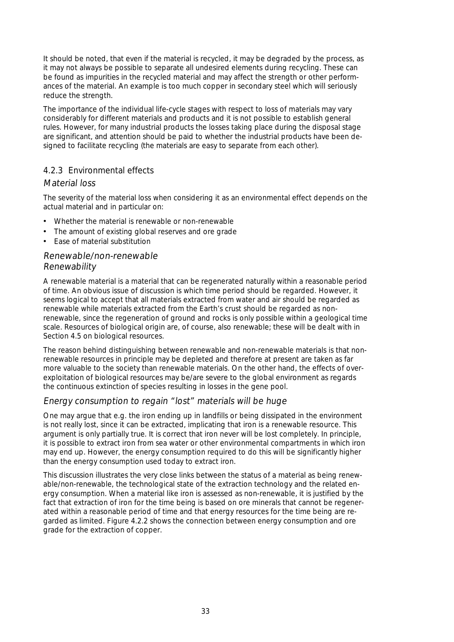It should be noted, that even if the material is recycled, it may be degraded by the process, as it may not always be possible to separate all undesired elements during recycling. These can be found as impurities in the recycled material and may affect the strength or other performances of the material. An example is too much copper in secondary steel which will seriously reduce the strength.

The importance of the individual life-cycle stages with respect to loss of materials may vary considerably for different materials and products and it is not possible to establish general rules. However, for many industrial products the losses taking place during the disposal stage are significant, and attention should be paid to whether the industrial products have been designed to facilitate recycling (the materials are easy to separate from each other).

#### 4.2.3 Environmental effects

#### Material loss

The severity of the material loss when considering it as an environmental effect depends on the actual material and in particular on:

- Whether the material is renewable or non-renewable
- The amount of existing global reserves and ore grade
- Ease of material substitution

#### Renewable/non-renewable Renewability

A renewable material is a material that can be regenerated naturally within a reasonable period of time. An obvious issue of discussion is which time period should be regarded. However, it seems logical to accept that all materials extracted from water and air should be regarded as renewable while materials extracted from the Earth's crust should be regarded as nonrenewable, since the regeneration of ground and rocks is only possible within a geological time scale. Resources of biological origin are, of course, also renewable; these will be dealt with in Section 4.5 on biological resources.

The reason behind distinguishing between renewable and non-renewable materials is that nonrenewable resources in principle may be depleted and therefore at present are taken as far more valuable to the society than renewable materials. On the other hand, the effects of overexploitation of biological resources may be/are severe to the global environment as regards the continuous extinction of species resulting in losses in the gene pool.

#### Energy consumption to regain "lost" materials will be huge

One may argue that e.g. the iron ending up in landfills or being dissipated in the environment is not really lost, since it can be extracted, implicating that iron is a renewable resource. This argument is only partially true. It is correct that iron never will be lost completely. In principle, it is possible to extract iron from sea water or other environmental compartments in which iron may end up. However, the energy consumption required to do this will be significantly higher than the energy consumption used today to extract iron.

This discussion illustrates the very close links between the status of a material as being renewable/non-renewable, the technological state of the extraction technology and the related energy consumption. When a material like iron is assessed as non-renewable, it is justified by the fact that extraction of iron for the time being is based on ore minerals that cannot be regenerated within a reasonable period of time and that energy resources for the time being are regarded as limited. Figure 4.2.2 shows the connection between energy consumption and ore grade for the extraction of copper.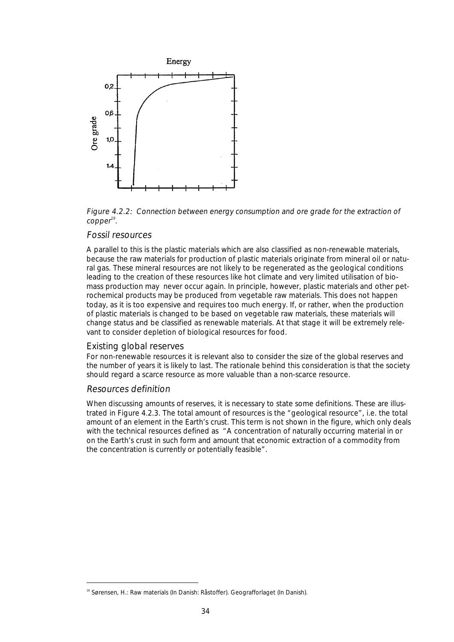

Figure 4.2.2: Connection between energy consumption and ore grade for the extraction of .copper $^{\scriptscriptstyle 19}$ 

#### Fossil resources

A parallel to this is the plastic materials which are also classified as non-renewable materials, because the raw materials for production of plastic materials originate from mineral oil or natural gas. These mineral resources are not likely to be regenerated as the geological conditions leading to the creation of these resources like hot climate and very limited utilisation of biomass production may never occur again. In principle, however, plastic materials and other petrochemical products may be produced from vegetable raw materials. This does not happen today, as it is too expensive and requires too much energy. If, or rather, when the production of plastic materials is changed to be based on vegetable raw materials, these materials will change status and be classified as renewable materials. At that stage it will be extremely relevant to consider depletion of biological resources for food.

#### Existing global reserves

For non-renewable resources it is relevant also to consider the size of the global reserves and the number of years it is likely to last. The rationale behind this consideration is that the society should regard a scarce resource as more valuable than a non-scarce resource.

#### Resources definition

When discussing amounts of reserves, it is necessary to state some definitions. These are illustrated in Figure 4.2.3. The total amount of resources is the "geological resource", i.e. the total amount of an element in the Earth's crust. This term is not shown in the figure, which only deals with the technical resources defined as "A concentration of naturally occurring material in or on the Earth's crust in such form and amount that economic extraction of a commodity from the concentration is currently or potentially feasible".

 <sup>19</sup> Sørensen, H.: Raw materials (In Danish: Råstoffer). Geografforlaget (In Danish).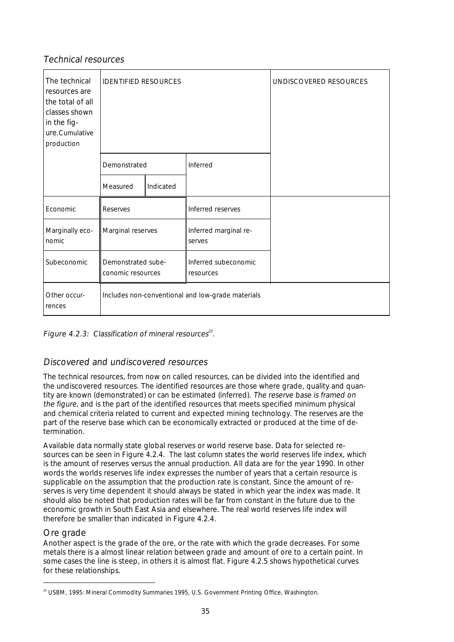#### Technical resources

| The technical<br>resources are<br>the total of all<br>classes shown<br>in the fig-<br>ure.Cumulative<br>production | <b>IDENTIFIED RESOURCES</b><br>Demonstrated |           |                                                   | UNDISCOVERED RESOURCES |
|--------------------------------------------------------------------------------------------------------------------|---------------------------------------------|-----------|---------------------------------------------------|------------------------|
|                                                                                                                    |                                             |           | Inferred                                          |                        |
|                                                                                                                    | Measured                                    | Indicated |                                                   |                        |
| Economic                                                                                                           | Reserves                                    |           | Inferred reserves                                 |                        |
| Marginally eco-<br>nomic                                                                                           | Marginal reserves                           |           | Inferred marginal re-<br>serves                   |                        |
| Subeconomic                                                                                                        | Demonstrated sube-<br>conomic resources     |           | Inferred subeconomic<br>resources                 |                        |
| Other occur-<br>rences                                                                                             |                                             |           | Includes non-conventional and low-grade materials |                        |

#### **Figure 4.2.3:** Classification of mineral resources $^{\text{20}}$ .

#### Discovered and undiscovered resources

The technical resources, from now on called resources, can be divided into the identified and the undiscovered resources. The identified resources are those where grade, quality and quantity are known (demonstrated) or can be estimated (inferred). The reserve base is framed on the figure, and is the part of the identified resources that meets specified minimum physical and chemical criteria related to current and expected mining technology. The reserves are the part of the reserve base which can be economically extracted or produced at the time of determination.

Available data normally state global reserves or world reserve base. Data for selected resources can be seen in Figure 4.2.4. The last column states the world reserves life index, which is the amount of reserves versus the annual production. All data are for the year 1990. In other words the worlds reserves life index expresses the number of years that a certain resource is supplicable on the assumption that the production rate is constant. Since the amount of reserves is very time dependent it should always be stated in which year the index was made. It should also be noted that production rates will be far from constant in the future due to the economic growth in South East Asia and elsewhere. The real world reserves life index will therefore be smaller than indicated in Figure 4.2.4.

#### Ore grade

Another aspect is the grade of the ore, or the rate with which the grade decreases. For some metals there is a almost linear relation between grade and amount of ore to a certain point. In some cases the line is steep, in others it is almost flat. Figure 4.2.5 shows hypothetical curves for these relationships.

<sup>&</sup>lt;sup>20</sup> USBM, 1995: Mineral Commodity Summaries 1995, U.S. Government Printing Office, Washington.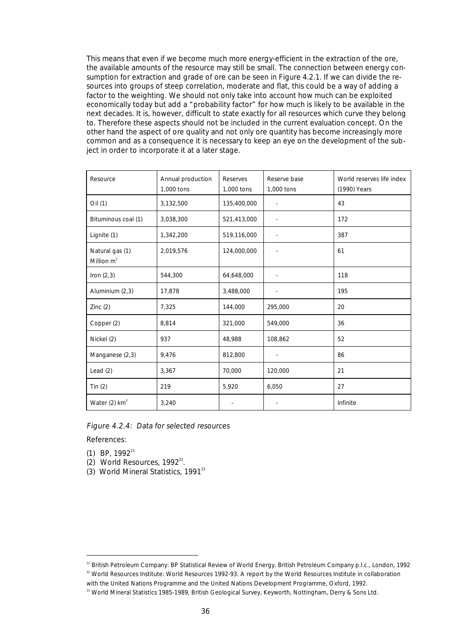This means that even if we become much more energy-efficient in the extraction of the ore, the available amounts of the resource may still be small. The connection between energy consumption for extraction and grade of ore can be seen in Figure 4.2.1. If we can divide the resources into groups of steep correlation, moderate and flat, this could be a way of adding a factor to the weighting. We should not only take into account how much can be exploited economically today but add a "probability factor" for how much is likely to be available in the next decades. It is, however, difficult to state exactly for all resources which curve they belong to. Therefore these aspects should not be included in the current evaluation concept. On the other hand the aspect of ore quality and not only ore quantity has become increasingly more common and as a consequence it is necessary to keep an eye on the development of the subject in order to incorporate it at a later stage.

| Resource                         | Annual production<br>1,000 tons | Reserves<br>1,000 tons | Reserve base<br>1,000 tons | World reserves life index<br>(1990) Years |
|----------------------------------|---------------------------------|------------------------|----------------------------|-------------------------------------------|
| Oil (1)                          | 3,132,500                       | 135,400,000            | $\blacksquare$             | 43                                        |
| Bituminous coal (1)              | 3,038,300                       | 521,413,000            |                            | 172                                       |
| Lignite (1)                      | 1,342,200                       | 519,116,000            |                            | 387                                       |
| Natural gas (1)<br>Million $m^3$ | 2,019,576                       | 124,000,000            |                            | 61                                        |
| Iron $(2,3)$                     | 544,300                         | 64,648,000             |                            | 118                                       |
| Aluminium (2,3)                  | 17,878                          | 3,488,000              |                            | 195                                       |
| Zinc(2)                          | 7,325                           | 144,000                | 295,000                    | 20                                        |
| Copper (2)                       | 8,814                           | 321,000                | 549,000                    | 36                                        |
| Nickel (2)                       | 937                             | 48,988                 | 108,862                    | 52                                        |
| Manganese (2,3)                  | 9,476                           | 812,800                |                            | 86                                        |
| Lead $(2)$                       | 3,367                           | 70,000                 | 120,000                    | 21                                        |
| Tin $(2)$                        | 219                             | 5,920                  | 6,050                      | 27                                        |
| Water $(2)$ km <sup>3</sup>      | 3,240                           |                        |                            | Infinite                                  |

#### Figure 4.2.4: Data for selected resources

References:

(1) BP,  $1992^{21}$ 

(2) World Resources,  $1992^{22}$ .

 $(3)$  World Mineral Statistics, 1991<sup>23</sup>

with the United Nations Programme and the United Nations Development Programme, Oxford, 1992.

<sup>&</sup>lt;sup>21</sup> British Petroleum Company: BP Statistical Review of World Energy. British Petroleum Company p.l.c., London, 1992  $22$  World Resources Institute: World Resources 1992-93. A report by the World Resources Institute in collaboration

<sup>&</sup>lt;sup>23</sup> World Mineral Statistics 1985-1989, British Geological Survey, Keyworth, Nottingham, Derry & Sons Ltd.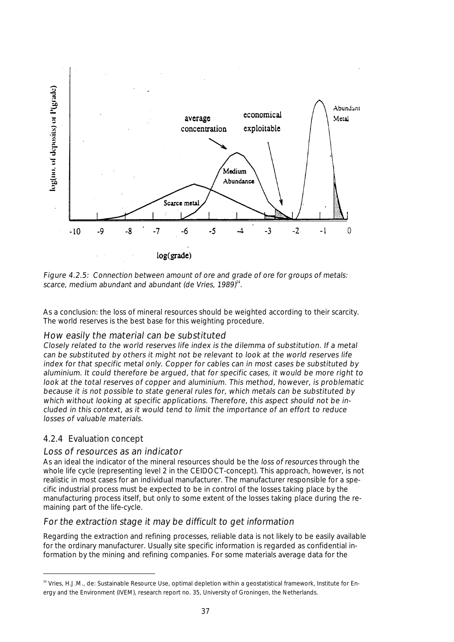

Figure 4.2.5: Connection between amount of ore and grade of ore for groups of metals: scarce, medium abundant and abundant (de Vries, 1989) $^{24}$ .

As a conclusion: the loss of mineral resources should be weighted according to their scarcity. The world reserves is the best base for this weighting procedure.

## How easily the material can be substituted

Closely related to the world reserves life index is the dilemma of substitution. If a metal can be substituted by others it might not be relevant to look at the world reserves life index for that specific metal only. Copper for cables can in most cases be substituted by aluminium. It could therefore be argued, that for specific cases, it would be more right to look at the total reserves of copper and aluminium. This method, however, is problematic because it is not possible to state general rules for, which metals can be substituted by which without looking at specific applications. Therefore, this aspect should not be included in this context, as it would tend to limit the importance of an effort to reduce losses of valuable materials.

## 4.2.4 Evaluation concept

#### Loss of resources as an indicator

As an ideal the indicator of the mineral resources should be the loss of resources through the whole life cycle (representing level 2 in the CEIDOCT-concept). This approach, however, is not realistic in most cases for an individual manufacturer. The manufacturer responsible for a specific industrial process must be expected to be in control of the losses taking place by the manufacturing process itself, but only to some extent of the losses taking place during the remaining part of the life-cycle.

## For the extraction stage it may be difficult to get information

Regarding the extraction and refining processes, reliable data is not likely to be easily available for the ordinary manufacturer. Usually site specific information is regarded as confidential information by the mining and refining companies. For some materials average data for the

<sup>&</sup>lt;sup>24</sup> Vries, H.J.M., de: Sustainable Resource Use, optimal depletion within a geostatistical framework, Institute for Energy and the Environment (IVEM), research report no. 35, University of Groningen, the Netherlands.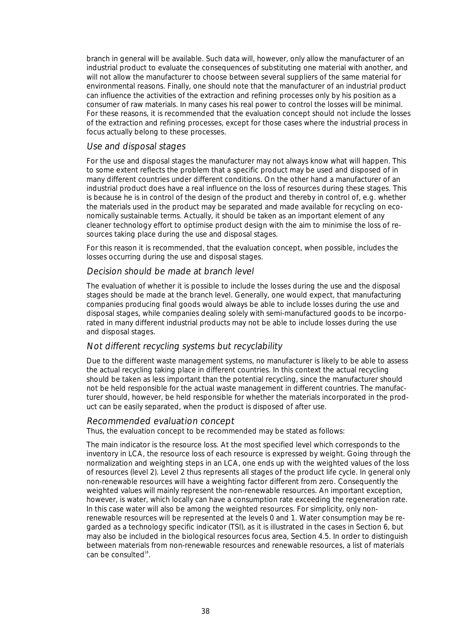branch in general will be available. Such data will, however, only allow the manufacturer of an industrial product to evaluate the consequences of substituting one material with another, and will not allow the manufacturer to choose between several suppliers of the same material for environmental reasons. Finally, one should note that the manufacturer of an industrial product can influence the activities of the extraction and refining processes only by his position as a consumer of raw materials. In many cases his real power to control the losses will be minimal. For these reasons, it is recommended that the evaluation concept should not include the losses of the extraction and refining processes, except for those cases where the industrial process in focus actually belong to these processes.

### Use and disposal stages

For the use and disposal stages the manufacturer may not always know what will happen. This to some extent reflects the problem that a specific product may be used and disposed of in many different countries under different conditions. On the other hand a manufacturer of an industrial product does have a real influence on the loss of resources during these stages. This is because he is in control of the design of the product and thereby in control of, e.g. whether the materials used in the product may be separated and made available for recycling on economically sustainable terms. Actually, it should be taken as an important element of any cleaner technology effort to optimise product design with the aim to minimise the loss of resources taking place during the use and disposal stages.

For this reason it is recommended, that the evaluation concept, when possible, includes the losses occurring during the use and disposal stages.

### Decision should be made at branch level

The evaluation of whether it is possible to include the losses during the use and the disposal stages should be made at the branch level. Generally, one would expect, that manufacturing companies producing final goods would always be able to include losses during the use and disposal stages, while companies dealing solely with semi-manufactured goods to be incorporated in many different industrial products may not be able to include losses during the use and disposal stages.

## Not different recycling systems but recyclability

Due to the different waste management systems, no manufacturer is likely to be able to assess the actual recycling taking place in different countries. In this context the actual recycling should be taken as less important than the potential recycling, since the manufacturer should not be held responsible for the actual waste management in different countries. The manufacturer should, however, be held responsible for whether the materials incorporated in the product can be easily separated, when the product is disposed of after use.

#### Recommended evaluation concept

Thus, the evaluation concept to be recommended may be stated as follows:

The main indicator is the resource loss. At the most specified level which corresponds to the inventory in LCA, the resource loss of each resource is expressed by weight. Going through the normalization and weighting steps in an LCA, one ends up with the weighted values of the loss of resources (level 2). Level 2 thus represents all stages of the product life cycle. In general only non-renewable resources will have a weighting factor different from zero. Consequently the weighted values will mainly represent the non-renewable resources. An important exception, however, is water, which locally can have a consumption rate exceeding the regeneration rate. In this case water will also be among the weighted resources. For simplicity, only nonrenewable resources will be represented at the levels 0 and 1. Water consumption may be regarded as a technology specific indicator (TSI), as it is illustrated in the cases in Section 6, but may also be included in the biological resources focus area, Section 4.5. In order to distinguish between materials from non-renewable resources and renewable resources, a list of materials can be consulted<sup>18</sup>.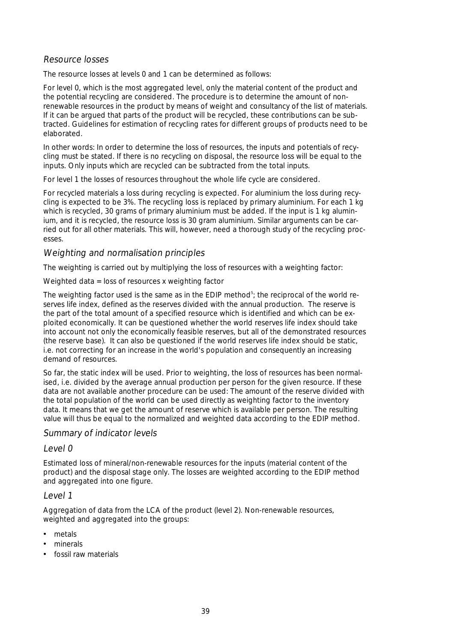## Resource losses

The resource losses at levels 0 and 1 can be determined as follows:

For level 0, which is the most aggregated level, only the material content of the product and the potential recycling are considered. The procedure is to determine the amount of nonrenewable resources in the product by means of weight and consultancy of the list of materials. If it can be argued that parts of the product will be recycled, these contributions can be subtracted. Guidelines for estimation of recycling rates for different groups of products need to be elaborated.

In other words: In order to determine the loss of resources, the inputs and potentials of recycling must be stated. If there is no recycling on disposal, the resource loss will be equal to the inputs. Only inputs which are recycled can be subtracted from the total inputs.

For level 1 the losses of resources throughout the whole life cycle are considered.

For recycled materials a loss during recycling is expected. For aluminium the loss during recycling is expected to be 3%. The recycling loss is replaced by primary aluminium. For each 1 kg which is recycled. 30 grams of primary aluminium must be added. If the input is 1 kg aluminium, and it is recycled, the resource loss is 30 gram aluminium. Similar arguments can be carried out for all other materials. This will, however, need a thorough study of the recycling processes.

### Weighting and normalisation principles

The weighting is carried out by multiplying the loss of resources with a weighting factor:

Weighted data = loss of resources x weighting factor

The weighting factor used is the same as in the EDIP method<sup>5</sup>; the reciprocal of the world reserves life index, defined as the reserves divided with the annual production. The reserve is the part of the total amount of a specified resource which is identified and which can be exploited economically. It can be questioned whether the world reserves life index should take into account not only the economically feasible reserves, but all of the demonstrated resources (the reserve base). It can also be questioned if the world reserves life index should be static, i.e. not correcting for an increase in the world's population and consequently an increasing demand of resources.

So far, the static index will be used. Prior to weighting, the loss of resources has been normalised, i.e. divided by the average annual production per person for the given resource. If these data are not available another procedure can be used: The amount of the reserve divided with the total population of the world can be used directly as weighting factor to the inventory data. It means that we get the amount of reserve which is available per person. The resulting value will thus be equal to the normalized and weighted data according to the EDIP method.

#### Summary of indicator levels

Level 0

Estimated loss of mineral/non-renewable resources for the inputs (material content of the product) and the disposal stage only. The losses are weighted according to the EDIP method and aggregated into one figure.

#### Level 1

Aggregation of data from the LCA of the product (level 2). Non-renewable resources, weighted and aggregated into the groups:

- metals
- minerals
- fossil raw materials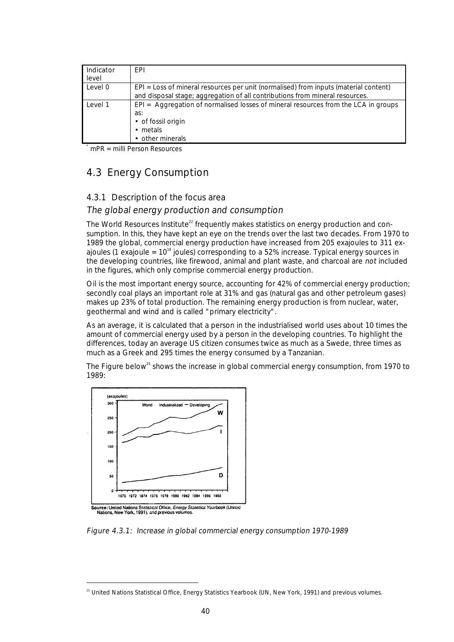| Indicator<br>level | <b>FPI</b>                                                                                                                                                             |
|--------------------|------------------------------------------------------------------------------------------------------------------------------------------------------------------------|
| Level 0            | $EPI = Loss$ of mineral resources per unit (normalised) from inputs (material content)<br>and disposal stage; aggregation of all contributions from mineral resources. |
| Level 1            | EPI = Aggregation of normalised losses of mineral resources from the LCA in groups<br>as:<br>• of fossil origin<br>$\bullet$ metals<br>• other minerals                |

 $mPR =$  milli Person Resources

# 4.3 Energy Consumption

## 4.3.1 Description of the focus area

## The global energy production and consumption

The World Resources Institute<sup>22</sup> frequently makes statistics on energy production and consumption. In this, they have kept an eye on the trends over the last two decades. From 1970 to 1989 the global, commercial energy production have increased from 205 exajoules to 311 exajoules (1 exajoule =  $10^{18}$  joules) corresponding to a 52% increase. Typical energy sources in the developing countries, like firewood, animal and plant waste, and charcoal are not included in the figures, which only comprise commercial energy production.

Oil is the most important energy source, accounting for 42% of commercial energy production; secondly coal plays an important role at 31% and gas (natural gas and other petroleum gases) makes up 23% of total production. The remaining energy production is from nuclear, water, geothermal and wind and is called "primary electricity".

As an average, it is calculated that a person in the industrialised world uses about 10 times the amount of commercial energy used by a person in the developing countries. To highlight the differences, today an average US citizen consumes twice as much as a Swede, three times as much as a Greek and 295 times the energy consumed by a Tanzanian.

The Figure below<sup>25</sup> shows the increase in global commercial energy consumption, from 1970 to 1989:



Figure 4.3.1: Increase in global commercial energy consumption 1970-1989

<sup>&</sup>lt;sup>25</sup> United Nations Statistical Office, Energy Statistics Yearbook (UN, New York, 1991) and previous volumes.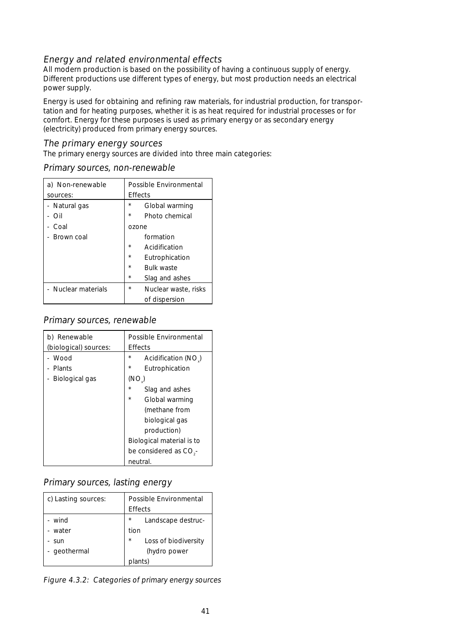## Energy and related environmental effects

All modern production is based on the possibility of having a continuous supply of energy. Different productions use different types of energy, but most production needs an electrical power supply.

Energy is used for obtaining and refining raw materials, for industrial production, for transportation and for heating purposes, whether it is as heat required for industrial processes or for comfort. Energy for these purposes is used as primary energy or as secondary energy (electricity) produced from primary energy sources.

## The primary energy sources

The primary energy sources are divided into three main categories:

| a) Non-renewable<br>sources: | Possible Environmental<br><b>Effects</b> |  |  |
|------------------------------|------------------------------------------|--|--|
| - Natural gas                | $^\star$<br>Global warming               |  |  |
| Oil                          | $\star$<br>Photo chemical                |  |  |
| Coal                         | ozone                                    |  |  |
| Brown coal                   | formation                                |  |  |
|                              | $\star$<br>Acidification                 |  |  |
|                              | $\star$<br>Eutrophication                |  |  |
|                              | $\star$<br><b>Bulk waste</b>             |  |  |
|                              | $\star$<br>Slag and ashes                |  |  |
| - Nuclear materials          | $\star$<br>Nuclear waste, risks          |  |  |
|                              | of dispersion                            |  |  |

Primary sources, non-renewable

## Primary sources, renewable

| b) Renewable          | Possible Environmental             |
|-----------------------|------------------------------------|
| (biological) sources: | <b>Effects</b>                     |
| - Wood                | *<br>Acidification (NO)            |
| - Plants              | *<br>Eutrophication                |
| Biological gas        | (NO)                               |
|                       | $^{\star}$<br>Slag and ashes       |
|                       | $\star$<br>Global warming          |
|                       | (methane from                      |
|                       | biological gas                     |
|                       | production)                        |
|                       | Biological material is to          |
|                       | be considered as CO <sub>3</sub> - |
|                       | neutral.                           |

## Primary sources, lasting energy

| c) Lasting sources:                        | <b>Possible Environmental</b><br><b>Effects</b>                                                     |  |
|--------------------------------------------|-----------------------------------------------------------------------------------------------------|--|
| - wind<br>- water<br>- sun<br>- geothermal | $\star$<br>Landscape destruc-<br>tion<br>$\star$<br>Loss of biodiversity<br>(hydro power<br>plants) |  |

Figure 4.3.2: Categories of primary energy sources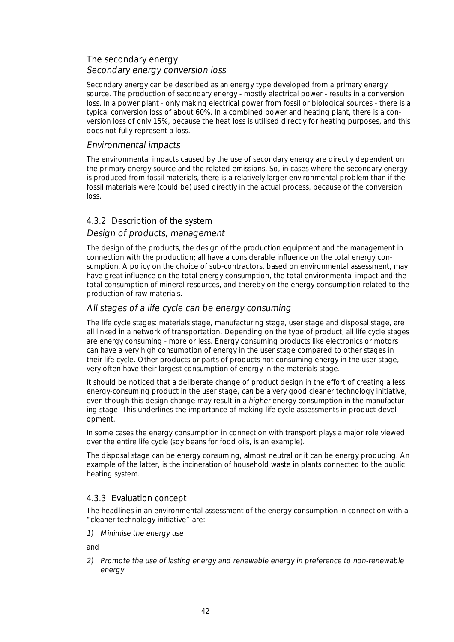## The secondary energy Secondary energy conversion loss

Secondary energy can be described as an energy type developed from a primary energy source. The production of secondary energy - mostly electrical power - results in a conversion loss. In a power plant - only making electrical power from fossil or biological sources - there is a typical conversion loss of about 60%. In a combined power and heating plant, there is a conversion loss of only 15%, because the heat loss is utilised directly for heating purposes, and this does not fully represent a loss.

#### Environmental impacts

The environmental impacts caused by the use of secondary energy are directly dependent on the primary energy source and the related emissions. So, in cases where the secondary energy is produced from fossil materials, there is a relatively larger environmental problem than if the fossil materials were (could be) used directly in the actual process, because of the conversion loss.

### 4.3.2 Description of the system

### Design of products, management

The design of the products, the design of the production equipment and the management in connection with the production; all have a considerable influence on the total energy consumption. A policy on the choice of sub-contractors, based on environmental assessment, may have great influence on the total energy consumption, the total environmental impact and the total consumption of mineral resources, and thereby on the energy consumption related to the production of raw materials.

### All stages of a life cycle can be energy consuming

The life cycle stages: materials stage, manufacturing stage, user stage and disposal stage, are all linked in a network of transportation. Depending on the type of product, all life cycle stages are energy consuming - more or less. Energy consuming products like electronics or motors can have a very high consumption of energy in the user stage compared to other stages in their life cycle. Other products or parts of products not consuming energy in the user stage, very often have their largest consumption of energy in the materials stage.

It should be noticed that a deliberate change of product design in the effort of creating a less energy-consuming product in the user stage, can be a very good cleaner technology initiative, even though this design change may result in a higher energy consumption in the manufacturing stage. This underlines the importance of making life cycle assessments in product development.

In some cases the energy consumption in connection with transport plays a major role viewed over the entire life cycle (soy beans for food oils, is an example).

The disposal stage can be energy consuming, almost neutral or it can be energy producing. An example of the latter, is the incineration of household waste in plants connected to the public heating system.

#### 4.3.3 Evaluation concept

The headlines in an environmental assessment of the energy consumption in connection with a "cleaner technology initiative" are:

1) Minimise the energy use

and

2) Promote the use of lasting energy and renewable energy in preference to non-renewable energy.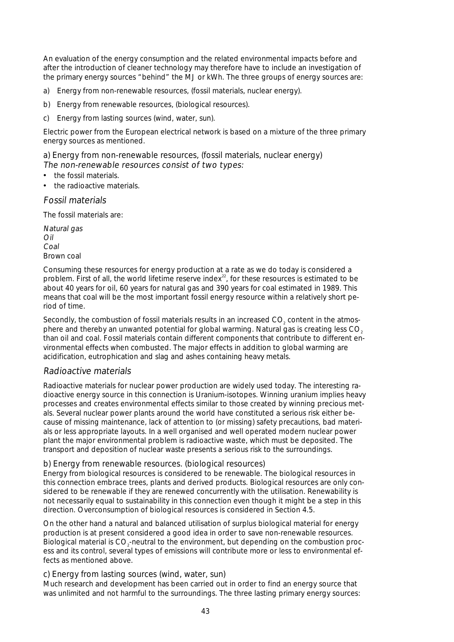An evaluation of the energy consumption and the related environmental impacts before and after the introduction of cleaner technology may therefore have to include an investigation of the primary energy sources "behind" the MJ or kWh. The three groups of energy sources are:

- a) Energy from non-renewable resources, (fossil materials, nuclear energy).
- b) Energy from renewable resources, (biological resources).
- c) Energy from lasting sources (wind, water, sun).

Electric power from the European electrical network is based on a mixture of the three primary energy sources as mentioned.

a) Energy from non-renewable resources, (fossil materials, nuclear energy) The non-renewable resources consist of two types:

- the fossil materials.
- the radioactive materials.

Fossil materials

The fossil materials are:

Natural gas Oil Coal Brown coal

Consuming these resources for energy production at a rate as we do today is considered a problem. First of all, the world lifetime reserve index $^{22}$ , for these resources is estimated to be about 40 years for oil, 60 years for natural gas and 390 years for coal estimated in 1989. This means that coal will be the most important fossil energy resource within a relatively short period of time.

Secondly, the combustion of fossil materials results in an increased CO<sub>2</sub> content in the atmosphere and thereby an unwanted potential for global warming. Natural gas is creating less CO<sub>2</sub> than oil and coal. Fossil materials contain different components that contribute to different environmental effects when combusted. The major effects in addition to global warming are acidification, eutrophication and slag and ashes containing heavy metals.

## Radioactive materials

Radioactive materials for nuclear power production are widely used today. The interesting radioactive energy source in this connection is Uranium-isotopes. Winning uranium implies heavy processes and creates environmental effects similar to those created by winning precious metals. Several nuclear power plants around the world have constituted a serious risk either because of missing maintenance, lack of attention to (or missing) safety precautions, bad materials or less appropriate layouts. In a well organised and well operated modern nuclear power plant the major environmental problem is radioactive waste, which must be deposited. The transport and deposition of nuclear waste presents a serious risk to the surroundings.

## b) Energy from renewable resources. (biological resources)

Energy from biological resources is considered to be renewable. The biological resources in this connection embrace trees, plants and derived products. Biological resources are only considered to be renewable if they are renewed concurrently with the utilisation. Renewability is not necessarily equal to sustainability in this connection even though it might be a step in this direction. Overconsumption of biological resources is considered in Section 4.5.

On the other hand a natural and balanced utilisation of surplus biological material for energy production is at present considered a good idea in order to save non-renewable resources. Biological material is CO<sub>2</sub>-neutral to the environment, but depending on the combustion process and its control, several types of emissions will contribute more or less to environmental effects as mentioned above.

c) Energy from lasting sources (wind, water, sun)

Much research and development has been carried out in order to find an energy source that was unlimited and not harmful to the surroundings. The three lasting primary energy sources: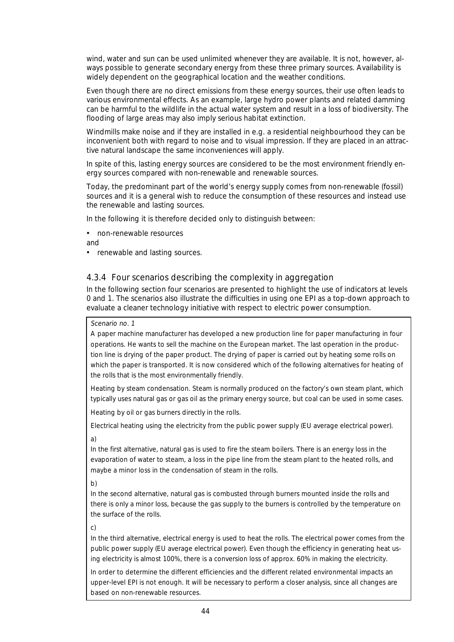wind, water and sun can be used unlimited whenever they are available. It is not, however, always possible to generate secondary energy from these three primary sources. Availability is widely dependent on the geographical location and the weather conditions.

Even though there are no direct emissions from these energy sources, their use often leads to various environmental effects. As an example, large hydro power plants and related damming can be harmful to the wildlife in the actual water system and result in a loss of biodiversity. The flooding of large areas may also imply serious habitat extinction.

Windmills make noise and if they are installed in e.g. a residential neighbourhood they can be inconvenient both with regard to noise and to visual impression. If they are placed in an attractive natural landscape the same inconveniences will apply.

In spite of this, lasting energy sources are considered to be the most environment friendly energy sources compared with non-renewable and renewable sources.

Today, the predominant part of the world's energy supply comes from non-renewable (fossil) sources and it is a general wish to reduce the consumption of these resources and instead use the renewable and lasting sources.

In the following it is therefore decided only to distinguish between:

• non-renewable resources

and

• renewable and lasting sources.

## 4.3.4 Four scenarios describing the complexity in aggregation

In the following section four scenarios are presented to highlight the use of indicators at levels 0 and 1. The scenarios also illustrate the difficulties in using one EPI as a top-down approach to evaluate a cleaner technology initiative with respect to electric power consumption.

#### Scenario no. 1

A paper machine manufacturer has developed a new production line for paper manufacturing in four operations. He wants to sell the machine on the European market. The last operation in the production line is drying of the paper product. The drying of paper is carried out by heating some rolls on which the paper is transported. It is now considered which of the following alternatives for heating of the rolls that is the most environmentally friendly.

Heating by steam condensation. Steam is normally produced on the factory's own steam plant, which typically uses natural gas or gas oil as the primary energy source, but coal can be used in some cases.

Heating by oil or gas burners directly in the rolls.

Electrical heating using the electricity from the public power supply (EU average electrical power). a)

In the first alternative, natural gas is used to fire the steam boilers. There is an energy loss in the evaporation of water to steam, a loss in the pipe line from the steam plant to the heated rolls, and maybe a minor loss in the condensation of steam in the rolls.

b)

In the second alternative, natural gas is combusted through burners mounted inside the rolls and there is only a minor loss, because the gas supply to the burners is controlled by the temperature on the surface of the rolls.

c)

In the third alternative, electrical energy is used to heat the rolls. The electrical power comes from the public power supply (EU average electrical power). Even though the efficiency in generating heat using electricity is almost 100%, there is a conversion loss of approx. 60% in making the electricity.

In order to determine the different efficiencies and the different related environmental impacts an upper-level EPI is not enough. It will be necessary to perform a closer analysis, since all changes are based on non-renewable resources.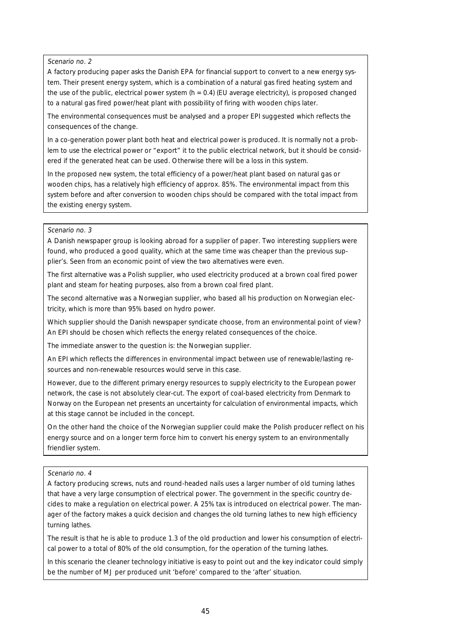#### Scenario no. 2

A factory producing paper asks the Danish EPA for financial support to convert to a new energy system. Their present energy system, which is a combination of a natural gas fired heating system and the use of the public, electrical power system ( $h = 0.4$ ) (EU average electricity), is proposed changed to a natural gas fired power/heat plant with possibility of firing with wooden chips later.

The environmental consequences must be analysed and a proper EPI suggested which reflects the consequences of the change.

In a co-generation power plant both heat and electrical power is produced. It is normally not a problem to use the electrical power or "export" it to the public electrical network, but it should be considered if the generated heat can be used. Otherwise there will be a loss in this system.

In the proposed new system, the total efficiency of a power/heat plant based on natural gas or wooden chips, has a relatively high efficiency of approx. 85%. The environmental impact from this system before and after conversion to wooden chips should be compared with the total impact from the existing energy system.

#### Scenario no. 3

A Danish newspaper group is looking abroad for a supplier of paper. Two interesting suppliers were found, who produced a good quality, which at the same time was cheaper than the previous supplier's. Seen from an economic point of view the two alternatives were even.

The first alternative was a Polish supplier, who used electricity produced at a brown coal fired power plant and steam for heating purposes, also from a brown coal fired plant.

The second alternative was a Norwegian supplier, who based all his production on Norwegian electricity, which is more than 95% based on hydro power.

Which supplier should the Danish newspaper syndicate choose, from an environmental point of view? An EPI should be chosen which reflects the energy related consequences of the choice.

The immediate answer to the question is: the Norwegian supplier.

An EPI which reflects the differences in environmental impact between use of renewable/lasting resources and non-renewable resources would serve in this case.

However, due to the different primary energy resources to supply electricity to the European power network, the case is not absolutely clear-cut. The export of coal-based electricity from Denmark to Norway on the European net presents an uncertainty for calculation of environmental impacts, which at this stage cannot be included in the concept.

On the other hand the choice of the Norwegian supplier could make the Polish producer reflect on his energy source and on a longer term force him to convert his energy system to an environmentally friendlier system.

#### Scenario no. 4

A factory producing screws, nuts and round-headed nails uses a larger number of old turning lathes that have a very large consumption of electrical power. The government in the specific country decides to make a regulation on electrical power. A 25% tax is introduced on electrical power. The manager of the factory makes a quick decision and changes the old turning lathes to new high efficiency turning lathes.

The result is that he is able to produce 1.3 of the old production and lower his consumption of electrical power to a total of 80% of the old consumption, for the operation of the turning lathes.

In this scenario the cleaner technology initiative is easy to point out and the key indicator could simply be the number of MJ per produced unit 'before' compared to the 'after' situation.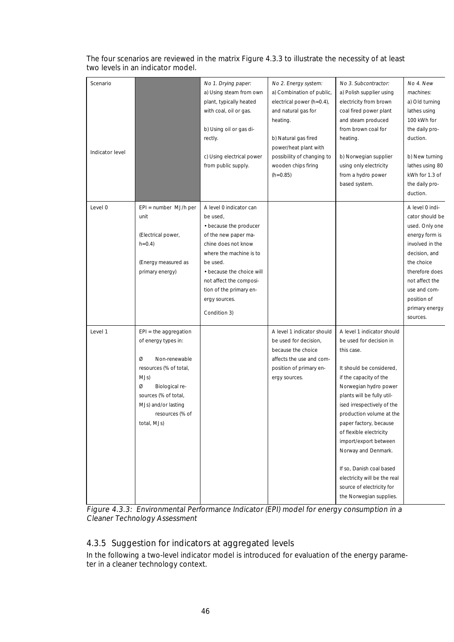## The four scenarios are reviewed in the matrix Figure 4.3.3 to illustrate the necessity of at least two levels in an indicator model.

| Scenario<br>Indicator level |                                                                                                                                                                                                                | No 1. Drying paper:<br>a) Using steam from own<br>plant, typically heated<br>with coal, oil or gas.<br>b) Using oil or gas di-<br>rectly.<br>c) Using electrical power<br>from public supply.                                                                           | No 2. Energy system:<br>a) Combination of public,<br>electrical power $(h=0.4)$ ,<br>and natural gas for<br>heating.<br>b) Natural gas fired<br>power/heat plant with<br>possibility of changing to<br>wooden chips firing<br>$(h=0.85)$ | No 3. Subcontractor:<br>a) Polish supplier using<br>electricity from brown<br>coal fired power plant<br>and steam produced<br>from brown coal for<br>heating.<br>b) Norwegian supplier<br>using only electricity<br>from a hydro power<br>based system.                                                                                                                                                                                                             | No 4. New<br>machines:<br>a) Old turning<br>lathes using<br>100 kWh for<br>the daily pro-<br>duction.<br>b) New turning<br>lathes using 80<br>kWh for 1.3 of<br>the daily pro-<br>duction.                                |
|-----------------------------|----------------------------------------------------------------------------------------------------------------------------------------------------------------------------------------------------------------|-------------------------------------------------------------------------------------------------------------------------------------------------------------------------------------------------------------------------------------------------------------------------|------------------------------------------------------------------------------------------------------------------------------------------------------------------------------------------------------------------------------------------|---------------------------------------------------------------------------------------------------------------------------------------------------------------------------------------------------------------------------------------------------------------------------------------------------------------------------------------------------------------------------------------------------------------------------------------------------------------------|---------------------------------------------------------------------------------------------------------------------------------------------------------------------------------------------------------------------------|
| Level 0                     | $EPI = number$ MJ/h per<br>unit<br>(Electrical power,<br>$h=0.4$ )<br>(Energy measured as<br>primary energy)                                                                                                   | A level 0 indicator can<br>be used,<br>• because the producer<br>of the new paper ma-<br>chine does not know<br>where the machine is to<br>be used.<br>• because the choice will<br>not affect the composi-<br>tion of the primary en-<br>ergy sources.<br>Condition 3) |                                                                                                                                                                                                                                          |                                                                                                                                                                                                                                                                                                                                                                                                                                                                     | A level 0 indi-<br>cator should be<br>used. Only one<br>energy form is<br>involved in the<br>decision, and<br>the choice<br>therefore does<br>not affect the<br>use and com-<br>position of<br>primary energy<br>sources. |
| Level 1                     | $EPI =$ the aggregation<br>of energy types in:<br>Ø<br>Non-renewable<br>resources (% of total,<br>MJs)<br>Ø<br>Biological re-<br>sources (% of total,<br>MJs) and/or lasting<br>resources (% of<br>total, MJs) |                                                                                                                                                                                                                                                                         | A level 1 indicator should<br>be used for decision,<br>because the choice<br>affects the use and com-<br>position of primary en-<br>ergy sources.                                                                                        | A level 1 indicator should<br>be used for decision in<br>this case.<br>It should be considered.<br>if the capacity of the<br>Norwegian hydro power<br>plants will be fully util-<br>ised irrespectively of the<br>production volume at the<br>paper factory, because<br>of flexible electricity<br>import/export between<br>Norway and Denmark.<br>If so, Danish coal based<br>electricity will be the real<br>source of electricity for<br>the Norwegian supplies. |                                                                                                                                                                                                                           |

Figure 4.3.3: Environmental Performance Indicator (EPI) model for energy consumption in a Cleaner Technology Assessment

## 4.3.5 Suggestion for indicators at aggregated levels

In the following a two-level indicator model is introduced for evaluation of the energy parameter in a cleaner technology context.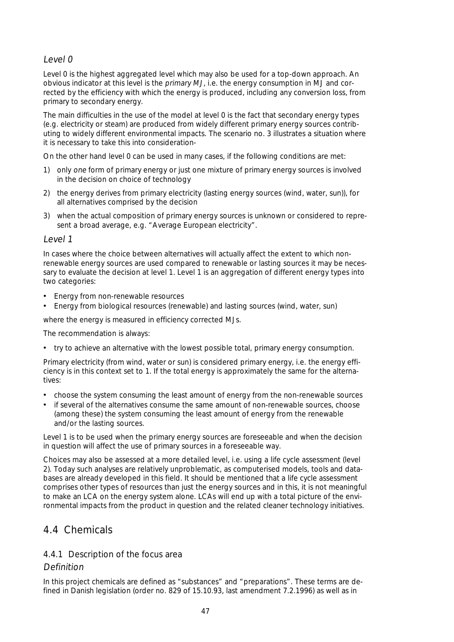## Level 0

Level 0 is the highest aggregated level which may also be used for a top-down approach. An obvious indicator at this level is the primary MJ, i.e. the energy consumption in MJ and corrected by the efficiency with which the energy is produced, including any conversion loss, from primary to secondary energy.

The main difficulties in the use of the model at level 0 is the fact that secondary energy types (e.g. electricity or steam) are produced from widely different primary energy sources contributing to widely different environmental impacts. The scenario no. 3 illustrates a situation where it is necessary to take this into consideration-

On the other hand level 0 can be used in many cases, if the following conditions are met:

- 1) only one form of primary energy or just one mixture of primary energy sources is involved in the decision on choice of technology
- 2) the energy derives from primary electricity (lasting energy sources (wind, water, sun)), for all alternatives comprised by the decision
- 3) when the actual composition of primary energy sources is unknown or considered to represent a broad average, e.g. "Average European electricity".

#### Level 1

In cases where the choice between alternatives will actually affect the extent to which nonrenewable energy sources are used compared to renewable or lasting sources it may be necessary to evaluate the decision at level 1. Level 1 is an aggregation of different energy types into two categories:

- Energy from non-renewable resources
- Energy from biological resources (renewable) and lasting sources (wind, water, sun)

where the energy is measured in efficiency corrected MJs.

The recommendation is always:

• try to achieve an alternative with the lowest possible total, primary energy consumption.

Primary electricity (from wind, water or sun) is considered primary energy, i.e. the energy efficiency is in this context set to 1. If the total energy is approximately the same for the alternatives:

- choose the system consuming the least amount of energy from the non-renewable sources
- if several of the alternatives consume the same amount of non-renewable sources, choose (among these) the system consuming the least amount of energy from the renewable and/or the lasting sources.

Level 1 is to be used when the primary energy sources are foreseeable and when the decision in question will affect the use of primary sources in a foreseeable way.

Choices may also be assessed at a more detailed level, i.e. using a life cycle assessment (level 2). Today such analyses are relatively unproblematic, as computerised models, tools and databases are already developed in this field. It should be mentioned that a life cycle assessment comprises other types of resources than just the energy sources and in this, it is not meaningful to make an LCA on the energy system alone. LCAs will end up with a total picture of the environmental impacts from the product in question and the related cleaner technology initiatives.

## 4.4 Chemicals

## 4.4.1 Description of the focus area

## Definition

In this project chemicals are defined as "substances" and "preparations". These terms are defined in Danish legislation (order no. 829 of 15.10.93, last amendment 7.2.1996) as well as in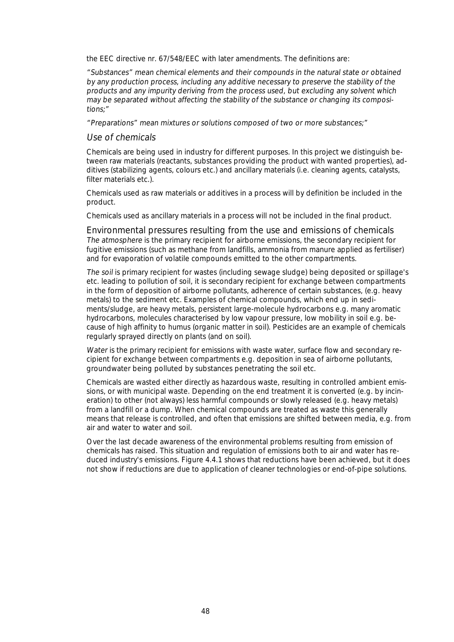the EEC directive nr. 67/548/EEC with later amendments. The definitions are:

"Substances" mean chemical elements and their compounds in the natural state or obtained by any production process, including any additive necessary to preserve the stability of the products and any impurity deriving from the process used, but excluding any solvent which may be separated without affecting the stability of the substance or changing its compositions;"

"Preparations" mean mixtures or solutions composed of two or more substances;"

#### Use of chemicals

Chemicals are being used in industry for different purposes. In this project we distinguish between raw materials (reactants, substances providing the product with wanted properties), additives (stabilizing agents, colours etc.) and ancillary materials (i.e. cleaning agents, catalysts, filter materials etc.).

Chemicals used as raw materials or additives in a process will by definition be included in the product.

Chemicals used as ancillary materials in a process will not be included in the final product.

Environmental pressures resulting from the use and emissions of chemicals The atmosphere is the primary recipient for airborne emissions, the secondary recipient for fugitive emissions (such as methane from landfills, ammonia from manure applied as fertiliser) and for evaporation of volatile compounds emitted to the other compartments.

The soil is primary recipient for wastes (including sewage sludge) being deposited or spillage's etc. leading to pollution of soil, it is secondary recipient for exchange between compartments in the form of deposition of airborne pollutants, adherence of certain substances, (e.g. heavy metals) to the sediment etc. Examples of chemical compounds, which end up in sediments/sludge, are heavy metals, persistent large-molecule hydrocarbons e.g. many aromatic hydrocarbons, molecules characterised by low vapour pressure, low mobility in soil e.g. because of high affinity to humus (organic matter in soil). Pesticides are an example of chemicals regularly sprayed directly on plants (and on soil).

Water is the primary recipient for emissions with waste water, surface flow and secondary recipient for exchange between compartments e.g. deposition in sea of airborne pollutants, groundwater being polluted by substances penetrating the soil etc.

Chemicals are wasted either directly as hazardous waste, resulting in controlled ambient emissions, or with municipal waste. Depending on the end treatment it is converted (e.g. by incineration) to other (not always) less harmful compounds or slowly released (e.g. heavy metals) from a landfill or a dump. When chemical compounds are treated as waste this generally means that release is controlled, and often that emissions are shifted between media, e.g. from air and water to water and soil.

Over the last decade awareness of the environmental problems resulting from emission of chemicals has raised. This situation and regulation of emissions both to air and water has reduced industry's emissions. Figure 4.4.1 shows that reductions have been achieved, but it does not show if reductions are due to application of cleaner technologies or end-of-pipe solutions.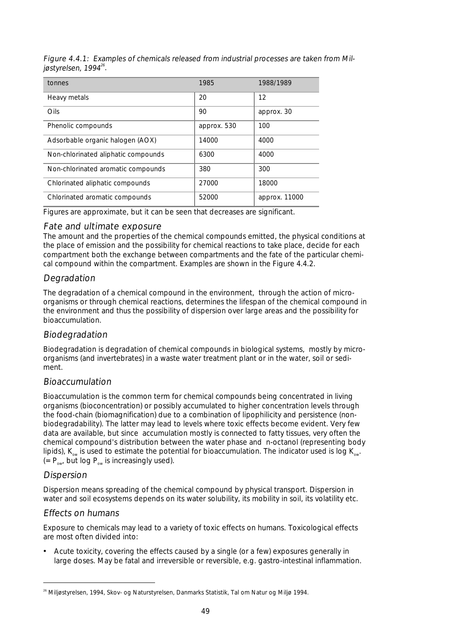Figure 4.4.1: Examples of chemicals released from industrial processes are taken from Miljøstyrelsen, 1994 $^{26}$ .

| tonnes                              | 1985        | 1988/1989     |
|-------------------------------------|-------------|---------------|
| Heavy metals                        | 20          | 12            |
| Oils                                | 90          | approx. 30    |
| Phenolic compounds                  | approx. 530 | 100           |
| Adsorbable organic halogen (AOX)    | 14000       | 4000          |
| Non-chlorinated aliphatic compounds | 6300        | 4000          |
| Non-chlorinated aromatic compounds  | 380         | 300           |
| Chlorinated aliphatic compounds     | 27000       | 18000         |
| Chlorinated aromatic compounds      | 52000       | approx. 11000 |

Figures are approximate, but it can be seen that decreases are significant.

## Fate and ultimate exposure

The amount and the properties of the chemical compounds emitted, the physical conditions at the place of emission and the possibility for chemical reactions to take place, decide for each compartment both the exchange between compartments and the fate of the particular chemical compound within the compartment. Examples are shown in the Figure 4.4.2.

## **Degradation**

The degradation of a chemical compound in the environment, through the action of microorganisms or through chemical reactions, determines the lifespan of the chemical compound in the environment and thus the possibility of dispersion over large areas and the possibility for bioaccumulation.

## Biodegradation

Biodegradation is degradation of chemical compounds in biological systems, mostly by microorganisms (and invertebrates) in a waste water treatment plant or in the water, soil or sediment.

## Bioaccumulation

Bioaccumulation is the common term for chemical compounds being concentrated in living organisms (bioconcentration) or possibly accumulated to higher concentration levels through the food-chain (biomagnification) due to a combination of lipophilicity and persistence (nonbiodegradability). The latter may lead to levels where toxic effects become evident. Very few data are available, but since accumulation mostly is connected to fatty tissues, very often the chemical compound's distribution between the water phase and n-octanol (representing body lipids),  $K_{\text{out}}$  is used to estimate the potential for bioaccumulation. The indicator used is log  $K_{\text{out}}$ .  $(= P_{ow}$  but log  $P_{ow}$  is increasingly used).

## Dispersion

Dispersion means spreading of the chemical compound by physical transport. Dispersion in water and soil ecosystems depends on its water solubility, its mobility in soil, its volatility etc.

## Effects on humans

Exposure to chemicals may lead to a variety of toxic effects on humans. Toxicological effects are most often divided into:

• Acute toxicity, covering the effects caused by a single (or a few) exposures generally in large doses. May be fatal and irreversible or reversible, e.g. gastro-intestinal inflammation.

<sup>&</sup>lt;sup>26</sup> Miljøstyrelsen, 1994, Skov- og Naturstyrelsen, Danmarks Statistik, Tal om Natur og Miljø 1994.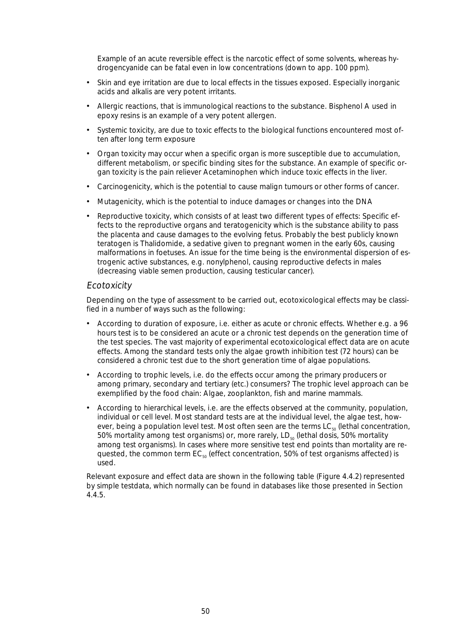Example of an acute reversible effect is the narcotic effect of some solvents, whereas hydrogencyanide can be fatal even in low concentrations (down to app. 100 ppm).

- Skin and eye irritation are due to local effects in the tissues exposed. Especially inorganic acids and alkalis are very potent irritants.
- Allergic reactions, that is immunological reactions to the substance. Bisphenol A used in epoxy resins is an example of a very potent allergen.
- Systemic toxicity, are due to toxic effects to the biological functions encountered most often after long term exposure
- Organ toxicity may occur when a specific organ is more susceptible due to accumulation, different metabolism, or specific binding sites for the substance. An example of specific organ toxicity is the pain reliever Acetaminophen which induce toxic effects in the liver.
- Carcinogenicity, which is the potential to cause malign tumours or other forms of cancer.
- Mutagenicity, which is the potential to induce damages or changes into the DNA
- Reproductive toxicity, which consists of at least two different types of effects: Specific effects to the reproductive organs and teratogenicity which is the substance ability to pass the placenta and cause damages to the evolving fetus. Probably the best publicly known teratogen is Thalidomide, a sedative given to pregnant women in the early 60s, causing malformations in foetuses. An issue for the time being is the environmental dispersion of estrogenic active substances, e.g. nonylphenol, causing reproductive defects in males (decreasing viable semen production, causing testicular cancer).

#### **Ecotoxicity**

Depending on the type of assessment to be carried out, ecotoxicological effects may be classified in a number of ways such as the following:

- According to duration of exposure, i.e. either as acute or chronic effects. Whether e.g. a 96 hours test is to be considered an acute or a chronic test depends on the generation time of the test species. The vast majority of experimental ecotoxicological effect data are on acute effects. Among the standard tests only the algae growth inhibition test (72 hours) can be considered a chronic test due to the short generation time of algae populations.
- According to trophic levels, i.e. do the effects occur among the primary producers or among primary, secondary and tertiary (etc.) consumers? The trophic level approach can be exemplified by the food chain: Algae, zooplankton, fish and marine mammals.
- According to hierarchical levels, i.e. are the effects observed at the community, population, individual or cell level. Most standard tests are at the individual level, the algae test, however, being a population level test. Most often seen are the terms  $LC_{50}$  (lethal concentration, 50% mortality among test organisms) or, more rarely,  $LD_{50}$  (lethal dosis, 50% mortality among test organisms). In cases where more sensitive test end points than mortality are requested, the common term  $EC_{50}$  (effect concentration, 50% of test organisms affected) is used.

Relevant exposure and effect data are shown in the following table (Figure 4.4.2) represented by simple testdata, which normally can be found in databases like those presented in Section 4.4.5.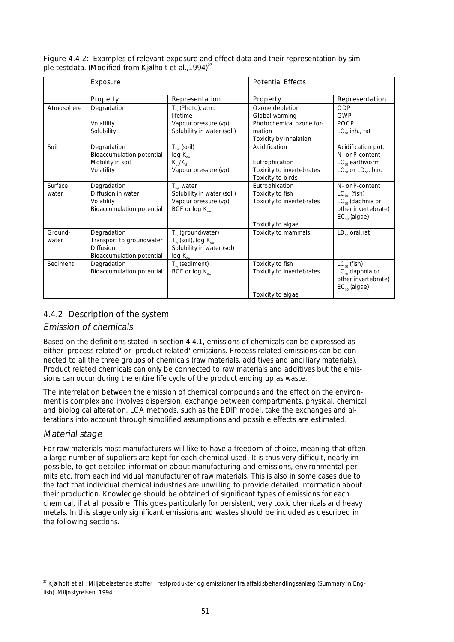|                  | Exposure                                                                                 |                                                                                                                  | <b>Potential Effects</b>                                                             |                                                                                                            |
|------------------|------------------------------------------------------------------------------------------|------------------------------------------------------------------------------------------------------------------|--------------------------------------------------------------------------------------|------------------------------------------------------------------------------------------------------------|
|                  | Property                                                                                 | Representation                                                                                                   | Property                                                                             | Representation                                                                                             |
| Atmosphere       | Degradation                                                                              | $T_{\kappa}$ (Photo), atm.<br>lifetime                                                                           | Ozone depletion<br>Global warming                                                    | ODP<br>GWP                                                                                                 |
|                  | Volatility<br>Solubility                                                                 | Vapour pressure (vp)<br>Solubility in water (sol.)                                                               | Photochemical ozone for-<br>mation<br>Toxicity by inhalation                         | POCP<br>$LC_{50}$ inh., rat                                                                                |
| Soil             | Degradation<br><b>Bioaccumulation potential</b><br>Mobility in soil<br>Volatility        | $T_{\kappa}$ , (soil)<br>$log K_{ow}$<br>$K_{\rm oc}/K_{\rm d}$<br>Vapour pressure (vp)                          | Acidification<br>Eutrophication<br>Toxicity to invertebrates<br>Toxicity to birds    | Acidification pot.<br>N- or P-content<br>$LC_{\kappa_0}$ earthworm<br>$LC_{50}$ or $LD_{50}$ , bird        |
| Surface<br>water | Degradation<br>Diffusion in water<br>Volatility<br><b>Bioaccumulation potential</b>      | $T_{\kappa}$ , water<br>Solubility in water (sol.)<br>Vapour pressure (vp)<br>BCF or $log K_{ow}$                | Eutrophication<br>Toxicity to fish<br>Toxicity to invertebrates<br>Toxicity to algae | N- or P-content<br>$LC_{50}$ , (fish)<br>$LC_{50}$ (daphnia or<br>other invertebrate)<br>$EC_{50}$ (algae) |
| Ground-<br>water | Degradation<br>Transport to groundwater<br><b>Diffusion</b><br>Bioaccumulation potential | $T_{\kappa}$ (groundwater)<br>$T_{\kappa}$ (soil), log $K_{\infty}$<br>Solubility in water (sol)<br>$log K_{ow}$ | Toxicity to mammals                                                                  | $LD_{50}$ oral, rat                                                                                        |
| Sediment         | Degradation<br><b>Bioaccumulation potential</b>                                          | $T_{\nu}$ (sediment)<br>BCF or log K <sub>ow</sub>                                                               | Toxicity to fish<br>Toxicity to invertebrates<br>Toxicity to algae                   | $LC_{50}$ (fish)<br>$LC_{50}$ daphnia or<br>other invertebrate)<br>$EC_{50}$ (algae)                       |

Figure 4.4.2: Examples of relevant exposure and effect data and their representation by simple testdata. (Modified from Kjølholt et al., 1994)<sup>27</sup>

## 4.4.2 Description of the system

## Emission of chemicals

Based on the definitions stated in section 4.4.1, emissions of chemicals can be expressed as either 'process related' or 'product related' emissions. Process related emissions can be connected to all the three groups of chemicals (raw materials, additives and ancilliary materials). Product related chemicals can only be connected to raw materials and additives but the emissions can occur during the entire life cycle of the product ending up as waste.

The interrelation between the emission of chemical compounds and the effect on the environment is complex and involves dispersion, exchange between compartments, physical, chemical and biological alteration. LCA methods, such as the EDIP model, take the exchanges and alterations into account through simplified assumptions and possible effects are estimated.

## Material stage

For raw materials most manufacturers will like to have a freedom of choice, meaning that often a large number of suppliers are kept for each chemical used. It is thus very difficult, nearly impossible, to get detailed information about manufacturing and emissions, environmental permits etc. from each individual manufacturer of raw materials. This is also in some cases due to the fact that individual chemical industries are unwilling to provide detailed information about their production. Knowledge should be obtained of significant types of emissions for each chemical, if at all possible. This goes particularly for persistent, very toxic chemicals and heavy metals. In this stage only significant emissions and wastes should be included as described in the following sections.

<sup>&</sup>lt;sup>27</sup> Kjølholt et al.: Miljøbelastende stoffer i restprodukter og emissioner fra affaldsbehandlingsanlæg (Summary in English). Miljøstyrelsen, 1994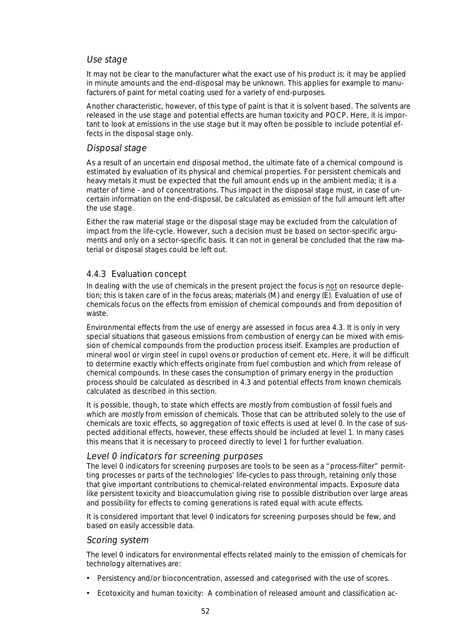### Use stage

It may not be clear to the manufacturer what the exact use of his product is; it may be applied in minute amounts and the end-disposal may be unknown. This applies for example to manufacturers of paint for metal coating used for a variety of end-purposes.

Another characteristic, however, of this type of paint is that it is solvent based. The solvents are released in the use stage and potential effects are human toxicity and POCP. Here, it is important to look at emissions in the use stage but it may often be possible to include potential effects in the disposal stage only.

## Disposal stage

As a result of an uncertain end disposal method, the ultimate fate of a chemical compound is estimated by evaluation of its physical and chemical properties. For persistent chemicals and heavy metals it must be expected that the full amount ends up in the ambient media; it is a matter of time - and of concentrations. Thus impact in the disposal stage must, in case of uncertain information on the end-disposal, be calculated as emission of the full amount left after the use stage.

Either the raw material stage or the disposal stage may be excluded from the calculation of impact from the life-cycle. However, such a decision must be based on sector-specific arguments and only on a sector-specific basis. It can not in general be concluded that the raw material or disposal stages could be left out.

## 4.4.3 Evaluation concept

In dealing with the use of chemicals in the present project the focus is not on resource depletion; this is taken care of in the focus areas; materials (M) and energy (E). Evaluation of use of chemicals focus on the effects from emission of chemical compounds and from deposition of waste.

Environmental effects from the use of energy are assessed in focus area 4.3. It is only in very special situations that gaseous emissions from combustion of energy can be mixed with emission of chemical compounds from the production process itself. Examples are production of mineral wool or virgin steel in cupol ovens or production of cement etc. Here, it will be difficult to determine exactly which effects originate from fuel combustion and which from release of chemical compounds. In these cases the consumption of primary energy in the production process should be calculated as described in 4.3 and potential effects from known chemicals calculated as described in this section.

It is possible, though, to state which effects are mostly from combustion of fossil fuels and which are mostly from emission of chemicals. Those that can be attributed solely to the use of chemicals are toxic effects, so aggregation of toxic effects is used at level 0. In the case of suspected additional effects, however, these effects should be included at level 1. In many cases this means that it is necessary to proceed directly to level 1 for further evaluation.

## Level 0 indicators for screening purposes

The level 0 indicators for screening purposes are tools to be seen as a "process-filter" permitting processes or parts of the technologies' life-cycles to pass through, retaining only those that give important contributions to chemical-related environmental impacts. Exposure data like persistent toxicity and bioaccumulation giving rise to possible distribution over large areas and possibility for effects to coming generations is rated equal with acute effects.

It is considered important that level 0 indicators for screening purposes should be few, and based on easily accessible data.

#### Scoring system

The level 0 indicators for environmental effects related mainly to the emission of chemicals for technology alternatives are:

- Persistency and/or bioconcentration, assessed and categorised with the use of scores.
- Ecotoxicity and human toxicity: A combination of released amount and classification ac-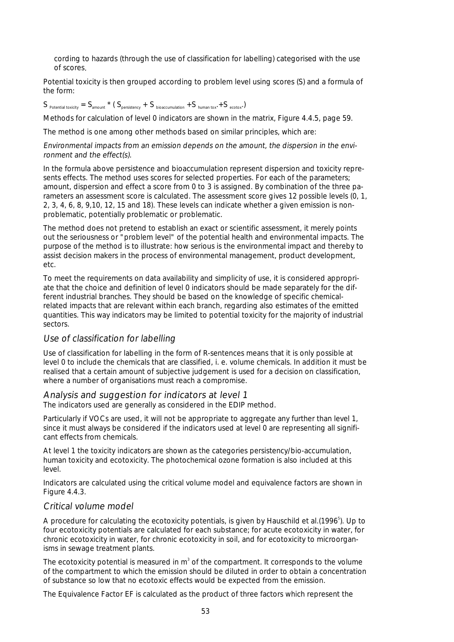cording to hazards (through the use of classification for labelling) categorised with the use of scores.

Potential toxicity is then grouped according to problem level using scores (S) and a formula of the form:

 $S_{\text{Potential toxicity}} = S_{\text{amount}} * (S_{\text{persistency}} + S_{\text{biaccumulation}} + S_{\text{human toy}} + S_{\text{ecotov}})$ 

Methods for calculation of level 0 indicators are shown in the matrix, Figure 4.4.5, page 59.

The method is one among other methods based on similar principles, which are:

Environmental impacts from an emission depends on the amount, the dispersion in the environment and the effect(s).

In the formula above persistence and bioaccumulation represent dispersion and toxicity represents effects. The method uses scores for selected properties. For each of the parameters; amount, dispersion and effect a score from 0 to 3 is assigned. By combination of the three parameters an assessment score is calculated. The assessment score gives 12 possible levels (0, 1, 2, 3, 4, 6, 8, 9,10, 12, 15 and 18). These levels can indicate whether a given emission is nonproblematic, potentially problematic or problematic.

The method does not pretend to establish an exact or scientific assessment, it merely points out the seriousness or "problem level" of the potential health and environmental impacts. The purpose of the method is to illustrate: how serious is the environmental impact and thereby to assist decision makers in the process of environmental management, product development, etc.

To meet the requirements on data availability and simplicity of use, it is considered appropriate that the choice and definition of level 0 indicators should be made separately for the different industrial branches. They should be based on the knowledge of specific chemicalrelated impacts that are relevant within each branch, regarding also estimates of the emitted quantities. This way indicators may be limited to potential toxicity for the majority of industrial sectors.

## Use of classification for labelling

Use of classification for labelling in the form of R-sentences means that it is only possible at level 0 to include the chemicals that are classified, i. e. volume chemicals. In addition it must be realised that a certain amount of subjective judgement is used for a decision on classification, where a number of organisations must reach a compromise.

## Analysis and suggestion for indicators at level 1

The indicators used are generally as considered in the EDIP method.

Particularly if VOCs are used, it will not be appropriate to aggregate any further than level 1, since it must always be considered if the indicators used at level 0 are representing all significant effects from chemicals.

At level 1 the toxicity indicators are shown as the categories persistency/bio-accumulation, human toxicity and ecotoxicity. The photochemical ozone formation is also included at this level.

Indicators are calculated using the critical volume model and equivalence factors are shown in Figure 4.4.3.

## Critical volume model

A procedure for calculating the ecotoxicity potentials, is given by Hauschild et al.(1996<sup>5</sup>). Up to four ecotoxicity potentials are calculated for each substance; for acute ecotoxicity in water, for chronic ecotoxicity in water, for chronic ecotoxicity in soil, and for ecotoxicity to microorganisms in sewage treatment plants.

The ecotoxicity potential is measured in  $m^3$  of the compartment. It corresponds to the volume of the compartment to which the emission should be diluted in order to obtain a concentration of substance so low that no ecotoxic effects would be expected from the emission.

The Equivalence Factor EF is calculated as the product of three factors which represent the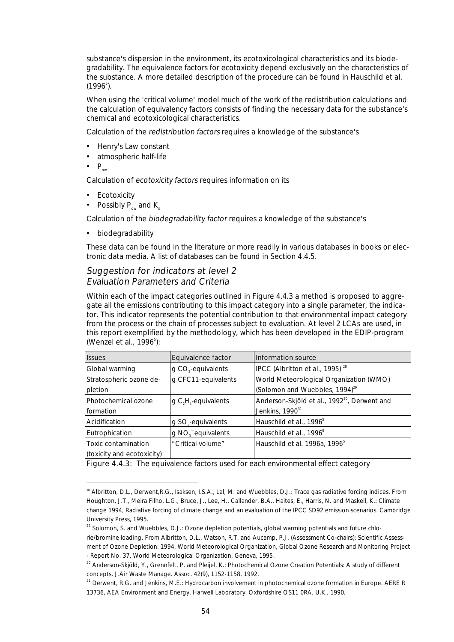substance's dispersion in the environment, its ecotoxicological characteristics and its biodegradability. The equivalence factors for ecotoxicity depend exclusively on the characteristics of the substance. A more detailed description of the procedure can be found in Hauschild et al.  $(1996^5)$ .

When using the 'critical volume' model much of the work of the redistribution calculations and the calculation of equivalency factors consists of finding the necessary data for the substance's chemical and ecotoxicological characteristics.

Calculation of the redistribution factors requires a knowledge of the substance's

- Henry's Law constant
- atmospheric half-life
- $\bullet$  P<sub>ow</sub>

Calculation of ecotoxicity factors requires information on its

- Ecotoxicity
- Possibly  $P_{ow}$  and  $K_{d}$

Calculation of the biodegradability factor requires a knowledge of the substance's

• biodegradability

These data can be found in the literature or more readily in various databases in books or electronic data media. A list of databases can be found in Section 4.4.5.

# Suggestion for indicators at level 2

## Evaluation Parameters and Criteria

Within each of the impact categories outlined in Figure 4.4.3 a method is proposed to aggregate all the emissions contributing to this impact category into a single parameter, the indicator. This indicator represents the potential contribution to that environmental impact category from the process or the chain of processes subject to evaluation. At level 2 LCAs are used, in this report exemplified by the methodology, which has been developed in the EDIP-program (Wenzel et al., 1996<sup>5</sup>):

| <b>Issues</b>              | Equivalence factor             | Information source                                       |
|----------------------------|--------------------------------|----------------------------------------------------------|
| Global warming             | g CO <sub>s</sub> -equivalents | IPCC (Albritton et al., 1995) <sup>28</sup>              |
| Stratospheric ozone de-    | g CFC11-equivalents            | World Meteorological Organization (WMO)                  |
| pletion                    |                                | (Solomon and Wuebbles, 1994) <sup>29</sup>               |
| Photochemical ozone        | g $C_1H_4$ -equivalents        | Anderson-Skjöld et al., 1992 <sup>30</sup> , Derwent and |
| formation                  |                                | Jenkins, 1990 <sup>31</sup>                              |
| Acidification              | g SO <sub>2</sub> -equivalents | Hauschild et al., 1996 <sup>5</sup>                      |
| Eutrophication             | g NO <sub>2</sub> equivalents  | Hauschild et al., 1996 <sup>5</sup>                      |
| Toxic contamination        | "Critical volume"              | Hauschild et al. 1996a, 1996 <sup>5</sup>                |
| (toxicity and ecotoxicity) |                                |                                                          |

Figure 4.4.3: The equivalence factors used for each environmental effect category

<sup>&</sup>lt;sup>28</sup> Albritton, D.L., Derwent, R.G., Isaksen, I.S.A., Lal, M. and Wuebbles, D.J.: Trace gas radiative forcing indices. From Houghton, J.T., Meira Filho, L.G., Bruce, J., Lee, H., Callander, B.A., Haites, E., Harris, N. and Maskell, K.: Climate change 1994, Radiative forcing of climate change and an evaluation of the IPCC SD92 emission scenarios. Cambridge University Press, 1995.

 $29$  Solomon, S. and Wuebbles, D.J.: Ozone depletion potentials, global warming potentials and future chlorie/bromine loading. From Albritton, D.L., Watson, R.T. and Aucamp, P.J. (Assessment Co-chairs): Scientific Assessment of Ozone Depletion: 1994. World Meteorological Organization, Global Ozone Research and Monitoring Project - Report No. 37, World Meteorological Organization, Geneva, 1995.

<sup>&</sup>lt;sup>30</sup> Anderson-Skjöld, Y., Grennfelt, P. and Pleijel, K.: Photochemical Ozone Creation Potentials: A study of different concepts. J.Air Waste Manage. Assoc. 42(9), 1152-1158, 1992.

<sup>&</sup>lt;sup>31</sup> Derwent, R.G. and Jenkins, M.E.: Hydrocarbon involvement in photochemical ozone formation in Europe. AERE R 13736, AEA Environment and Energy, Harwell Laboratory, Oxfordshire OS11 0RA, U.K., 1990.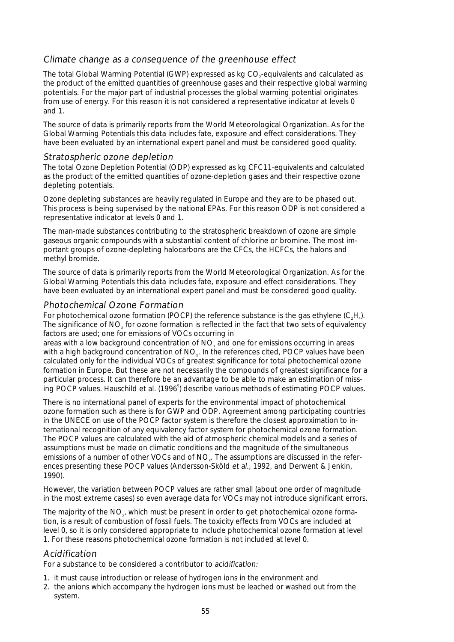## Climate change as a consequence of the greenhouse effect

The total Global Warming Potential (GWP) expressed as kg CO<sub>2</sub>-equivalents and calculated as the product of the emitted quantities of greenhouse gases and their respective global warming potentials. For the major part of industrial processes the global warming potential originates from use of energy. For this reason it is not considered a representative indicator at levels 0 and 1.

The source of data is primarily reports from the World Meteorological Organization. As for the Global Warming Potentials this data includes fate, exposure and effect considerations. They have been evaluated by an international expert panel and must be considered good quality.

## Stratospheric ozone depletion

The total Ozone Depletion Potential (ODP) expressed as kg CFC11-equivalents and calculated as the product of the emitted quantities of ozone-depletion gases and their respective ozone depleting potentials.

Ozone depleting substances are heavily regulated in Europe and they are to be phased out. This process is being supervised by the national EPAs. For this reason ODP is not considered a representative indicator at levels 0 and 1.

The man-made substances contributing to the stratospheric breakdown of ozone are simple gaseous organic compounds with a substantial content of chlorine or bromine. The most important groups of ozone-depleting halocarbons are the CFCs, the HCFCs, the halons and methyl bromide.

The source of data is primarily reports from the World Meteorological Organization. As for the Global Warming Potentials this data includes fate, exposure and effect considerations. They have been evaluated by an international expert panel and must be considered good quality.

### Photochemical Ozone Formation

For photochemical ozone formation (POCP) the reference substance is the gas ethylene  $(C,H)$ . The significance of NO<sub>x</sub> for ozone formation is reflected in the fact that two sets of equivalency factors are used; one for emissions of VOCs occurring in

areas with a low background concentration of NO<sub>v</sub> and one for emissions occurring in areas with a high background concentration of NO<sub>x</sub>. In the references cited, POCP values have been calculated only for the individual VOCs of greatest significance for total photochemical ozone formation in Europe. But these are not necessarily the compounds of greatest significance for a particular process. It can therefore be an advantage to be able to make an estimation of missing POCP values. Hauschild et al. (1996<sup>5</sup>) describe various methods of estimating POCP values.

There is no international panel of experts for the environmental impact of photochemical ozone formation such as there is for GWP and ODP. Agreement among participating countries in the UNECE on use of the POCP factor system is therefore the closest approximation to international recognition of any equivalency factor system for photochemical ozone formation. The POCP values are calculated with the aid of atmospheric chemical models and a series of assumptions must be made on climatic conditions and the magnitude of the simultaneous emissions of a number of other VOCs and of NO<sub>x</sub>. The assumptions are discussed in the references presenting these POCP values (Andersson-Sköld et al., 1992, and Derwent & Jenkin, 1990).

However, the variation between POCP values are rather small (about one order of magnitude in the most extreme cases) so even average data for VOCs may not introduce significant errors.

The majority of the  $NO<sub>x</sub>$ , which must be present in order to get photochemical ozone formation, is a result of combustion of fossil fuels. The toxicity effects from VOCs are included at level 0, so it is only considered appropriate to include photochemical ozone formation at level 1. For these reasons photochemical ozone formation is not included at level 0.

## Acidification

For a substance to be considered a contributor to acidification:

- 1. it must cause introduction or release of hydrogen ions in the environment and
- 2. the anions which accompany the hydrogen ions must be leached or washed out from the system.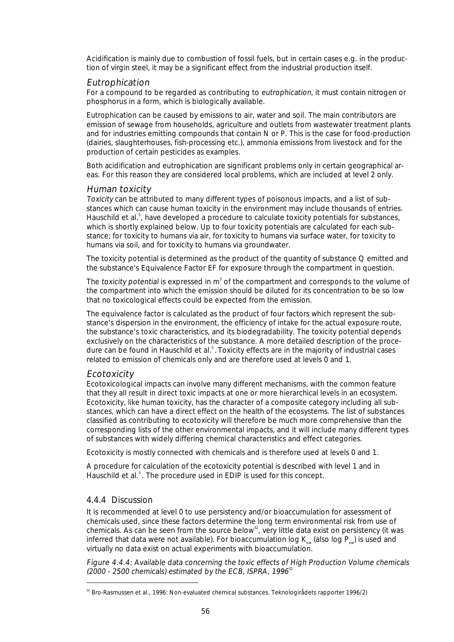Acidification is mainly due to combustion of fossil fuels, but in certain cases e.g. in the production of virgin steel, it may be a significant effect from the industrial production itself.

## Eutrophication

For a compound to be regarded as contributing to eutrophication, it must contain nitrogen or phosphorus in a form, which is biologically available.

Eutrophication can be caused by emissions to air, water and soil. The main contributors are emission of sewage from households, agriculture and outlets from wastewater treatment plants and for industries emitting compounds that contain N or P. This is the case for food-production (dairies, slaughterhouses, fish-processing etc.), ammonia emissions from livestock and for the production of certain pesticides as examples.

Both acidification and eutrophication are significant problems only in certain geographical areas. For this reason they are considered local problems, which are included at level 2 only.

## Human toxicity

Toxicity can be attributed to many different types of poisonous impacts, and a list of substances which can cause human toxicity in the environment may include thousands of entries. Hauschild et al.<sup>5</sup>, have developed a procedure to calculate toxicity potentials for substances, which is shortly explained below. Up to four toxicity potentials are calculated for each substance; for toxicity to humans via air, for toxicity to humans via surface water, for toxicity to humans via soil, and for toxicity to humans via groundwater.

The toxicity potential is determined as the product of the quantity of substance Q emitted and the substance's Equivalence Factor EF for exposure through the compartment in question.

The toxicity potential is expressed in  $m^3$  of the compartment and corresponds to the volume of the compartment into which the emission should be diluted for its concentration to be so low that no toxicological effects could be expected from the emission.

The equivalence factor is calculated as the product of four factors which represent the substance's dispersion in the environment, the efficiency of intake for the actual exposure route, the substance's toxic characteristics, and its biodegradability. The toxicity potential depends exclusively on the characteristics of the substance. A more detailed description of the procedure can be found in Hauschild et al.<sup>5</sup>. Toxicity effects are in the majority of industrial cases related to emission of chemicals only and are therefore used at levels 0 and 1.

## Ecotoxicity

Ecotoxicological impacts can involve many different mechanisms, with the common feature that they all result in direct toxic impacts at one or more hierarchical levels in an ecosystem. Ecotoxicity, like human toxicity, has the character of a composite category including all substances, which can have a direct effect on the health of the ecosystems. The list of substances classified as contributing to ecotoxicity will therefore be much more comprehensive than the corresponding lists of the other environmental impacts, and it will include many different types of substances with widely differing chemical characteristics and effect categories.

Ecotoxicity is mostly connected with chemicals and is therefore used at levels 0 and 1.

A procedure for calculation of the ecotoxicity potential is described with level 1 and in Hauschild et al.<sup>5</sup>. The procedure used in EDIP is used for this concept.

## 4.4.4 Discussion

It is recommended at level 0 to use persistency and/or bioaccumulation for assessment of chemicals used, since these factors determine the long term environmental risk from use of chemicals. As can be seen from the source below<sup>32</sup>, very little data exist on persistency (it was inferred that data were not available). For bioaccumulation log  $K_{\infty}$  (also log P<sub>ow</sub>) is used and virtually no data exist on actual experiments with bioaccumulation.

Figure 4.4.4: Available data concerning the toxic effects of High Production Volume chemicals (2000 - 2500 chemicals) estimated by the ECB, ISPRA,  $1996^{32}$ 

<sup>&</sup>lt;sup>32</sup> Bro-Rasmussen et al., 1996: Non-evaluated chemical substances. Teknologirådets rapporter 1996/2)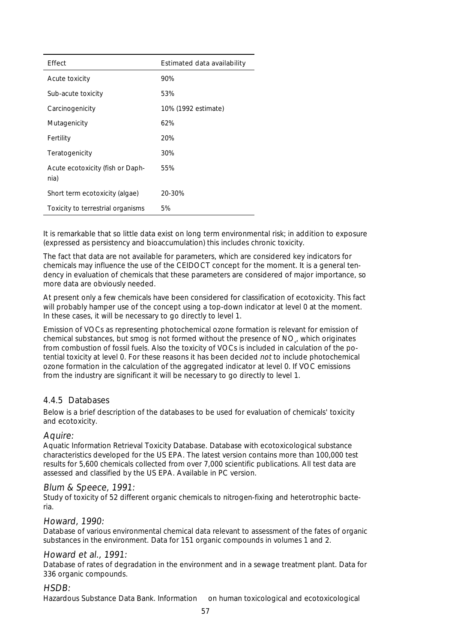| Effect                                   | Estimated data availability |
|------------------------------------------|-----------------------------|
| Acute toxicity                           | 90%                         |
| Sub-acute toxicity                       | 53%                         |
| Carcinogenicity                          | 10% (1992 estimate)         |
| Mutagenicity                             | 62%                         |
| Fertility                                | 20%                         |
| Teratogenicity                           | 30%                         |
| Acute ecotoxicity (fish or Daph-<br>nia) | 55%                         |
| Short term ecotoxicity (algae)           | 20-30%                      |
| Toxicity to terrestrial organisms        | 5%                          |

It is remarkable that so little data exist on long term environmental risk; in addition to exposure (expressed as persistency and bioaccumulation) this includes chronic toxicity.

The fact that data are not available for parameters, which are considered key indicators for chemicals may influence the use of the CEIDOCT concept for the moment. It is a general tendency in evaluation of chemicals that these parameters are considered of major importance, so more data are obviously needed.

At present only a few chemicals have been considered for classification of ecotoxicity. This fact will probably hamper use of the concept using a top-down indicator at level 0 at the moment. In these cases, it will be necessary to go directly to level 1.

Emission of VOCs as representing photochemical ozone formation is relevant for emission of chemical substances, but smog is not formed without the presence of NO, which originates from combustion of fossil fuels. Also the toxicity of VOCs is included in calculation of the potential toxicity at level 0. For these reasons it has been decided not to include photochemical ozone formation in the calculation of the aggregated indicator at level 0. If VOC emissions from the industry are significant it will be necessary to go directly to level 1.

## 4.4.5 Databases

Below is a brief description of the databases to be used for evaluation of chemicals' toxicity and ecotoxicity.

## Aquire:

Aquatic Information Retrieval Toxicity Database. Database with ecotoxicological substance characteristics developed for the US EPA. The latest version contains more than 100,000 test results for 5,600 chemicals collected from over 7,000 scientific publications. All test data are assessed and classified by the US EPA. Available in PC version.

#### Blum & Speece, 1991:

Study of toxicity of 52 different organic chemicals to nitrogen-fixing and heterotrophic bacteria.

## Howard, 1990:

Database of various environmental chemical data relevant to assessment of the fates of organic substances in the environment. Data for 151 organic compounds in volumes 1 and 2.

#### Howard et al., 1991:

Database of rates of degradation in the environment and in a sewage treatment plant. Data for 336 organic compounds.

#### HSDB:

Hazardous Substance Data Bank. Information on human toxicological and ecotoxicological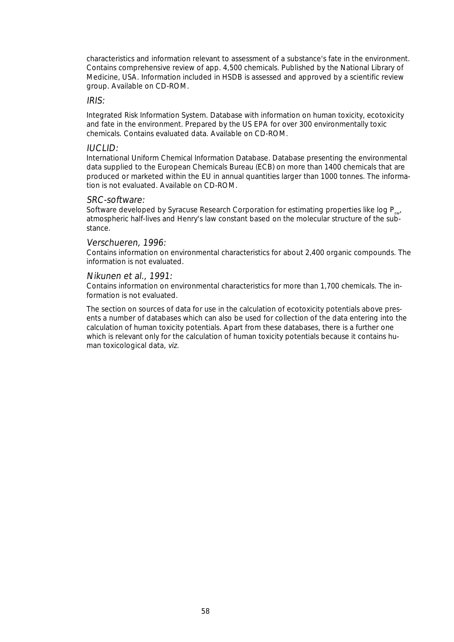characteristics and information relevant to assessment of a substance's fate in the environment. Contains comprehensive review of app. 4,500 chemicals. Published by the National Library of Medicine, USA. Information included in HSDB is assessed and approved by a scientific review group. Available on CD-ROM.

#### IRIS:

Integrated Risk Information System. Database with information on human toxicity, ecotoxicity and fate in the environment. Prepared by the US EPA for over 300 environmentally toxic chemicals. Contains evaluated data. Available on CD-ROM.

#### IUCLID:

International Uniform Chemical Information Database. Database presenting the environmental data supplied to the European Chemicals Bureau (ECB) on more than 1400 chemicals that are produced or marketed within the EU in annual quantities larger than 1000 tonnes. The information is not evaluated. Available on CD-ROM.

#### SRC-software:

Software developed by Syracuse Research Corporation for estimating properties like log  $P_{out}$ atmospheric half-lives and Henry's law constant based on the molecular structure of the substance.

#### Verschueren, 1996:

Contains information on environmental characteristics for about 2,400 organic compounds. The information is not evaluated.

#### Nikunen et al., 1991:

Contains information on environmental characteristics for more than 1,700 chemicals. The information is not evaluated.

The section on sources of data for use in the calculation of ecotoxicity potentials above presents a number of databases which can also be used for collection of the data entering into the calculation of human toxicity potentials. Apart from these databases, there is a further one which is relevant only for the calculation of human toxicity potentials because it contains human toxicological data, viz.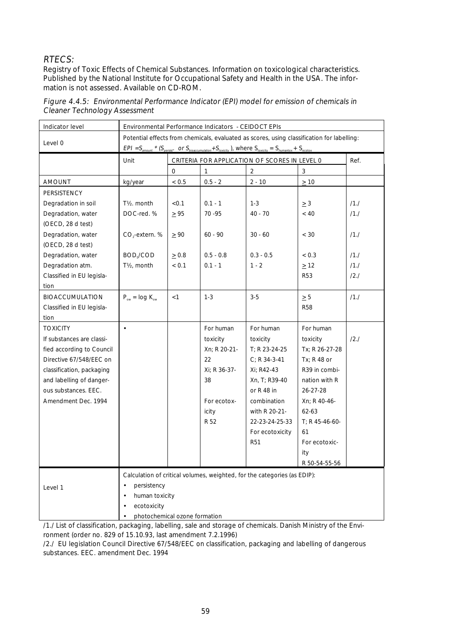## RTECS:

Registry of Toxic Effects of Chemical Substances. Information on toxicological characteristics. Published by the National Institute for Occupational Safety and Health in the USA. The information is not assessed. Available on CD-ROM.

| Indicator level           | Environmental Performance Indicators - CEIDOCT EPIs                                                                                                                                                                           |                                               |              |                                                                          |                 |         |
|---------------------------|-------------------------------------------------------------------------------------------------------------------------------------------------------------------------------------------------------------------------------|-----------------------------------------------|--------------|--------------------------------------------------------------------------|-----------------|---------|
| Level 0                   | Potential effects from chemicals, evaluated as scores, using classification for labelling:<br>$EPI = S_{amount} * (S_{positive} \cdot or S_{bioaccumulation} + S_{tovicity})$ , where $S_{tovicity} = S_{human} + S_{ecotox}$ |                                               |              |                                                                          |                 |         |
|                           | Unit                                                                                                                                                                                                                          | CRITERIA FOR APPLICATION OF SCORES IN LEVEL 0 |              |                                                                          |                 | Ref.    |
|                           |                                                                                                                                                                                                                               | 0                                             | 1            | $\mathbf 2$                                                              | 3               |         |
| <b>AMOUNT</b>             | kg/year                                                                                                                                                                                                                       | $< 0.5$                                       | $0.5 - 2$    | $2 - 10$                                                                 | $\geq 10$       |         |
| PERSISTENCY               |                                                                                                                                                                                                                               |                                               |              |                                                                          |                 |         |
| Degradation in soil       | T <sub>1/2</sub> , month                                                                                                                                                                                                      | < 0.1                                         | $0.1 - 1$    | $1 - 3$                                                                  | $\geq 3$        | /1.1    |
| Degradation, water        | DOC-red. %                                                                                                                                                                                                                    | $\geq 95$                                     | 70 - 95      | $40 - 70$                                                                | < 40            | /1.1    |
| (OECD, 28 d test)         |                                                                                                                                                                                                                               |                                               |              |                                                                          |                 |         |
| Degradation, water        | CO <sub>2</sub> -extern. %                                                                                                                                                                                                    | $\geq 90$                                     | $60 - 90$    | $30 - 60$                                                                | $<$ 30          | /1.1    |
| (OECD, 28 d test)         |                                                                                                                                                                                                                               |                                               |              |                                                                          |                 |         |
| Degradation, water        | BOD <sub>5</sub> /COD                                                                                                                                                                                                         | > 0.8                                         | $0.5 - 0.8$  | $0.3 - 0.5$                                                              | < 0.3           | $/1$ ./ |
| Degradation atm.          | T <sub>/2</sub> , month                                                                                                                                                                                                       | < 0.1                                         | $0.1 - 1$    | $1 - 2$                                                                  | $\geq$ 12       | /1.1    |
| Classified in EU legisla- |                                                                                                                                                                                                                               |                                               |              |                                                                          | <b>R53</b>      | 12.1    |
| tion                      |                                                                                                                                                                                                                               |                                               |              |                                                                          |                 |         |
| <b>BIOACCUMULATION</b>    | $P_{ow} = log K_{ow}$                                                                                                                                                                                                         | < 1                                           | $1 - 3$      | $3-5$                                                                    | $\geq 5$        | /1.1    |
| Classified in EU legisla- |                                                                                                                                                                                                                               |                                               |              |                                                                          | <b>R58</b>      |         |
| tion                      |                                                                                                                                                                                                                               |                                               |              |                                                                          |                 |         |
| <b>TOXICITY</b>           | $\bullet$                                                                                                                                                                                                                     |                                               | For human    | For human                                                                | For human       |         |
| If substances are classi- |                                                                                                                                                                                                                               |                                               | toxicity     | toxicity                                                                 | toxicity        | 12.1    |
| fied according to Council |                                                                                                                                                                                                                               |                                               | Xn; R 20-21- | $T: R23-24-25$                                                           | Tx; R 26-27-28  |         |
| Directive 67/548/EEC on   |                                                                                                                                                                                                                               |                                               | 22           | $C: R$ 34-3-41                                                           | $Tx: R48$ or    |         |
| classification, packaging |                                                                                                                                                                                                                               |                                               | Xi: R 36-37- | Xi: R42-43                                                               | R39 in combi-   |         |
| and labelling of danger-  |                                                                                                                                                                                                                               |                                               | 38           | Xn, T; R39-40                                                            | nation with R   |         |
| ous substances. EEC.      |                                                                                                                                                                                                                               |                                               |              | or $R$ 48 in                                                             | 26-27-28        |         |
| Amendment Dec. 1994       |                                                                                                                                                                                                                               |                                               | For ecotox-  | combination                                                              | Xn; R 40-46-    |         |
|                           |                                                                                                                                                                                                                               |                                               | icity        | with R 20-21-                                                            | $62 - 63$       |         |
|                           |                                                                                                                                                                                                                               |                                               | R 52         | 22-23-24-25-33                                                           | $T: R45-46-60-$ |         |
|                           |                                                                                                                                                                                                                               |                                               |              | For ecotoxicity                                                          | 61              |         |
|                           |                                                                                                                                                                                                                               |                                               |              | <b>R51</b>                                                               | For ecotoxic-   |         |
|                           |                                                                                                                                                                                                                               |                                               |              |                                                                          | ity             |         |
|                           |                                                                                                                                                                                                                               |                                               |              |                                                                          | R 50-54-55-56   |         |
|                           |                                                                                                                                                                                                                               |                                               |              | Calculation of critical volumes, weighted, for the categories (as EDIP): |                 |         |
| Level 1                   | persistency<br>$\bullet$                                                                                                                                                                                                      |                                               |              |                                                                          |                 |         |
|                           | human toxicity<br>$\bullet$                                                                                                                                                                                                   |                                               |              |                                                                          |                 |         |
|                           | ecotoxicity<br>$\bullet$                                                                                                                                                                                                      |                                               |              |                                                                          |                 |         |
|                           | photochemical ozone formation<br>$\bullet$                                                                                                                                                                                    |                                               |              |                                                                          |                 |         |

Figure 4.4.5: Environmental Performance Indicator (EPI) model for emission of chemicals in Cleaner Technology Assessment

/1./ List of classification, packaging, labelling, sale and storage of chemicals. Danish Ministry of the Environment (order no. 829 of 15.10.93, last amendment 7.2.1996)

/2./ EU legislation Council Directive 67/548/EEC on classification, packaging and labelling of dangerous substances. EEC. amendment Dec. 1994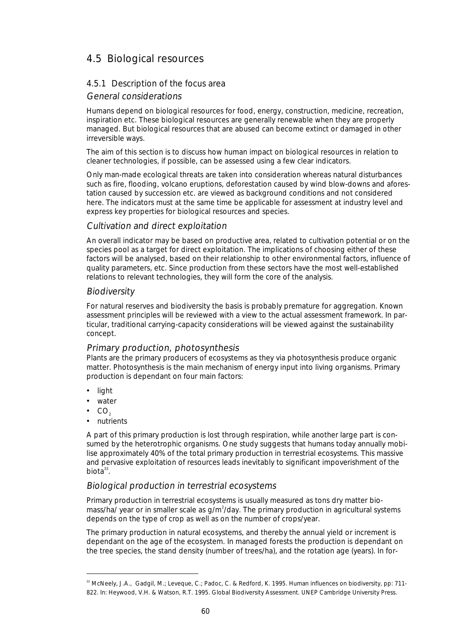# 4.5 Biological resources

## 4.5.1 Description of the focus area

## General considerations

Humans depend on biological resources for food, energy, construction, medicine, recreation, inspiration etc. These biological resources are generally renewable when they are properly managed. But biological resources that are abused can become extinct or damaged in other irreversible ways.

The aim of this section is to discuss how human impact on biological resources in relation to cleaner technologies, if possible, can be assessed using a few clear indicators.

Only man-made ecological threats are taken into consideration whereas natural disturbances such as fire, flooding, volcano eruptions, deforestation caused by wind blow-downs and aforestation caused by succession etc. are viewed as background conditions and not considered here. The indicators must at the same time be applicable for assessment at industry level and express key properties for biological resources and species.

## Cultivation and direct exploitation

An overall indicator may be based on productive area, related to cultivation potential or on the species pool as a target for direct exploitation. The implications of choosing either of these factors will be analysed, based on their relationship to other environmental factors, influence of quality parameters, etc. Since production from these sectors have the most well-established relations to relevant technologies, they will form the core of the analysis.

## **Biodiversity**

For natural reserves and biodiversity the basis is probably premature for aggregation. Known assessment principles will be reviewed with a view to the actual assessment framework. In particular, traditional carrying-capacity considerations will be viewed against the sustainability concept.

## Primary production, photosynthesis

Plants are the primary producers of ecosystems as they via photosynthesis produce organic matter. Photosynthesis is the main mechanism of energy input into living organisms. Primary production is dependant on four main factors:

- light
- water
- $\bullet$  CO<sub>2</sub>
- nutrients

A part of this primary production is lost through respiration, while another large part is consumed by the heterotrophic organisms. One study suggests that humans today annually mobilise approximately 40% of the total primary production in terrestrial ecosystems. This massive and pervasive exploitation of resources leads inevitably to significant impoverishment of the biota $33$ .

## Biological production in terrestrial ecosystems

Primary production in terrestrial ecosystems is usually measured as tons dry matter biomass/ha/ year or in smaller scale as g/m<sup>2</sup>/day. The primary production in agricultural systems depends on the type of crop as well as on the number of crops/year.

The primary production in natural ecosystems, and thereby the annual yield or increment is dependant on the age of the ecosystem. In managed forests the production is dependant on the tree species, the stand density (number of trees/ha), and the rotation age (years). In for-

<sup>&</sup>lt;sup>33</sup> McNeely, J.A., Gadgil, M.; Leveque, C.; Padoc, C. & Redford, K. 1995. Human influences on biodiversity, pp: 711-822. In: Heywood, V.H. & Watson, R.T. 1995. Global Biodiversity Assessment. UNEP Cambridge University Press.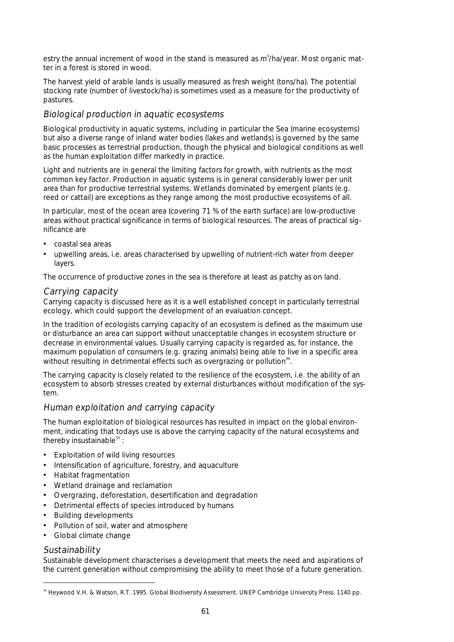estry the annual increment of wood in the stand is measured as m<sup>3</sup>/ha/year. Most organic matter in a forest is stored in wood.

The harvest yield of arable lands is usually measured as fresh weight (tons/ha). The potential stocking rate (number of livestock/ha) is sometimes used as a measure for the productivity of pastures.

## Biological production in aquatic ecosystems

Biological productivity in aquatic systems, including in particular the Sea (marine ecosystems) but also a diverse range of inland water bodies (lakes and wetlands) is governed by the same basic processes as terrestrial production, though the physical and biological conditions as well as the human exploitation differ markedly in practice.

Light and nutrients are in general the limiting factors for growth, with nutrients as the most common key factor. Production in aquatic systems is in general considerably lower per unit area than for productive terrestrial systems. Wetlands dominated by emergent plants (e.g. reed or cattail) are exceptions as they range among the most productive ecosystems of all.

In particular, most of the ocean area (covering 71 % of the earth surface) are low-productive areas without practical significance in terms of biological resources. The areas of practical significance are

- coastal sea areas
- upwelling areas, i.e. areas characterised by upwelling of nutrient-rich water from deeper layers.

The occurrence of productive zones in the sea is therefore at least as patchy as on land.

## Carrying capacity

Carrying capacity is discussed here as it is a well established concept in particularly terrestrial ecology, which could support the development of an evaluation concept.

In the tradition of ecologists carrying capacity of an ecosystem is defined as the maximum use or disturbance an area can support without unacceptable changes in ecosystem structure or decrease in environmental values. Usually carrying capacity is regarded as, for instance, the maximum population of consumers (e.g. grazing animals) being able to live in a specific area without resulting in detrimental effects such as overgrazing or pollution $^{34}.$ 

The carrying capacity is closely related to the resilience of the ecosystem, i.e. the ability of an ecosystem to absorb stresses created by external disturbances without modification of the system.

## Human exploitation and carrying capacity

The human exploitation of biological resources has resulted in impact on the global environment, indicating that todays use is above the carrying capacity of the natural ecosystems and thereby insustainable $^{33}$ :

- Exploitation of wild living resources
- Intensification of agriculture, forestry, and aquaculture
- Habitat fragmentation
- Wetland drainage and reclamation
- Overgrazing, deforestation, desertification and degradation
- Detrimental effects of species introduced by humans
- Building developments
- Pollution of soil, water and atmosphere
- Global climate change

## **Sustainability**

Sustainable development characterises a development that meets the need and aspirations of the current generation without compromising the ability to meet those of a future generation.

 <sup>34</sup> Heywood V.H. & Watson, R.T. 1995. Global Biodiversity Assessment. UNEP Cambridge University Press. 1140 pp.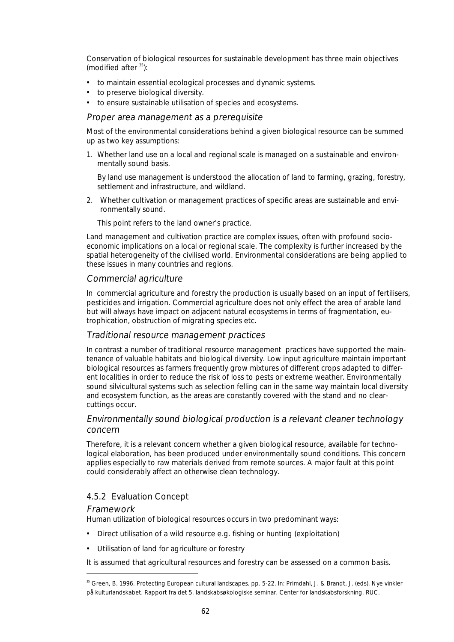Conservation of biological resources for sustainable development has three main objectives (modified after  $35$ ):

- to maintain essential ecological processes and dynamic systems.
- to preserve biological diversity.
- to ensure sustainable utilisation of species and ecosystems.

### Proper area management as a prerequisite

Most of the environmental considerations behind a given biological resource can be summed up as two key assumptions:

1. Whether land use on a local and regional scale is managed on a sustainable and environmentally sound basis.

 By land use management is understood the allocation of land to farming, grazing, forestry, settlement and infrastructure, and wildland.

2. Whether cultivation or management practices of specific areas are sustainable and environmentally sound.

This point refers to the land owner's practice.

Land management and cultivation practice are complex issues, often with profound socioeconomic implications on a local or regional scale. The complexity is further increased by the spatial heterogeneity of the civilised world. Environmental considerations are being applied to these issues in many countries and regions.

### Commercial agriculture

In commercial agriculture and forestry the production is usually based on an input of fertilisers, pesticides and irrigation. Commercial agriculture does not only effect the area of arable land but will always have impact on adjacent natural ecosystems in terms of fragmentation, eutrophication, obstruction of migrating species etc.

## Traditional resource management practices

In contrast a number of traditional resource management practices have supported the maintenance of valuable habitats and biological diversity. Low input agriculture maintain important biological resources as farmers frequently grow mixtures of different crops adapted to different localities in order to reduce the risk of loss to pests or extreme weather. Environmentally sound silvicultural systems such as selection felling can in the same way maintain local diversity and ecosystem function, as the areas are constantly covered with the stand and no clearcuttings occur.

## Environmentally sound biological production is a relevant cleaner technology concern

Therefore, it is a relevant concern whether a given biological resource, available for technological elaboration, has been produced under environmentally sound conditions. This concern applies especially to raw materials derived from remote sources. A major fault at this point could considerably affect an otherwise clean technology.

## 4.5.2 Evaluation Concept

#### Framework

Human utilization of biological resources occurs in two predominant ways:

- Direct utilisation of a wild resource e.g. fishing or hunting (exploitation)
- Utilisation of land for agriculture or forestry

It is assumed that agricultural resources and forestry can be assessed on a common basis.

<sup>&</sup>lt;sup>35</sup> Green, B. 1996. Protecting European cultural landscapes. pp. 5-22. In: Primdahl, J. & Brandt, J. (eds). Nye vinkler på kulturlandskabet. Rapport fra det 5. landskabsøkologiske seminar. Center for landskabsforskning. RUC.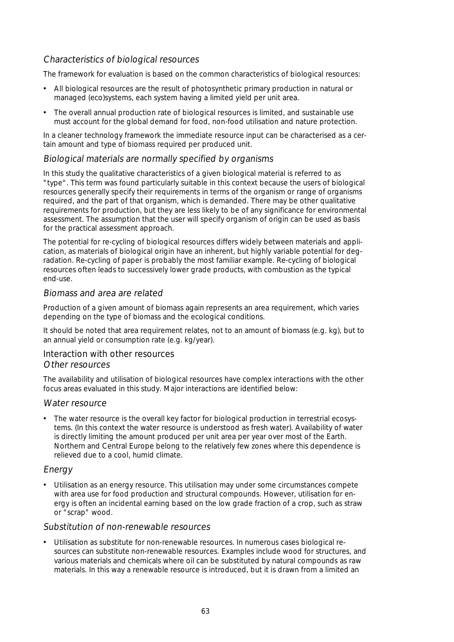## Characteristics of biological resources

The framework for evaluation is based on the common characteristics of biological resources:

- All biological resources are the result of photosynthetic primary production in natural or managed (eco)systems, each system having a limited yield per unit area.
- The overall annual production rate of biological resources is limited, and sustainable use must account for the global demand for food, non-food utilisation and nature protection.

In a cleaner technology framework the immediate resource input can be characterised as a certain amount and type of biomass required per produced unit.

## Biological materials are normally specified by organisms

In this study the qualitative characteristics of a given biological material is referred to as "type". This term was found particularly suitable in this context because the users of biological resources generally specify their requirements in terms of the organism or range of organisms required, and the part of that organism, which is demanded. There may be other qualitative requirements for production, but they are less likely to be of any significance for environmental assessment. The assumption that the user will specify organism of origin can be used as basis for the practical assessment approach.

The potential for re-cycling of biological resources differs widely between materials and application, as materials of biological origin have an inherent, but highly variable potential for degradation. Re-cycling of paper is probably the most familiar example. Re-cycling of biological resources often leads to successively lower grade products, with combustion as the typical end-use.

### Biomass and area are related

Production of a given amount of biomass again represents an area requirement, which varies depending on the type of biomass and the ecological conditions.

It should be noted that area requirement relates, not to an amount of biomass (e.g. kg), but to an annual yield or consumption rate (e.g. kg/year).

### Interaction with other resources

### Other resources

The availability and utilisation of biological resources have complex interactions with the other focus areas evaluated in this study. Major interactions are identified below:

#### Water resource

The water resource is the overall key factor for biological production in terrestrial ecosystems. (In this context the water resource is understood as fresh water). Availability of water is directly limiting the amount produced per unit area per year over most of the Earth. Northern and Central Europe belong to the relatively few zones where this dependence is relieved due to a cool, humid climate.

## Energy

• Utilisation as an energy resource. This utilisation may under some circumstances compete with area use for food production and structural compounds. However, utilisation for energy is often an incidental earning based on the low grade fraction of a crop, such as straw or "scrap" wood.

#### Substitution of non-renewable resources

• Utilisation as substitute for non-renewable resources. In numerous cases biological resources can substitute non-renewable resources. Examples include wood for structures, and various materials and chemicals where oil can be substituted by natural compounds as raw materials. In this way a renewable resource is introduced, but it is drawn from a limited an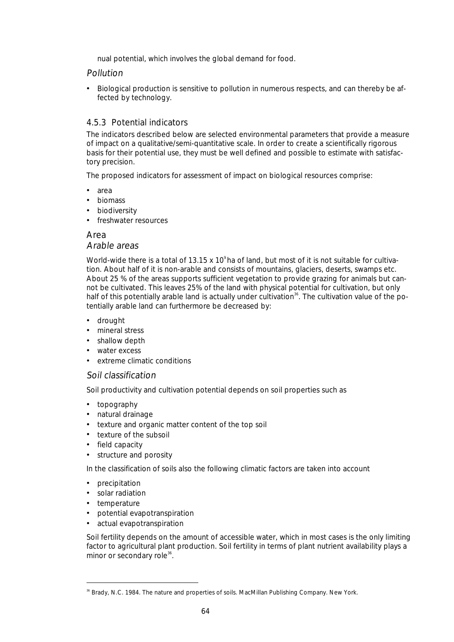nual potential, which involves the global demand for food.

## Pollution

• Biological production is sensitive to pollution in numerous respects, and can thereby be affected by technology.

## 4.5.3 Potential indicators

The indicators described below are selected environmental parameters that provide a measure of impact on a qualitative/semi-quantitative scale. In order to create a scientifically rigorous basis for their potential use, they must be well defined and possible to estimate with satisfactory precision.

The proposed indicators for assessment of impact on biological resources comprise:

- area
- biomass
- biodiversity
- freshwater resources

#### Area Arable areas

World-wide there is a total of 13.15 x 10 $^{\circ}$  ha of land, but most of it is not suitable for cultivation. About half of it is non-arable and consists of mountains, glaciers, deserts, swamps etc. About 25 % of the areas supports sufficient vegetation to provide grazing for animals but cannot be cultivated. This leaves 25% of the land with physical potential for cultivation, but only half of this potentially arable land is actually under cultivation<sup>36</sup>. The cultivation value of the potentially arable land can furthermore be decreased by:

- drought
- mineral stress
- shallow depth
- water excess
- extreme climatic conditions

## Soil classification

Soil productivity and cultivation potential depends on soil properties such as

- topography
- natural drainage
- texture and organic matter content of the top soil
- texture of the subsoil
- field capacity
- structure and porosity

In the classification of soils also the following climatic factors are taken into account

- precipitation
- solar radiation
- temperature
- potential evapotranspiration
- actual evapotranspiration

Soil fertility depends on the amount of accessible water, which in most cases is the only limiting factor to agricultural plant production. Soil fertility in terms of plant nutrient availability plays a minor or secondary role<sup>36</sup>.

<sup>&</sup>lt;sup>36</sup> Brady, N.C. 1984. The nature and properties of soils. MacMillan Publishing Company. New York.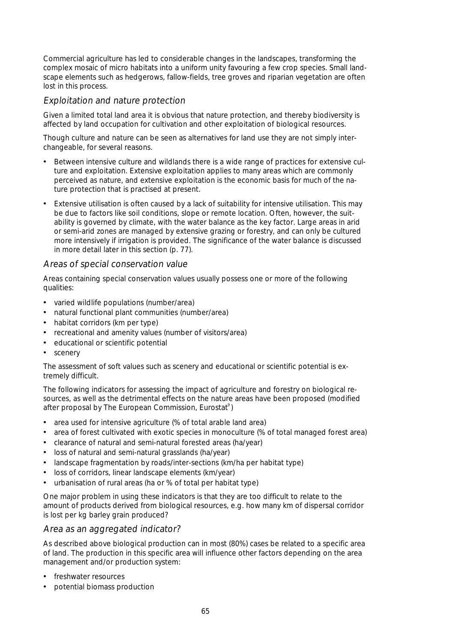Commercial agriculture has led to considerable changes in the landscapes, transforming the complex mosaic of micro habitats into a uniform unity favouring a few crop species. Small landscape elements such as hedgerows, fallow-fields, tree groves and riparian vegetation are often lost in this process.

## Exploitation and nature protection

Given a limited total land area it is obvious that nature protection, and thereby biodiversity is affected by land occupation for cultivation and other exploitation of biological resources.

Though culture and nature can be seen as alternatives for land use they are not simply interchangeable, for several reasons.

- Between intensive culture and wildlands there is a wide range of practices for extensive culture and exploitation. Extensive exploitation applies to many areas which are commonly perceived as nature, and extensive exploitation is the economic basis for much of the nature protection that is practised at present.
- Extensive utilisation is often caused by a lack of suitability for intensive utilisation. This may be due to factors like soil conditions, slope or remote location. Often, however, the suitability is governed by climate, with the water balance as the key factor. Large areas in arid or semi-arid zones are managed by extensive grazing or forestry, and can only be cultured more intensively if irrigation is provided. The significance of the water balance is discussed in more detail later in this section (p. 77).

## Areas of special conservation value

Areas containing special conservation values usually possess one or more of the following qualities:

- varied wildlife populations (number/area)
- natural functional plant communities (number/area)
- habitat corridors (km per type)
- recreational and amenity values (number of visitors/area)
- educational or scientific potential
- scenery

The assessment of soft values such as scenery and educational or scientific potential is extremely difficult.

The following indicators for assessing the impact of agriculture and forestry on biological resources, as well as the detrimental effects on the nature areas have been proposed (modified after proposal by The European Commission, Eurostat<sup>9</sup>)

- area used for intensive agriculture (% of total arable land area)
- area of forest cultivated with exotic species in monoculture (% of total managed forest area)
- clearance of natural and semi-natural forested areas (ha/year)
- loss of natural and semi-natural grasslands (ha/year)
- landscape fragmentation by roads/inter-sections (km/ha per habitat type)
- loss of corridors, linear landscape elements (km/year)
- urbanisation of rural areas (ha or % of total per habitat type)

One major problem in using these indicators is that they are too difficult to relate to the amount of products derived from biological resources, e.g. how many km of dispersal corridor is lost per kg barley grain produced?

## Area as an aggregated indicator?

As described above biological production can in most (80%) cases be related to a specific area of land. The production in this specific area will influence other factors depending on the area management and/or production system:

- freshwater resources
- potential biomass production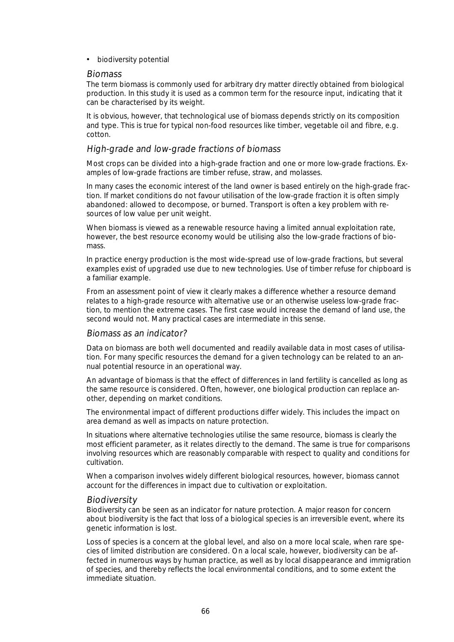• biodiversity potential

#### Biomass

The term biomass is commonly used for arbitrary dry matter directly obtained from biological production. In this study it is used as a common term for the resource input, indicating that it can be characterised by its weight.

It is obvious, however, that technological use of biomass depends strictly on its composition and type. This is true for typical non-food resources like timber, vegetable oil and fibre, e.g. cotton.

#### High-grade and low-grade fractions of biomass

Most crops can be divided into a high-grade fraction and one or more low-grade fractions. Examples of low-grade fractions are timber refuse, straw, and molasses.

In many cases the economic interest of the land owner is based entirely on the high-grade fraction. If market conditions do not favour utilisation of the low-grade fraction it is often simply abandoned: allowed to decompose, or burned. Transport is often a key problem with resources of low value per unit weight.

When biomass is viewed as a renewable resource having a limited annual exploitation rate, however, the best resource economy would be utilising also the low-grade fractions of biomass.

In practice energy production is the most wide-spread use of low-grade fractions, but several examples exist of upgraded use due to new technologies. Use of timber refuse for chipboard is a familiar example.

From an assessment point of view it clearly makes a difference whether a resource demand relates to a high-grade resource with alternative use or an otherwise useless low-grade fraction, to mention the extreme cases. The first case would increase the demand of land use, the second would not. Many practical cases are intermediate in this sense.

#### Biomass as an indicator?

Data on biomass are both well documented and readily available data in most cases of utilisation. For many specific resources the demand for a given technology can be related to an annual potential resource in an operational way.

An advantage of biomass is that the effect of differences in land fertility is cancelled as long as the same resource is considered. Often, however, one biological production can replace another, depending on market conditions.

The environmental impact of different productions differ widely. This includes the impact on area demand as well as impacts on nature protection.

In situations where alternative technologies utilise the same resource, biomass is clearly the most efficient parameter, as it relates directly to the demand. The same is true for comparisons involving resources which are reasonably comparable with respect to quality and conditions for cultivation.

When a comparison involves widely different biological resources, however, biomass cannot account for the differences in impact due to cultivation or exploitation.

## **Biodiversity**

Biodiversity can be seen as an indicator for nature protection. A major reason for concern about biodiversity is the fact that loss of a biological species is an irreversible event, where its genetic information is lost.

Loss of species is a concern at the global level, and also on a more local scale, when rare species of limited distribution are considered. On a local scale, however, biodiversity can be affected in numerous ways by human practice, as well as by local disappearance and immigration of species, and thereby reflects the local environmental conditions, and to some extent the immediate situation.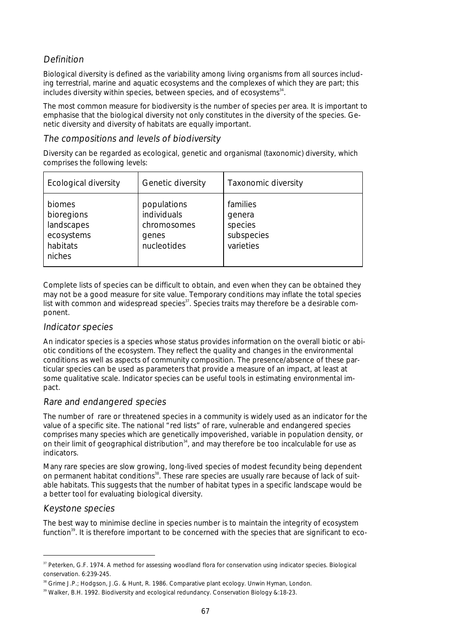## Definition

Biological diversity is defined as the variability among living organisms from all sources including terrestrial, marine and aquatic ecosystems and the complexes of which they are part; this includes diversity within species, between species, and of ecosystems<sup>34</sup>.

The most common measure for biodiversity is the number of species per area. It is important to emphasise that the biological diversity not only constitutes in the diversity of the species. Genetic diversity and diversity of habitats are equally important.

## The compositions and levels of biodiversity

Diversity can be regarded as ecological, genetic and organismal (taxonomic) diversity, which comprises the following levels:

| <b>Ecological diversity</b>                                            | Genetic diversity                                                 | Taxonomic diversity                                      |
|------------------------------------------------------------------------|-------------------------------------------------------------------|----------------------------------------------------------|
| biomes<br>bioregions<br>landscapes<br>ecosystems<br>habitats<br>niches | populations<br>individuals<br>chromosomes<br>genes<br>nucleotides | families<br>genera<br>species<br>subspecies<br>varieties |

Complete lists of species can be difficult to obtain, and even when they can be obtained they may not be a good measure for site value. Temporary conditions may inflate the total species list with common and widespread species<sup>37</sup>. Species traits may therefore be a desirable component.

## Indicator species

An indicator species is a species whose status provides information on the overall biotic or abiotic conditions of the ecosystem. They reflect the quality and changes in the environmental conditions as well as aspects of community composition. The presence/absence of these particular species can be used as parameters that provide a measure of an impact, at least at some qualitative scale. Indicator species can be useful tools in estimating environmental impact.

## Rare and endangered species

The number of rare or threatened species in a community is widely used as an indicator for the value of a specific site. The national "red lists" of rare, vulnerable and endangered species comprises many species which are genetically impoverished, variable in population density, or on their limit of geographical distribution $34$ , and may therefore be too incalculable for use as indicators.

Many rare species are slow growing, long-lived species of modest fecundity being dependent on permanent habitat conditions<sup>38</sup>. These rare species are usually rare because of lack of suitable habitats. This suggests that the number of habitat types in a specific landscape would be a better tool for evaluating biological diversity.

## Keystone species

The best way to minimise decline in species number is to maintain the integrity of ecosystem function<sup>39</sup>. It is therefore important to be concerned with the species that are significant to eco-

<sup>&</sup>lt;sup>37</sup> Peterken, G.F. 1974. A method for assessing woodland flora for conservation using indicator species. Biological conservation. 6:239-245.

<sup>&</sup>lt;sup>38</sup> Grime J.P.; Hodgson, J.G. & Hunt, R. 1986. Comparative plant ecology. Unwin Hyman, London.

 $39$  Walker, B.H. 1992. Biodiversity and ecological redundancy. Conservation Biology &:18-23.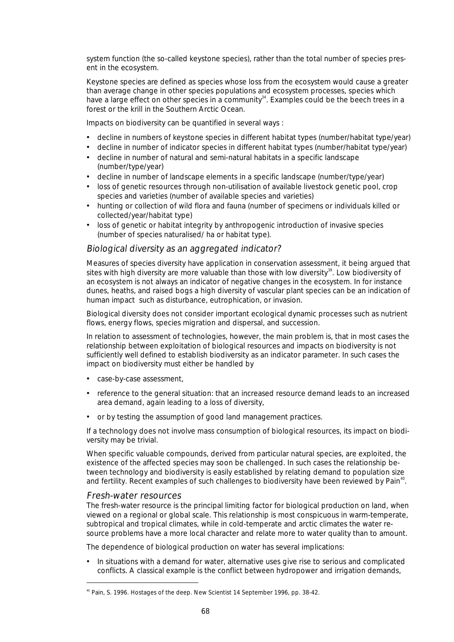system function (the so-called keystone species), rather than the total number of species present in the ecosystem.

Keystone species are defined as species whose loss from the ecosystem would cause a greater than average change in other species populations and ecosystem processes, species which have a large effect on other species in a community<sup>34</sup>. Examples could be the beech trees in a forest or the krill in the Southern Arctic Ocean.

Impacts on biodiversity can be quantified in several ways :

- decline in numbers of keystone species in different habitat types (number/habitat type/year)
- decline in number of indicator species in different habitat types (number/habitat type/year)
- decline in number of natural and semi-natural habitats in a specific landscape (number/type/year)
- decline in number of landscape elements in a specific landscape (number/type/year)
- loss of genetic resources through non-utilisation of available livestock genetic pool, crop species and varieties (number of available species and varieties)
- hunting or collection of wild flora and fauna (number of specimens or individuals killed or collected/year/habitat type)
- loss of genetic or habitat integrity by anthropogenic introduction of invasive species (number of species naturalised/ ha or habitat type).

#### Biological diversity as an aggregated indicator?

Measures of species diversity have application in conservation assessment, it being argued that sites with high diversity are more valuable than those with low diversity<sup>39</sup>. Low biodiversity of an ecosystem is not always an indicator of negative changes in the ecosystem. In for instance dunes, heaths, and raised bogs a high diversity of vascular plant species can be an indication of human impact such as disturbance, eutrophication, or invasion.

Biological diversity does not consider important ecological dynamic processes such as nutrient flows, energy flows, species migration and dispersal, and succession.

In relation to assessment of technologies, however, the main problem is, that in most cases the relationship between exploitation of biological resources and impacts on biodiversity is not sufficiently well defined to establish biodiversity as an indicator parameter. In such cases the impact on biodiversity must either be handled by

- case-by-case assessment,
- reference to the general situation: that an increased resource demand leads to an increased area demand, again leading to a loss of diversity,
- or by testing the assumption of good land management practices.

If a technology does not involve mass consumption of biological resources, its impact on biodiversity may be trivial.

When specific valuable compounds, derived from particular natural species, are exploited, the existence of the affected species may soon be challenged. In such cases the relationship between technology and biodiversity is easily established by relating demand to population size and fertility. Recent examples of such challenges to biodiversity have been reviewed by Pain $\rm{^{40}.}$ 

#### Fresh-water resources

The fresh-water resource is the principal limiting factor for biological production on land, when viewed on a regional or global scale. This relationship is most conspicuous in warm-temperate, subtropical and tropical climates, while in cold-temperate and arctic climates the water resource problems have a more local character and relate more to water quality than to amount.

The dependence of biological production on water has several implications:

• In situations with a demand for water, alternative uses give rise to serious and complicated conflicts. A classical example is the conflict between hydropower and irrigation demands,

 <sup>40</sup> Pain, S. 1996. Hostages of the deep. New Scientist 14 September 1996, pp. 38-42.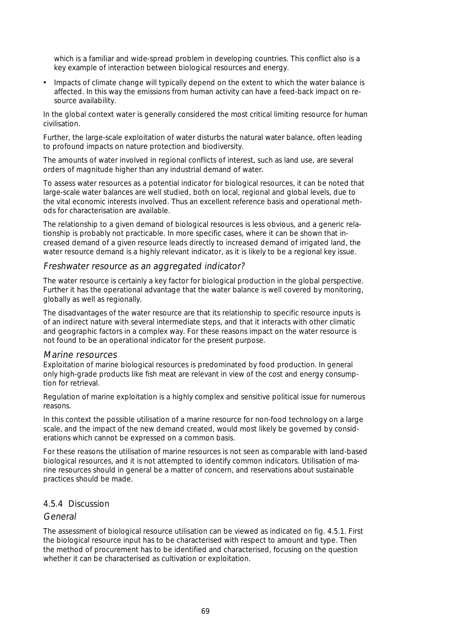which is a familiar and wide-spread problem in developing countries. This conflict also is a key example of interaction between biological resources and energy.

• Impacts of climate change will typically depend on the extent to which the water balance is affected. In this way the emissions from human activity can have a feed-back impact on resource availability.

In the global context water is generally considered the most critical limiting resource for human civilisation.

Further, the large-scale exploitation of water disturbs the natural water balance, often leading to profound impacts on nature protection and biodiversity.

The amounts of water involved in regional conflicts of interest, such as land use, are several orders of magnitude higher than any industrial demand of water.

To assess water resources as a potential indicator for biological resources, it can be noted that large-scale water balances are well studied, both on local, regional and global levels, due to the vital economic interests involved. Thus an excellent reference basis and operational methods for characterisation are available.

The relationship to a given demand of biological resources is less obvious, and a generic relationship is probably not practicable. In more specific cases, where it can be shown that increased demand of a given resource leads directly to increased demand of irrigated land, the water resource demand is a highly relevant indicator, as it is likely to be a regional key issue.

#### Freshwater resource as an aggregated indicator?

The water resource is certainly a key factor for biological production in the global perspective. Further it has the operational advantage that the water balance is well covered by monitoring, globally as well as regionally.

The disadvantages of the water resource are that its relationship to specific resource inputs is of an indirect nature with several intermediate steps, and that it interacts with other climatic and geographic factors in a complex way. For these reasons impact on the water resource is not found to be an operational indicator for the present purpose.

#### Marine resources

Exploitation of marine biological resources is predominated by food production. In general only high-grade products like fish meat are relevant in view of the cost and energy consumption for retrieval.

Regulation of marine exploitation is a highly complex and sensitive political issue for numerous reasons.

In this context the possible utilisation of a marine resource for non-food technology on a large scale, and the impact of the new demand created, would most likely be governed by considerations which cannot be expressed on a common basis.

For these reasons the utilisation of marine resources is not seen as comparable with land-based biological resources, and it is not attempted to identify common indicators. Utilisation of marine resources should in general be a matter of concern, and reservations about sustainable practices should be made.

## 4.5.4 Discussion

## General

The assessment of biological resource utilisation can be viewed as indicated on fig. 4.5.1. First the biological resource input has to be characterised with respect to amount and type. Then the method of procurement has to be identified and characterised, focusing on the question whether it can be characterised as cultivation or exploitation.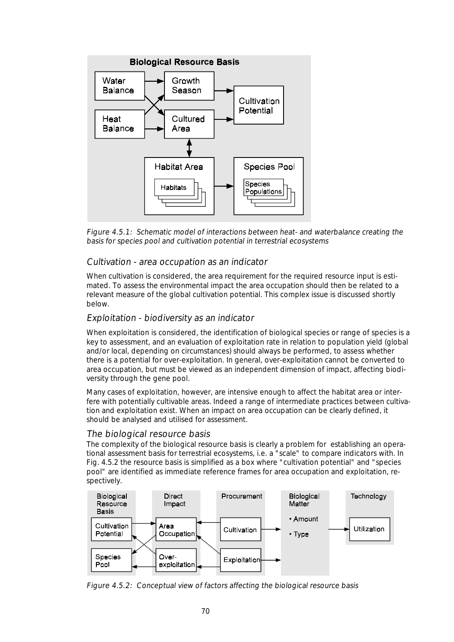

Figure 4.5.1: Schematic model of interactions between heat- and waterbalance creating the basis for species pool and cultivation potential in terrestrial ecosystems

## Cultivation - area occupation as an indicator

When cultivation is considered, the area requirement for the required resource input is estimated. To assess the environmental impact the area occupation should then be related to a relevant measure of the global cultivation potential. This complex issue is discussed shortly below.

### Exploitation - biodiversity as an indicator

When exploitation is considered, the identification of biological species or range of species is a key to assessment, and an evaluation of exploitation rate in relation to population yield (global and/or local, depending on circumstances) should always be performed, to assess whether there is a potential for over-exploitation. In general, over-exploitation cannot be converted to area occupation, but must be viewed as an independent dimension of impact, affecting biodiversity through the gene pool.

Many cases of exploitation, however, are intensive enough to affect the habitat area or interfere with potentially cultivable areas. Indeed a range of intermediate practices between cultivation and exploitation exist. When an impact on area occupation can be clearly defined, it should be analysed and utilised for assessment.

#### The biological resource basis

The complexity of the biological resource basis is clearly a problem for establishing an operational assessment basis for terrestrial ecosystems, i.e. a "scale" to compare indicators with. In Fig. 4.5.2 the resource basis is simplified as a box where "cultivation potential" and "species pool" are identified as immediate reference frames for area occupation and exploitation, respectively.



Figure 4.5.2: Conceptual view of factors affecting the biological resource basis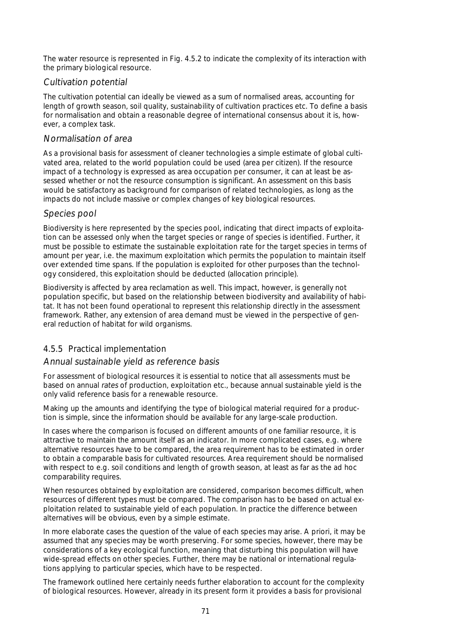The water resource is represented in Fig. 4.5.2 to indicate the complexity of its interaction with the primary biological resource.

## Cultivation potential

The cultivation potential can ideally be viewed as a sum of normalised areas, accounting for length of growth season, soil quality, sustainability of cultivation practices etc. To define a basis for normalisation and obtain a reasonable degree of international consensus about it is, however, a complex task.

## Normalisation of area

As a provisional basis for assessment of cleaner technologies a simple estimate of global cultivated area, related to the world population could be used (area per citizen). If the resource impact of a technology is expressed as area occupation per consumer, it can at least be assessed whether or not the resource consumption is significant. An assessment on this basis would be satisfactory as background for comparison of related technologies, as long as the impacts do not include massive or complex changes of key biological resources.

## Species pool

Biodiversity is here represented by the species pool, indicating that direct impacts of exploitation can be assessed only when the target species or range of species is identified. Further, it must be possible to estimate the sustainable exploitation rate for the target species in terms of amount per year, i.e. the maximum exploitation which permits the population to maintain itself over extended time spans. If the population is exploited for other purposes than the technology considered, this exploitation should be deducted (allocation principle).

Biodiversity is affected by area reclamation as well. This impact, however, is generally not population specific, but based on the relationship between biodiversity and availability of habitat. It has not been found operational to represent this relationship directly in the assessment framework. Rather, any extension of area demand must be viewed in the perspective of general reduction of habitat for wild organisms.

## 4.5.5 Practical implementation

## Annual sustainable yield as reference basis

For assessment of biological resources it is essential to notice that all assessments must be based on annual rates of production, exploitation etc., because annual sustainable yield is the only valid reference basis for a renewable resource.

Making up the amounts and identifying the type of biological material required for a production is simple, since the information should be available for any large-scale production.

In cases where the comparison is focused on different amounts of one familiar resource, it is attractive to maintain the amount itself as an indicator. In more complicated cases, e.g. where alternative resources have to be compared, the area requirement has to be estimated in order to obtain a comparable basis for cultivated resources. Area requirement should be normalised with respect to e.g. soil conditions and length of growth season, at least as far as the ad hoc comparability requires.

When resources obtained by exploitation are considered, comparison becomes difficult, when resources of different types must be compared. The comparison has to be based on actual exploitation related to sustainable yield of each population. In practice the difference between alternatives will be obvious, even by a simple estimate.

In more elaborate cases the question of the value of each species may arise. A priori, it may be assumed that any species may be worth preserving. For some species, however, there may be considerations of a key ecological function, meaning that disturbing this population will have wide-spread effects on other species. Further, there may be national or international regulations applying to particular species, which have to be respected.

The framework outlined here certainly needs further elaboration to account for the complexity of biological resources. However, already in its present form it provides a basis for provisional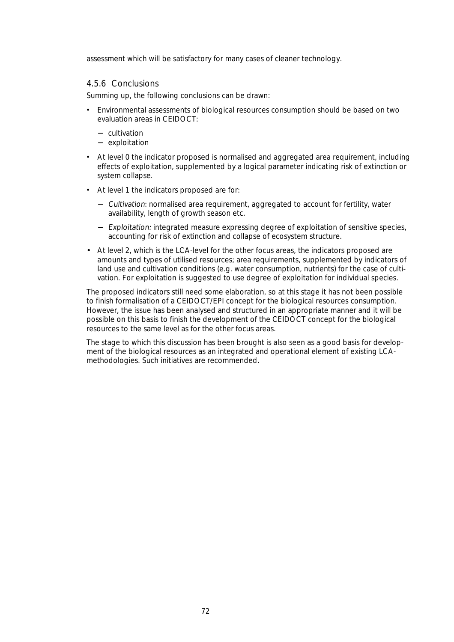assessment which will be satisfactory for many cases of cleaner technology.

#### 4.5.6 Conclusions

Summing up, the following conclusions can be drawn:

- Environmental assessments of biological resources consumption should be based on two evaluation areas in CEIDOCT:
	- − cultivation
	- − exploitation
- At level 0 the indicator proposed is normalised and aggregated area requirement, including effects of exploitation, supplemented by a logical parameter indicating risk of extinction or system collapse.
- At level 1 the indicators proposed are for:
	- − Cultivation: normalised area requirement, aggregated to account for fertility, water availability, length of growth season etc.
	- − Exploitation: integrated measure expressing degree of exploitation of sensitive species, accounting for risk of extinction and collapse of ecosystem structure.
- At level 2, which is the LCA-level for the other focus areas, the indicators proposed are amounts and types of utilised resources; area requirements, supplemented by indicators of land use and cultivation conditions (e.g. water consumption, nutrients) for the case of cultivation. For exploitation is suggested to use degree of exploitation for individual species.

The proposed indicators still need some elaboration, so at this stage it has not been possible to finish formalisation of a CEIDOCT/EPI concept for the biological resources consumption. However, the issue has been analysed and structured in an appropriate manner and it will be possible on this basis to finish the development of the CEIDOCT concept for the biological resources to the same level as for the other focus areas.

The stage to which this discussion has been brought is also seen as a good basis for development of the biological resources as an integrated and operational element of existing LCAmethodologies. Such initiatives are recommended.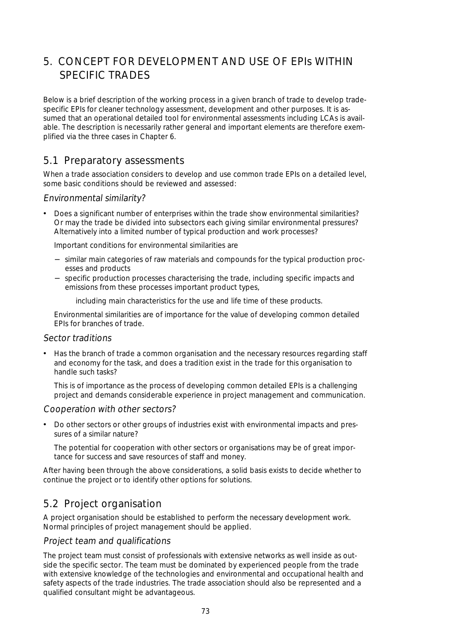# 5. CONCEPT FOR DEVELOPMENT AND USE OF EPIs WITHIN SPECIFIC TRADES

Below is a brief description of the working process in a given branch of trade to develop tradespecific EPIs for cleaner technology assessment, development and other purposes. It is assumed that an operational detailed tool for environmental assessments including LCAs is available. The description is necessarily rather general and important elements are therefore exemplified via the three cases in Chapter 6.

# 5.1 Preparatory assessments

When a trade association considers to develop and use common trade EPIs on a detailed level, some basic conditions should be reviewed and assessed:

# Environmental similarity?

• Does a significant number of enterprises within the trade show environmental similarities? Or may the trade be divided into subsectors each giving similar environmental pressures? Alternatively into a limited number of typical production and work processes?

Important conditions for environmental similarities are

- − similar main categories of raw materials and compounds for the typical production processes and products
- − specific production processes characterising the trade, including specific impacts and emissions from these processes important product types,

including main characteristics for the use and life time of these products.

 Environmental similarities are of importance for the value of developing common detailed EPIs for branches of trade.

#### Sector traditions

• Has the branch of trade a common organisation and the necessary resources regarding staff and economy for the task, and does a tradition exist in the trade for this organisation to handle such tasks?

 This is of importance as the process of developing common detailed EPIs is a challenging project and demands considerable experience in project management and communication.

# Cooperation with other sectors?

• Do other sectors or other groups of industries exist with environmental impacts and pressures of a similar nature?

 The potential for cooperation with other sectors or organisations may be of great importance for success and save resources of staff and money.

After having been through the above considerations, a solid basis exists to decide whether to continue the project or to identify other options for solutions.

# 5.2 Project organisation

A project organisation should be established to perform the necessary development work. Normal principles of project management should be applied.

#### Project team and qualifications

The project team must consist of professionals with extensive networks as well inside as outside the specific sector. The team must be dominated by experienced people from the trade with extensive knowledge of the technologies and environmental and occupational health and safety aspects of the trade industries. The trade association should also be represented and a qualified consultant might be advantageous.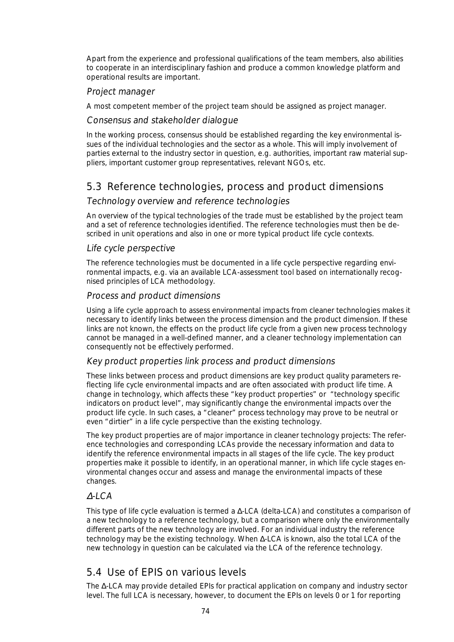Apart from the experience and professional qualifications of the team members, also abilities to cooperate in an interdisciplinary fashion and produce a common knowledge platform and operational results are important.

## Project manager

A most competent member of the project team should be assigned as project manager.

### Consensus and stakeholder dialogue

In the working process, consensus should be established regarding the key environmental issues of the individual technologies and the sector as a whole. This will imply involvement of parties external to the industry sector in question, e.g. authorities, important raw material suppliers, important customer group representatives, relevant NGOs, etc.

# 5.3 Reference technologies, process and product dimensions

## Technology overview and reference technologies

An overview of the typical technologies of the trade must be established by the project team and a set of reference technologies identified. The reference technologies must then be described in unit operations and also in one or more typical product life cycle contexts.

#### Life cycle perspective

The reference technologies must be documented in a life cycle perspective regarding environmental impacts, e.g. via an available LCA-assessment tool based on internationally recognised principles of LCA methodology.

## Process and product dimensions

Using a life cycle approach to assess environmental impacts from cleaner technologies makes it necessary to identify links between the process dimension and the product dimension. If these links are not known, the effects on the product life cycle from a given new process technology cannot be managed in a well-defined manner, and a cleaner technology implementation can consequently not be effectively performed.

#### Key product properties link process and product dimensions

These links between process and product dimensions are key product quality parameters reflecting life cycle environmental impacts and are often associated with product life time. A change in technology, which affects these "key product properties" or "technology specific indicators on product level", may significantly change the environmental impacts over the product life cycle. In such cases, a "cleaner" process technology may prove to be neutral or even "dirtier" in a life cycle perspective than the existing technology.

The key product properties are of major importance in cleaner technology projects: The reference technologies and corresponding LCAs provide the necessary information and data to identify the reference environmental impacts in all stages of the life cycle. The key product properties make it possible to identify, in an operational manner, in which life cycle stages environmental changes occur and assess and manage the environmental impacts of these changes.

# ∆-LCA

This type of life cycle evaluation is termed a ∆-LCA (delta-LCA) and constitutes a comparison of a new technology to a reference technology, but a comparison where only the environmentally different parts of the new technology are involved. For an individual industry the reference technology may be the existing technology. When ∆-LCA is known, also the total LCA of the new technology in question can be calculated via the LCA of the reference technology.

# 5.4 Use of EPIS on various levels

The ∆-LCA may provide detailed EPIs for practical application on company and industry sector level. The full LCA is necessary, however, to document the EPIs on levels 0 or 1 for reporting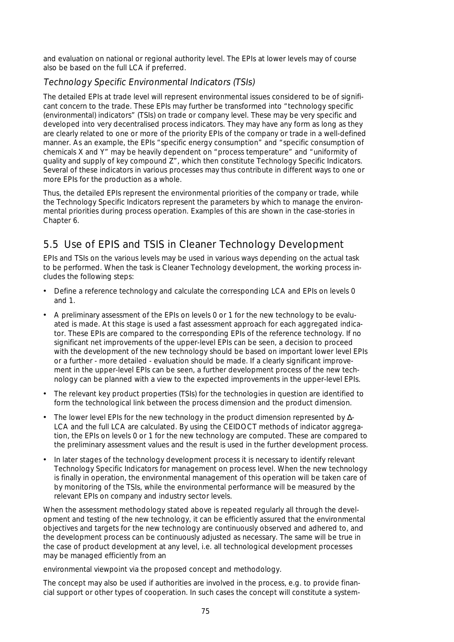and evaluation on national or regional authority level. The EPIs at lower levels may of course also be based on the full LCA if preferred.

# Technology Specific Environmental Indicators (TSIs)

The detailed EPIs at trade level will represent environmental issues considered to be of significant concern to the trade. These EPIs may further be transformed into "technology specific (environmental) indicators" (TSIs) on trade or company level. These may be very specific and developed into very decentralised process indicators. They may have any form as long as they are clearly related to one or more of the priority EPIs of the company or trade in a well-defined manner. As an example, the EPIs "specific energy consumption" and "specific consumption of chemicals X and Y" may be heavily dependent on "process temperature" and "uniformity of quality and supply of key compound Z", which then constitute Technology Specific Indicators. Several of these indicators in various processes may thus contribute in different ways to one or more EPIs for the production as a whole.

Thus, the detailed EPIs represent the environmental priorities of the company or trade, while the Technology Specific Indicators represent the parameters by which to manage the environmental priorities during process operation. Examples of this are shown in the case-stories in Chapter 6.

# 5.5 Use of EPIS and TSIS in Cleaner Technology Development

EPIs and TSIs on the various levels may be used in various ways depending on the actual task to be performed. When the task is Cleaner Technology development, the working process includes the following steps:

- Define a reference technology and calculate the corresponding LCA and EPIs on levels 0 and 1.
- A preliminary assessment of the EPIs on levels 0 or 1 for the new technology to be evaluated is made. At this stage is used a fast assessment approach for each aggregated indicator. These EPIs are compared to the corresponding EPIs of the reference technology. If no significant net improvements of the upper-level EPIs can be seen, a decision to proceed with the development of the new technology should be based on important lower level EPIs or a further - more detailed - evaluation should be made. If a clearly significant improvement in the upper-level EPIs can be seen, a further development process of the new technology can be planned with a view to the expected improvements in the upper-level EPIs.
- The relevant key product properties (TSIs) for the technologies in question are identified to form the technological link between the process dimension and the product dimension.
- The lower level EPIs for the new technology in the product dimension represented by ∆- LCA and the full LCA are calculated. By using the CEIDOCT methods of indicator aggregation, the EPIs on levels 0 or 1 for the new technology are computed. These are compared to the preliminary assessment values and the result is used in the further development process.
- In later stages of the technology development process it is necessary to identify relevant Technology Specific Indicators for management on process level. When the new technology is finally in operation, the environmental management of this operation will be taken care of by monitoring of the TSIs, while the environmental performance will be measured by the relevant EPIs on company and industry sector levels.

When the assessment methodology stated above is repeated regularly all through the development and testing of the new technology, it can be efficiently assured that the environmental objectives and targets for the new technology are continuously observed and adhered to, and the development process can be continuously adjusted as necessary. The same will be true in the case of product development at any level, i.e. all technological development processes may be managed efficiently from an

environmental viewpoint via the proposed concept and methodology.

The concept may also be used if authorities are involved in the process, e.g. to provide financial support or other types of cooperation. In such cases the concept will constitute a system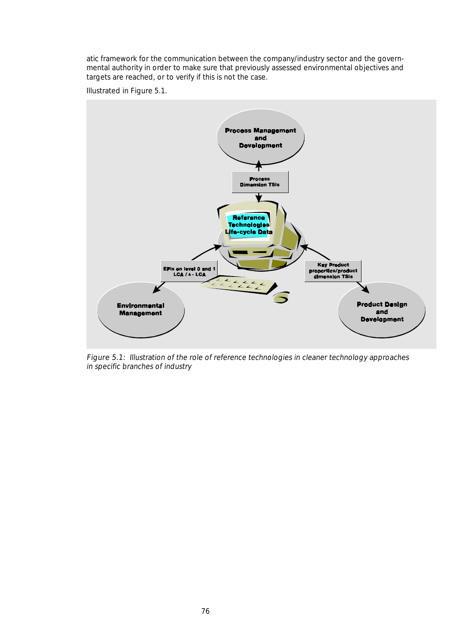atic framework for the communication between the company/industry sector and the governmental authority in order to make sure that previously assessed environmental objectives and targets are reached, or to verify if this is not the case.

Illustrated in Figure 5.1.



Figure 5.1: Illustration of the role of reference technologies in cleaner technology approaches in specific branches of industry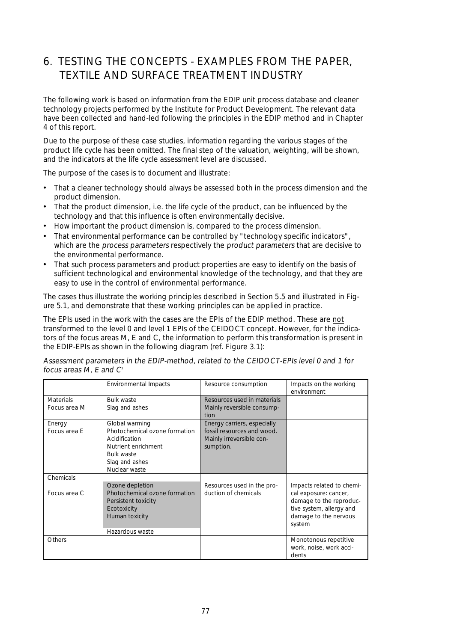# 6. TESTING THE CONCEPTS - EXAMPLES FROM THE PAPER, TEXTILE AND SURFACE TREATMENT INDUSTRY

The following work is based on information from the EDIP unit process database and cleaner technology projects performed by the Institute for Product Development. The relevant data have been collected and hand-led following the principles in the EDIP method and in Chapter 4 of this report.

Due to the purpose of these case studies, information regarding the various stages of the product life cycle has been omitted. The final step of the valuation, weighting, will be shown, and the indicators at the life cycle assessment level are discussed.

The purpose of the cases is to document and illustrate:

- That a cleaner technology should always be assessed both in the process dimension and the product dimension.
- That the product dimension, i.e. the life cycle of the product, can be influenced by the technology and that this influence is often environmentally decisive.
- How important the product dimension is, compared to the process dimension.
- That environmental performance can be controlled by "technology specific indicators", which are the process parameters respectively the product parameters that are decisive to the environmental performance.
- That such process parameters and product properties are easy to identify on the basis of sufficient technological and environmental knowledge of the technology, and that they are easy to use in the control of environmental performance.

The cases thus illustrate the working principles described in Section 5.5 and illustrated in Figure 5.1, and demonstrate that these working principles can be applied in practice.

The EPIs used in the work with the cases are the EPIs of the EDIP method. These are not transformed to the level 0 and level 1 EPIs of the CEIDOCT concept. However, for the indicators of the focus areas M, E and C, the information to perform this transformation is present in the EDIP-EPIs as shown in the following diagram (ref. Figure 3.1):

|                                  | <b>Environmental Impacts</b>                                                                                                                    | Resource consumption                                                                               | Impacts on the working<br>environment                                                                                                        |
|----------------------------------|-------------------------------------------------------------------------------------------------------------------------------------------------|----------------------------------------------------------------------------------------------------|----------------------------------------------------------------------------------------------------------------------------------------------|
| <b>Materials</b><br>Focus area M | <b>Bulk waste</b><br>Slag and ashes                                                                                                             | Resources used in materials<br>Mainly reversible consump-<br>tion                                  |                                                                                                                                              |
| Energy<br>Focus area E           | Global warming<br>Photochemical ozone formation<br>Acidification<br>Nutrient enrichment<br><b>Bulk waste</b><br>Slag and ashes<br>Nuclear waste | Energy carriers, especially<br>fossil resources and wood.<br>Mainly irreversible con-<br>sumption. |                                                                                                                                              |
| Chemicals                        |                                                                                                                                                 |                                                                                                    |                                                                                                                                              |
| Focus area C                     | Ozone depletion<br>Photochemical ozone formation<br>Persistent toxicity<br>Ecotoxicity<br>Human toxicity<br>Hazardous waste                     | Resources used in the pro-<br>duction of chemicals                                                 | Impacts related to chemi-<br>cal exposure: cancer,<br>damage to the reproduc-<br>tive system, allergy and<br>damage to the nervous<br>system |
| Others                           |                                                                                                                                                 |                                                                                                    | Monotonous repetitive<br>work, noise, work acci-<br>dents                                                                                    |

Assessment parameters in the EDIP-method, related to the CEIDOCT-EPIs level 0 and 1 for focus areas  $M$ , E and  $C<sup>s</sup>$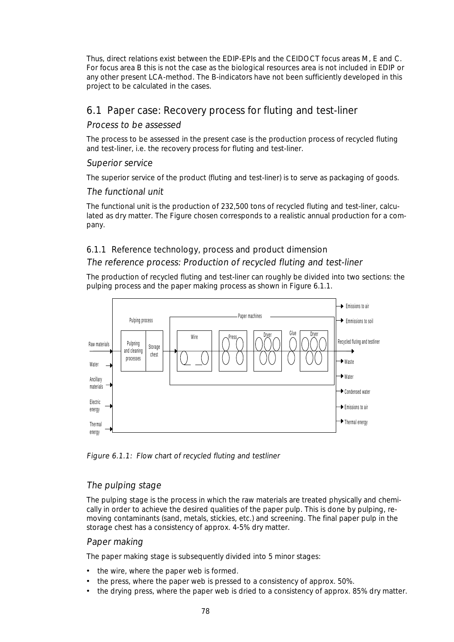Thus, direct relations exist between the EDIP-EPIs and the CEIDOCT focus areas M, E and C. For focus area B this is not the case as the biological resources area is not included in EDIP or any other present LCA-method. The B-indicators have not been sufficiently developed in this project to be calculated in the cases.

# 6.1 Paper case: Recovery process for fluting and test-liner

## Process to be assessed

The process to be assessed in the present case is the production process of recycled fluting and test-liner, i.e. the recovery process for fluting and test-liner.

## Superior service

The superior service of the product (fluting and test-liner) is to serve as packaging of goods.

## The functional unit

The functional unit is the production of 232,500 tons of recycled fluting and test-liner, calculated as dry matter. The Figure chosen corresponds to a realistic annual production for a company.

# 6.1.1 Reference technology, process and product dimension The reference process: Production of recycled fluting and test-liner

The production of recycled fluting and test-liner can roughly be divided into two sections: the pulping process and the paper making process as shown in Figure 6.1.1.



Figure 6.1.1: Flow chart of recycled fluting and testliner

# The pulping stage

The pulping stage is the process in which the raw materials are treated physically and chemically in order to achieve the desired qualities of the paper pulp. This is done by pulping, removing contaminants (sand, metals, stickies, etc.) and screening. The final paper pulp in the storage chest has a consistency of approx. 4-5% dry matter.

#### Paper making

The paper making stage is subsequently divided into 5 minor stages:

- the wire, where the paper web is formed.
- the press, where the paper web is pressed to a consistency of approx. 50%.
- the drying press, where the paper web is dried to a consistency of approx. 85% dry matter.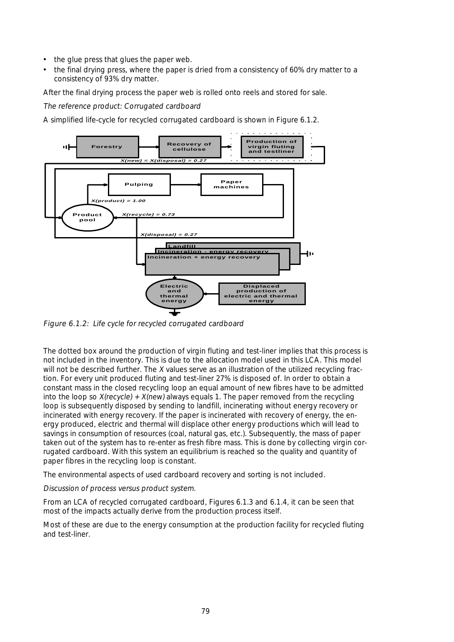- the glue press that glues the paper web.
- the final drying press, where the paper is dried from a consistency of 60% dry matter to a consistency of 93% dry matter.

After the final drying process the paper web is rolled onto reels and stored for sale.

The reference product: Corrugated cardboard

A simplified life-cycle for recycled corrugated cardboard is shown in Figure 6.1.2.



Figure 6.1.2: Life cycle for recycled corrugated cardboard

The dotted box around the production of virgin fluting and test-liner implies that this process is not included in the inventory. This is due to the allocation model used in this LCA. This model will not be described further. The X values serve as an illustration of the utilized recycling fraction. For every unit produced fluting and test-liner 27% is disposed of. In order to obtain a constant mass in the closed recycling loop an equal amount of new fibres have to be admitted into the loop so  $X(recycle) + X(new)$  always equals 1. The paper removed from the recycling loop is subsequently disposed by sending to landfill, incinerating without energy recovery or incinerated with energy recovery. If the paper is incinerated with recovery of energy, the energy produced, electric and thermal will displace other energy productions which will lead to savings in consumption of resources (coal, natural gas, etc.). Subsequently, the mass of paper taken out of the system has to re-enter as fresh fibre mass. This is done by collecting virgin corrugated cardboard. With this system an equilibrium is reached so the quality and quantity of paper fibres in the recycling loop is constant.

The environmental aspects of used cardboard recovery and sorting is not included.

#### Discussion of process versus product system.

From an LCA of recycled corrugated cardboard, Figures 6.1.3 and 6.1.4, it can be seen that most of the impacts actually derive from the production process itself.

Most of these are due to the energy consumption at the production facility for recycled fluting and test-liner.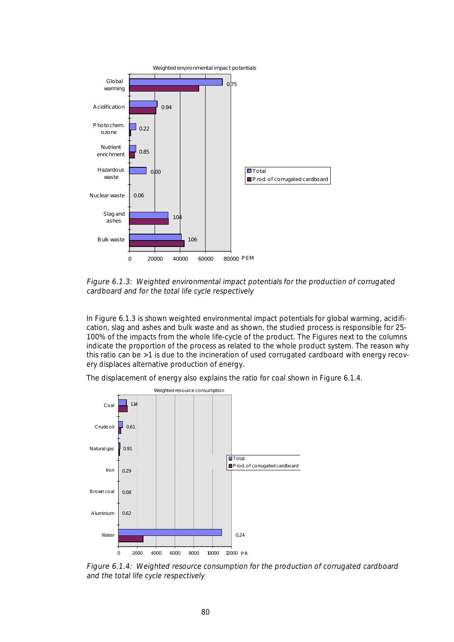

Figure 6.1.3: Weighted environmental impact potentials for the production of corrugated cardboard and for the total life cycle respectively

In Figure 6.1.3 is shown weighted environmental impact potentials for global warming, acidification, slag and ashes and bulk waste and as shown, the studied process is responsible for 25- 100% of the impacts from the whole life-cycle of the product. The Figures next to the columns indicate the proportion of the process as related to the whole product system. The reason why this ratio can be >1 is due to the incineration of used corrugated cardboard with energy recovery displaces alternative production of energy.

The displacement of energy also explains the ratio for coal shown in Figure 6.1.4.



Figure 6.1.4: Weighted resource consumption for the production of corrugated cardboard and the total life cycle respectively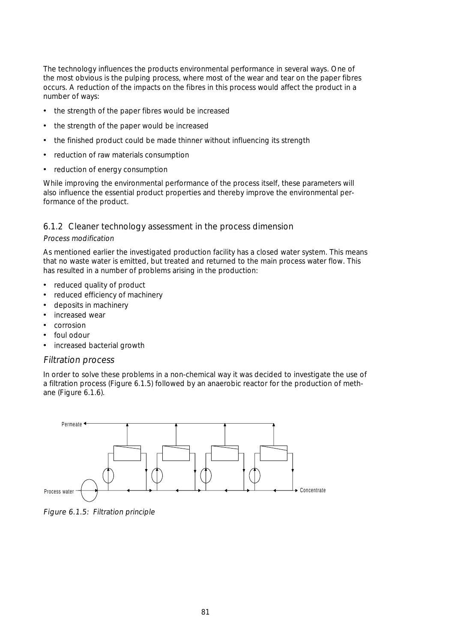The technology influences the products environmental performance in several ways. One of the most obvious is the pulping process, where most of the wear and tear on the paper fibres occurs. A reduction of the impacts on the fibres in this process would affect the product in a number of ways:

- the strength of the paper fibres would be increased
- the strength of the paper would be increased
- the finished product could be made thinner without influencing its strength
- reduction of raw materials consumption
- reduction of energy consumption

While improving the environmental performance of the process itself, these parameters will also influence the essential product properties and thereby improve the environmental performance of the product.

#### 6.1.2 Cleaner technology assessment in the process dimension

#### Process modification

As mentioned earlier the investigated production facility has a closed water system. This means that no waste water is emitted, but treated and returned to the main process water flow. This has resulted in a number of problems arising in the production:

- reduced quality of product
- reduced efficiency of machinery
- deposits in machinery
- increased wear
- corrosion
- foul odour
- increased bacterial growth

#### Filtration process

In order to solve these problems in a non-chemical way it was decided to investigate the use of a filtration process (Figure 6.1.5) followed by an anaerobic reactor for the production of methane (Figure 6.1.6).



Figure 6.1.5: Filtration principle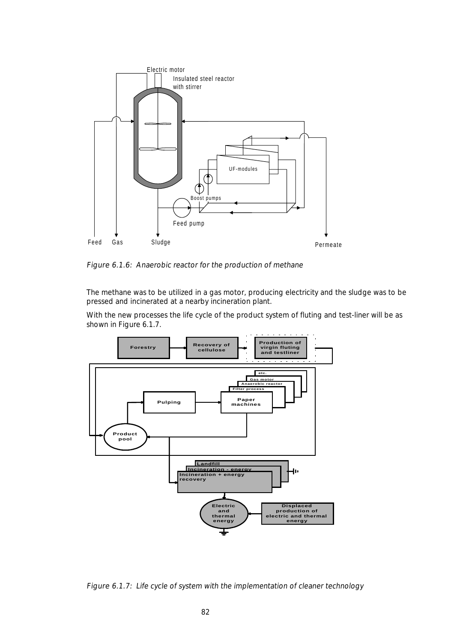

Figure 6.1.6: Anaerobic reactor for the production of methane

The methane was to be utilized in a gas motor, producing electricity and the sludge was to be pressed and incinerated at a nearby incineration plant.

With the new processes the life cycle of the product system of fluting and test-liner will be as shown in Figure 6.1.7.



Figure 6.1.7: Life cycle of system with the implementation of cleaner technology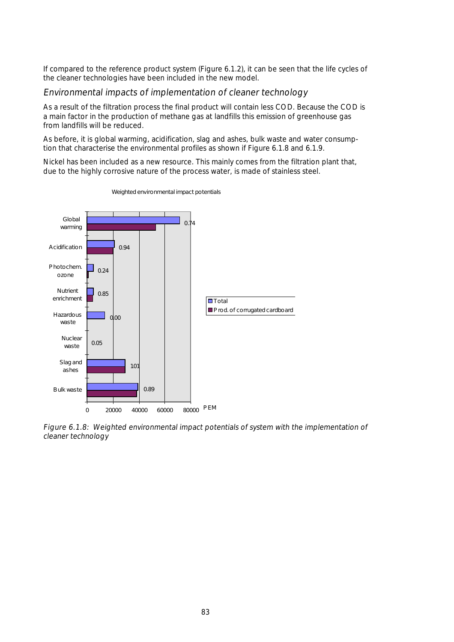If compared to the reference product system (Figure 6.1.2), it can be seen that the life cycles of the cleaner technologies have been included in the new model.

#### Environmental impacts of implementation of cleaner technology

As a result of the filtration process the final product will contain less COD. Because the COD is a main factor in the production of methane gas at landfills this emission of greenhouse gas from landfills will be reduced.

As before, it is global warming, acidification, slag and ashes, bulk waste and water consumption that characterise the environmental profiles as shown if Figure 6.1.8 and 6.1.9.

Nickel has been included as a new resource. This mainly comes from the filtration plant that, due to the highly corrosive nature of the process water, is made of stainless steel.



Weighted environmental impact potentials

Figure 6.1.8: Weighted environmental impact potentials of system with the implementation of cleaner technology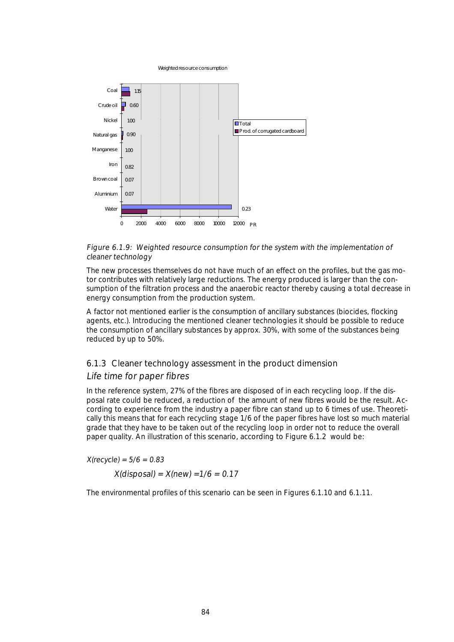Weighted resource consumption



#### Figure 6.1.9: Weighted resource consumption for the system with the implementation of cleaner technology

The new processes themselves do not have much of an effect on the profiles, but the gas motor contributes with relatively large reductions. The energy produced is larger than the consumption of the filtration process and the anaerobic reactor thereby causing a total decrease in energy consumption from the production system.

A factor not mentioned earlier is the consumption of ancillary substances (biocides, flocking agents, etc.). Introducing the mentioned cleaner technologies it should be possible to reduce the consumption of ancillary substances by approx. 30%, with some of the substances being reduced by up to 50%.

# 6.1.3 Cleaner technology assessment in the product dimension

#### Life time for paper fibres

In the reference system, 27% of the fibres are disposed of in each recycling loop. If the disposal rate could be reduced, a reduction of the amount of new fibres would be the result. According to experience from the industry a paper fibre can stand up to 6 times of use. Theoretically this means that for each recycling stage 1/6 of the paper fibres have lost so much material grade that they have to be taken out of the recycling loop in order not to reduce the overall paper quality. An illustration of this scenario, according to Figure 6.1.2 would be:

 $X(recycle) = 5/6 = 0.83$ 

 $X(disposal) = X(new) = 1/6 = 0.17$ 

The environmental profiles of this scenario can be seen in Figures 6.1.10 and 6.1.11.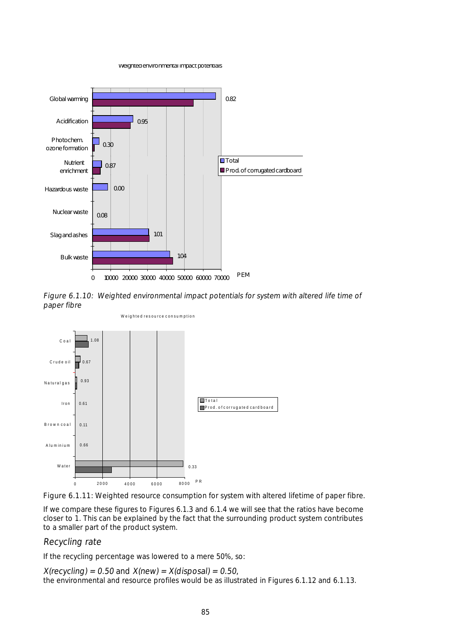Weighted environmental impact potentials



Figure 6.1.10: Weighted environmental impact potentials for system with altered life time of paper fibre



Figure 6.1.11: Weighted resource consumption for system with altered lifetime of paper fibre.

If we compare these figures to Figures 6.1.3 and 6.1.4 we will see that the ratios have become closer to 1. This can be explained by the fact that the surrounding product system contributes to a smaller part of the product system.

#### Recycling rate

If the recycling percentage was lowered to a mere 50%, so:

 $X(recyclic) = 0.50$  and  $X(new) = X(disposal) = 0.50$ , the environmental and resource profiles would be as illustrated in Figures 6.1.12 and 6.1.13.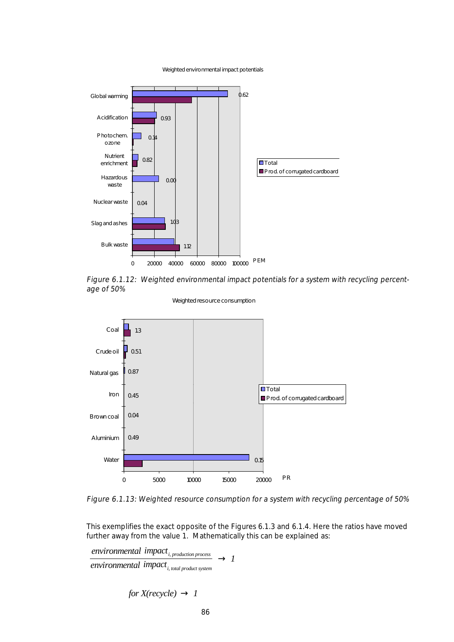Weighted environmental impact potentials



Figure 6.1.12: Weighted environmental impact potentials for a system with recycling percentage of 50%



Weighted resource consumption

Figure 6.1.13: Weighted resource consumption for a system with recycling percentage of 50%

This exemplifies the exact opposite of the Figures 6.1.3 and 6.1.4. Here the ratios have moved further away from the value 1. Mathematically this can be explained as:

*environmental impact i, production process*  $\frac{P}{p_{total}} \rightarrow 1$ <br>  $\frac{P}{p_{total}} \rightarrow 1$  $\rightarrow$  1

 $for X(recycle) \rightarrow 1$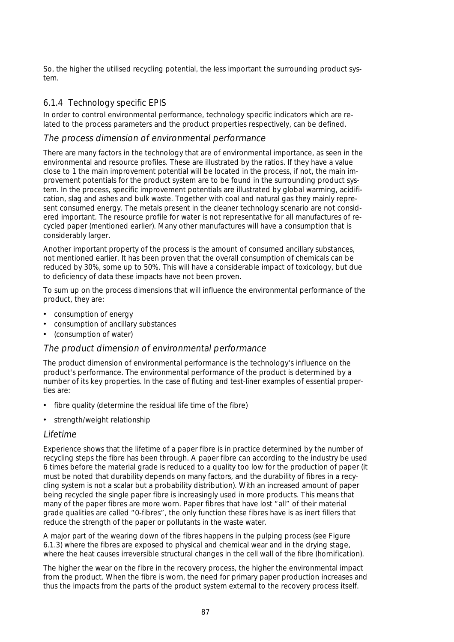So, the higher the utilised recycling potential, the less important the surrounding product system.

### 6.1.4 Technology specific EPIS

In order to control environmental performance, technology specific indicators which are related to the process parameters and the product properties respectively, can be defined.

#### The process dimension of environmental performance

There are many factors in the technology that are of environmental importance, as seen in the environmental and resource profiles. These are illustrated by the ratios. If they have a value close to 1 the main improvement potential will be located in the process, if not, the main improvement potentials for the product system are to be found in the surrounding product system. In the process, specific improvement potentials are illustrated by global warming, acidification, slag and ashes and bulk waste. Together with coal and natural gas they mainly represent consumed energy. The metals present in the cleaner technology scenario are not considered important. The resource profile for water is not representative for all manufactures of recycled paper (mentioned earlier). Many other manufactures will have a consumption that is considerably larger.

Another important property of the process is the amount of consumed ancillary substances, not mentioned earlier. It has been proven that the overall consumption of chemicals can be reduced by 30%, some up to 50%. This will have a considerable impact of toxicology, but due to deficiency of data these impacts have not been proven.

To sum up on the process dimensions that will influence the environmental performance of the product, they are:

- consumption of energy
- consumption of ancillary substances
- (consumption of water)

#### The product dimension of environmental performance

The product dimension of environmental performance is the technology's influence on the product's performance. The environmental performance of the product is determined by a number of its key properties. In the case of fluting and test-liner examples of essential properties are:

- fibre quality (determine the residual life time of the fibre)
- strength/weight relationship

#### Lifetime

Experience shows that the lifetime of a paper fibre is in practice determined by the number of recycling steps the fibre has been through. A paper fibre can according to the industry be used 6 times before the material grade is reduced to a quality too low for the production of paper (it must be noted that durability depends on many factors, and the durability of fibres in a recycling system is not a scalar but a probability distribution). With an increased amount of paper being recycled the single paper fibre is increasingly used in more products. This means that many of the paper fibres are more worn. Paper fibres that have lost "all" of their material grade qualities are called "0-fibres", the only function these fibres have is as inert fillers that reduce the strength of the paper or pollutants in the waste water.

A major part of the wearing down of the fibres happens in the pulping process (see Figure 6.1.3) where the fibres are exposed to physical and chemical wear and in the drying stage, where the heat causes irreversible structural changes in the cell wall of the fibre (hornification).

The higher the wear on the fibre in the recovery process, the higher the environmental impact from the product. When the fibre is worn, the need for primary paper production increases and thus the impacts from the parts of the product system external to the recovery process itself.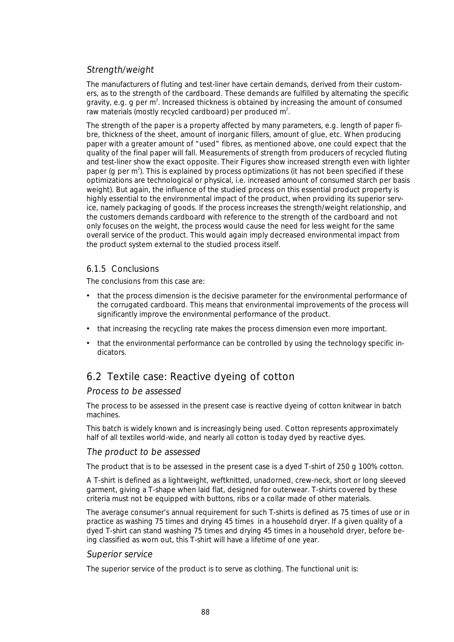# Strength/weight

The manufacturers of fluting and test-liner have certain demands, derived from their customers, as to the strength of the cardboard. These demands are fulfilled by alternating the specific gravity, e.g. g per m<sup>2</sup>. Increased thickness is obtained by increasing the amount of consumed raw materials (mostly recycled cardboard) per produced m<sup>2</sup>.

The strength of the paper is a property affected by many parameters, e.g. length of paper fibre, thickness of the sheet, amount of inorganic fillers, amount of glue, etc. When producing paper with a greater amount of "used" fibres, as mentioned above, one could expect that the quality of the final paper will fall. Measurements of strength from producers of recycled fluting and test-liner show the exact opposite. Their Figures show increased strength even with lighter paper (g per  $m^2$ ). This is explained by process optimizations (it has not been specified if these optimizations are technological or physical, i.e. increased amount of consumed starch per basis weight). But again, the influence of the studied process on this essential product property is highly essential to the environmental impact of the product, when providing its superior service, namely packaging of goods. If the process increases the strength/weight relationship, and the customers demands cardboard with reference to the strength of the cardboard and not only focuses on the weight, the process would cause the need for less weight for the same overall service of the product. This would again imply decreased environmental impact from the product system external to the studied process itself.

#### 6.1.5 Conclusions

The conclusions from this case are:

- that the process dimension is the decisive parameter for the environmental performance of the corrugated cardboard. This means that environmental improvements of the process will significantly improve the environmental performance of the product.
- that increasing the recycling rate makes the process dimension even more important.
- that the environmental performance can be controlled by using the technology specific indicators.

# 6.2 Textile case: Reactive dyeing of cotton

#### Process to be assessed

The process to be assessed in the present case is reactive dyeing of cotton knitwear in batch machines.

This batch is widely known and is increasingly being used. Cotton represents approximately half of all textiles world-wide, and nearly all cotton is today dyed by reactive dyes.

#### The product to be assessed

The product that is to be assessed in the present case is a dyed T-shirt of 250 g 100% cotton.

A T-shirt is defined as a lightweight, weftknitted, unadorned, crew-neck, short or long sleeved garment, giving a T-shape when laid flat, designed for outerwear. T-shirts covered by these criteria must not be equipped with buttons, ribs or a collar made of other materials.

The average consumer's annual requirement for such T-shirts is defined as 75 times of use or in practice as washing 75 times and drying 45 times in a household dryer. If a given quality of a dyed T-shirt can stand washing 75 times and drying 45 times in a household dryer, before being classified as worn out, this T-shirt will have a lifetime of one year.

#### Superior service

The superior service of the product is to serve as clothing. The functional unit is: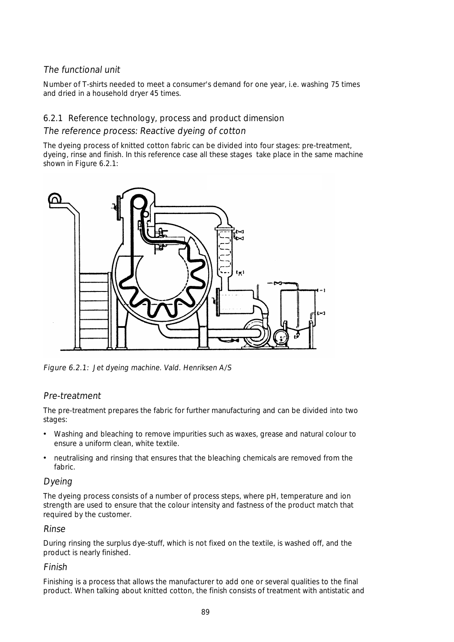# The functional unit

Number of T-shirts needed to meet a consumer's demand for one year, i.e. washing 75 times and dried in a household dryer 45 times.

## 6.2.1 Reference technology, process and product dimension

### The reference process: Reactive dyeing of cotton

The dyeing process of knitted cotton fabric can be divided into four stages: pre-treatment, dyeing, rinse and finish. In this reference case all these stages take place in the same machine shown in Figure 6.2.1:



Figure 6.2.1: Jet dyeing machine. Vald. Henriksen A/S

# Pre-treatment

The pre-treatment prepares the fabric for further manufacturing and can be divided into two stages:

- Washing and bleaching to remove impurities such as waxes, grease and natural colour to ensure a uniform clean, white textile.
- neutralising and rinsing that ensures that the bleaching chemicals are removed from the fabric.

#### Dyeing

The dyeing process consists of a number of process steps, where pH, temperature and ion strength are used to ensure that the colour intensity and fastness of the product match that required by the customer.

#### Rinse

During rinsing the surplus dye-stuff, which is not fixed on the textile, is washed off, and the product is nearly finished.

#### Finish

Finishing is a process that allows the manufacturer to add one or several qualities to the final product. When talking about knitted cotton, the finish consists of treatment with antistatic and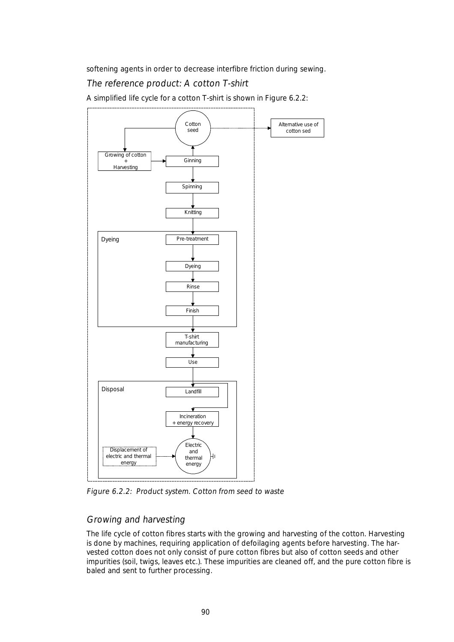softening agents in order to decrease interfibre friction during sewing.

# The reference product: A cotton T-shirt

A simplified life cycle for a cotton T-shirt is shown in Figure 6.2.2:



Figure 6.2.2: Product system. Cotton from seed to waste

# Growing and harvesting

The life cycle of cotton fibres starts with the growing and harvesting of the cotton. Harvesting is done by machines, requiring application of defoilaging agents before harvesting. The harvested cotton does not only consist of pure cotton fibres but also of cotton seeds and other impurities (soil, twigs, leaves etc.). These impurities are cleaned off, and the pure cotton fibre is baled and sent to further processing.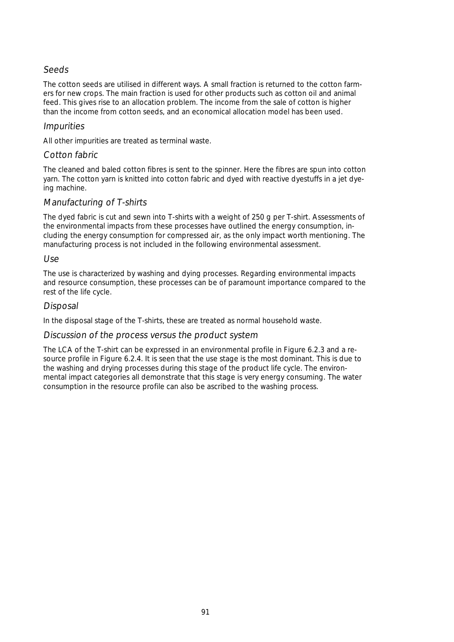## Seeds

The cotton seeds are utilised in different ways. A small fraction is returned to the cotton farmers for new crops. The main fraction is used for other products such as cotton oil and animal feed. This gives rise to an allocation problem. The income from the sale of cotton is higher than the income from cotton seeds, and an economical allocation model has been used.

### **Impurities**

All other impurities are treated as terminal waste.

### Cotton fabric

The cleaned and baled cotton fibres is sent to the spinner. Here the fibres are spun into cotton yarn. The cotton yarn is knitted into cotton fabric and dyed with reactive dyestuffs in a jet dyeing machine.

## Manufacturing of T-shirts

The dyed fabric is cut and sewn into T-shirts with a weight of 250 g per T-shirt. Assessments of the environmental impacts from these processes have outlined the energy consumption, including the energy consumption for compressed air, as the only impact worth mentioning. The manufacturing process is not included in the following environmental assessment.

#### Use

The use is characterized by washing and dying processes. Regarding environmental impacts and resource consumption, these processes can be of paramount importance compared to the rest of the life cycle.

## Disposal

In the disposal stage of the T-shirts, these are treated as normal household waste.

#### Discussion of the process versus the product system

The LCA of the T-shirt can be expressed in an environmental profile in Figure 6.2.3 and a resource profile in Figure 6.2.4. It is seen that the use stage is the most dominant. This is due to the washing and drying processes during this stage of the product life cycle. The environmental impact categories all demonstrate that this stage is very energy consuming. The water consumption in the resource profile can also be ascribed to the washing process.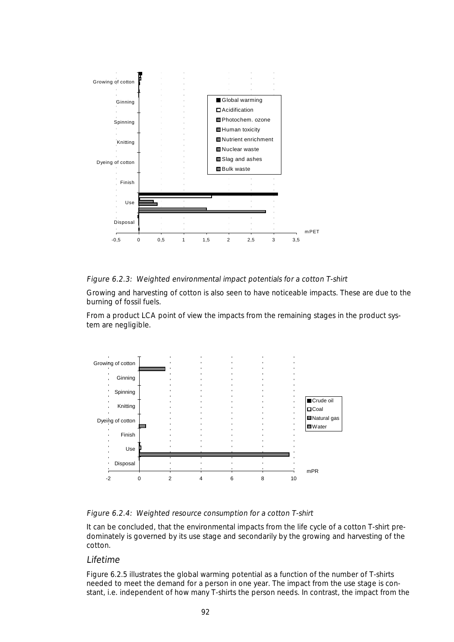

#### Figure 6.2.3: Weighted environmental impact potentials for a cotton T-shirt

Growing and harvesting of cotton is also seen to have noticeable impacts. These are due to the burning of fossil fuels.

From a product LCA point of view the impacts from the remaining stages in the product system are negligible.



Figure 6.2.4: Weighted resource consumption for a cotton T-shirt

It can be concluded, that the environmental impacts from the life cycle of a cotton T-shirt predominately is governed by its use stage and secondarily by the growing and harvesting of the cotton.

#### Lifetime

Figure 6.2.5 illustrates the global warming potential as a function of the number of T-shirts needed to meet the demand for a person in one year. The impact from the use stage is constant, i.e. independent of how many T-shirts the person needs. In contrast, the impact from the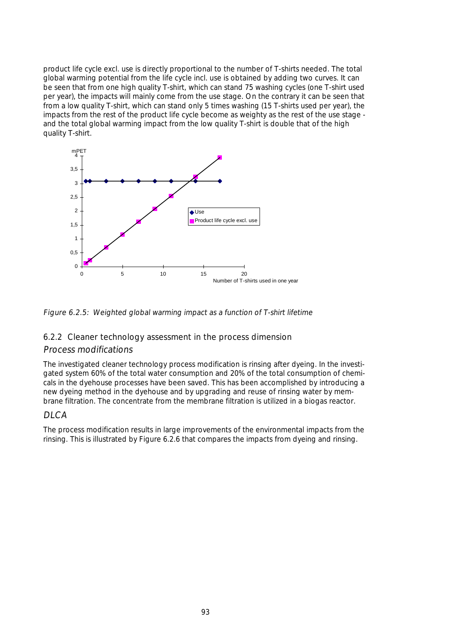product life cycle excl. use is directly proportional to the number of T-shirts needed. The total global warming potential from the life cycle incl. use is obtained by adding two curves. It can be seen that from one high quality T-shirt, which can stand 75 washing cycles (one T-shirt used per year), the impacts will mainly come from the use stage. On the contrary it can be seen that from a low quality T-shirt, which can stand only 5 times washing (15 T-shirts used per year), the impacts from the rest of the product life cycle become as weighty as the rest of the use stage and the total global warming impact from the low quality T-shirt is double that of the high quality T-shirt.



Figure 6.2.5: Weighted global warming impact as a function of T-shirt lifetime

#### 6.2.2 Cleaner technology assessment in the process dimension

#### Process modifications

The investigated cleaner technology process modification is rinsing after dyeing. In the investigated system 60% of the total water consumption and 20% of the total consumption of chemicals in the dyehouse processes have been saved. This has been accomplished by introducing a new dyeing method in the dyehouse and by upgrading and reuse of rinsing water by membrane filtration. The concentrate from the membrane filtration is utilized in a biogas reactor.

# DI CA

The process modification results in large improvements of the environmental impacts from the rinsing. This is illustrated by Figure 6.2.6 that compares the impacts from dyeing and rinsing.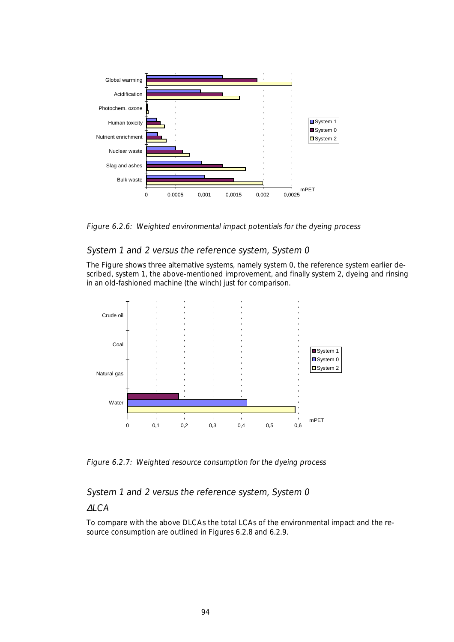

Figure 6.2.6: Weighted environmental impact potentials for the dyeing process

## System 1 and 2 versus the reference system, System 0

The Figure shows three alternative systems, namely system 0, the reference system earlier described, system 1, the above-mentioned improvement, and finally system 2, dyeing and rinsing in an old-fashioned machine (the winch) just for comparison.



Figure 6.2.7: Weighted resource consumption for the dyeing process

System 1 and 2 versus the reference system, System 0

#### ∆LCA

To compare with the above DLCAs the total LCAs of the environmental impact and the resource consumption are outlined in Figures 6.2.8 and 6.2.9.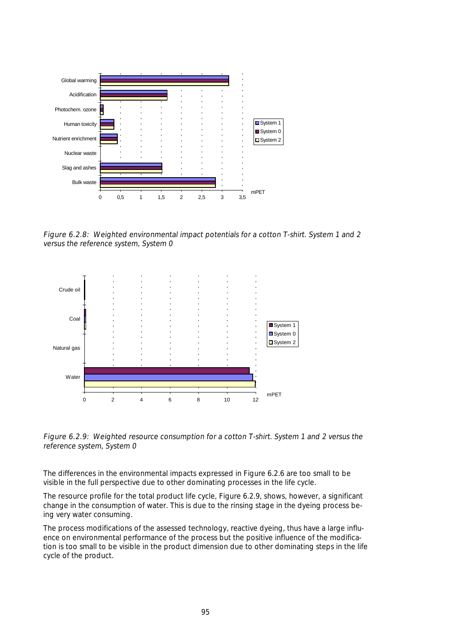

Figure 6.2.8: Weighted environmental impact potentials for a cotton T-shirt. System 1 and 2 versus the reference system, System 0



Figure 6.2.9: Weighted resource consumption for a cotton T-shirt. System 1 and 2 versus the reference system, System 0

The differences in the environmental impacts expressed in Figure 6.2.6 are too small to be visible in the full perspective due to other dominating processes in the life cycle.

The resource profile for the total product life cycle, Figure 6.2.9, shows, however, a significant change in the consumption of water. This is due to the rinsing stage in the dyeing process being very water consuming.

The process modifications of the assessed technology, reactive dyeing, thus have a large influence on environmental performance of the process but the positive influence of the modification is too small to be visible in the product dimension due to other dominating steps in the life cycle of the product.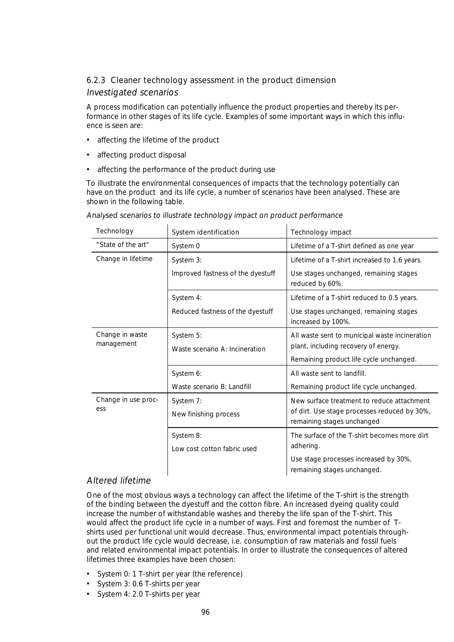## 6.2.3 Cleaner technology assessment in the product dimension

#### Investigated scenarios

A process modification can potentially influence the product properties and thereby its performance in other stages of its life cycle. Examples of some important ways in which this influence is seen are:

- affecting the lifetime of the product
- affecting product disposal
- affecting the performance of the product during use

To illustrate the environmental consequences of impacts that the technology potentially can have on the product and its life cycle, a number of scenarios have been analysed. These are shown in the following table.

| Technology                    | System identification                       | Technology impact                                                                                                                 |
|-------------------------------|---------------------------------------------|-----------------------------------------------------------------------------------------------------------------------------------|
| "State of the art"            | System 0                                    | Lifetime of a T-shirt defined as one year                                                                                         |
| Change in lifetime            | System 3:                                   | Lifetime of a T-shirt increased to 1.6 years.                                                                                     |
|                               | Improved fastness of the dyestuff           | Use stages unchanged, remaining stages<br>reduced by 60%.                                                                         |
|                               | System 4:                                   | Lifetime of a T-shirt reduced to 0.5 years.                                                                                       |
|                               | Reduced fastness of the dyestuff            | Use stages unchanged, remaining stages<br>increased by 100%.                                                                      |
| Change in waste<br>management | System 5:<br>Waste scenario A: Incineration | All waste sent to municipal waste incineration<br>plant, including recovery of energy.<br>Remaining product life cycle unchanged. |
|                               | System 6:<br>Waste scenario B: Landfill     | All waste sent to landfill.<br>Remaining product life cycle unchanged.                                                            |
| Change in use proc-<br>ess    | System 7:<br>New finishing process          | New surface treatment to reduce attachment<br>of dirt. Use stage processes reduced by 30%,<br>remaining stages unchanged          |
|                               | System 8:<br>Low cost cotton fabric used    | The surface of the T-shirt becomes more dirt<br>adhering.<br>Use stage processes increased by 30%,<br>remaining stages unchanged. |

Analysed scenarios to illustrate technology impact on product performance

# Altered lifetime

One of the most obvious ways a technology can affect the lifetime of the T-shirt is the strength of the binding between the dyestuff and the cotton fibre. An increased dyeing quality could increase the number of withstandable washes and thereby the life span of the T-shirt. This would affect the product life cycle in a number of ways. First and foremost the number of Tshirts used per functional unit would decrease. Thus, environmental impact potentials throughout the product life cycle would decrease, i.e. consumption of raw materials and fossil fuels and related environmental impact potentials. In order to illustrate the consequences of altered lifetimes three examples have been chosen:

- System 0: 1 T-shirt per year (the reference)
- System 3: 0.6 T-shirts per year
- System 4: 2.0 T-shirts per year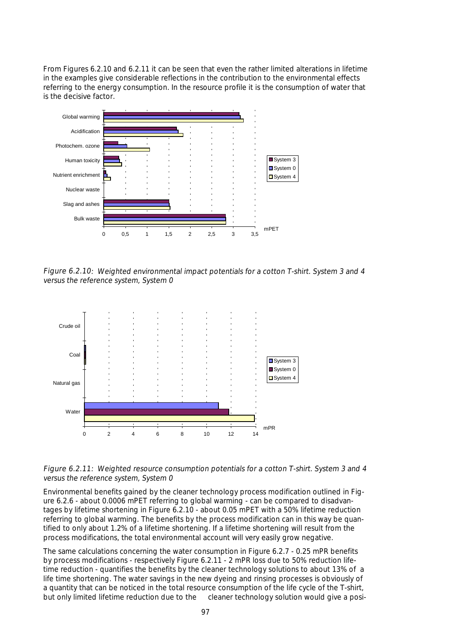From Figures 6.2.10 and 6.2.11 it can be seen that even the rather limited alterations in lifetime in the examples give considerable reflections in the contribution to the environmental effects referring to the energy consumption. In the resource profile it is the consumption of water that is the decisive factor.



Figure 6.2.10: Weighted environmental impact potentials for a cotton T-shirt. System 3 and 4 versus the reference system, System 0



Figure 6.2.11: Weighted resource consumption potentials for a cotton T-shirt. System 3 and 4 versus the reference system, System 0

Environmental benefits gained by the cleaner technology process modification outlined in Figure 6.2.6 - about 0.0006 mPET referring to global warming - can be compared to disadvantages by lifetime shortening in Figure 6.2.10 - about 0.05 mPET with a 50% lifetime reduction referring to global warming. The benefits by the process modification can in this way be quantified to only about 1.2% of a lifetime shortening. If a lifetime shortening will result from the process modifications, the total environmental account will very easily grow negative.

The same calculations concerning the water consumption in Figure 6.2.7 - 0.25 mPR benefits by process modifications - respectively Figure 6.2.11 - 2 mPR loss due to 50% reduction lifetime reduction - quantifies the benefits by the cleaner technology solutions to about 13% of a life time shortening. The water savings in the new dyeing and rinsing processes is obviously of a quantity that can be noticed in the total resource consumption of the life cycle of the T-shirt, but only limited lifetime reduction due to the cleaner technology solution would give a posi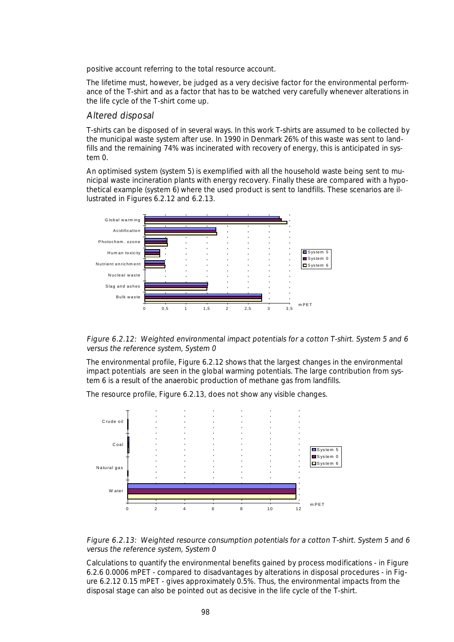positive account referring to the total resource account.

The lifetime must, however, be judged as a very decisive factor for the environmental performance of the T-shirt and as a factor that has to be watched very carefully whenever alterations in the life cycle of the T-shirt come up.

### Altered disposal

T-shirts can be disposed of in several ways. In this work T-shirts are assumed to be collected by the municipal waste system after use. In 1990 in Denmark 26% of this waste was sent to landfills and the remaining 74% was incinerated with recovery of energy, this is anticipated in system 0.

An optimised system (system 5) is exemplified with all the household waste being sent to municipal waste incineration plants with energy recovery. Finally these are compared with a hypothetical example (system 6) where the used product is sent to landfills. These scenarios are illustrated in Figures 6.2.12 and 6.2.13.





The environmental profile, Figure 6.2.12 shows that the largest changes in the environmental impact potentials are seen in the global warming potentials. The large contribution from system 6 is a result of the anaerobic production of methane gas from landfills.

The resource profile, Figure 6.2.13, does not show any visible changes.





Calculations to quantify the environmental benefits gained by process modifications - in Figure 6.2.6 0.0006 mPET - compared to disadvantages by alterations in disposal procedures - in Figure 6.2.12 0.15 mPET - gives approximately 0.5%. Thus, the environmental impacts from the disposal stage can also be pointed out as decisive in the life cycle of the T-shirt.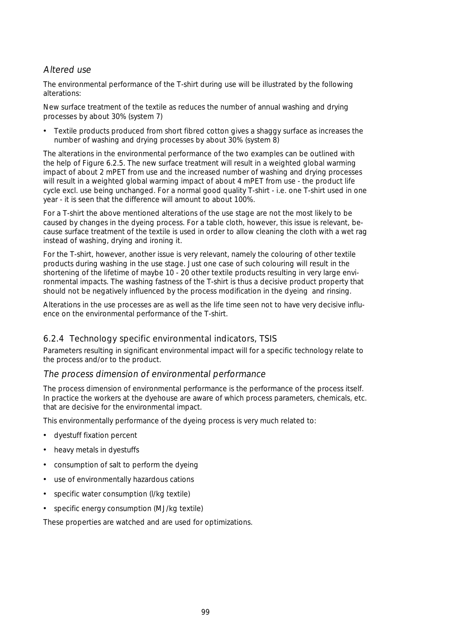# Altered use

The environmental performance of the T-shirt during use will be illustrated by the following alterations:

New surface treatment of the textile as reduces the number of annual washing and drying processes by about 30% (system 7)

• Textile products produced from short fibred cotton gives a shaggy surface as increases the number of washing and drying processes by about 30% (system 8)

The alterations in the environmental performance of the two examples can be outlined with the help of Figure 6.2.5. The new surface treatment will result in a weighted global warming impact of about 2 mPET from use and the increased number of washing and drying processes will result in a weighted global warming impact of about 4 mPET from use - the product life cycle excl. use being unchanged. For a normal good quality T-shirt - i.e. one T-shirt used in one year - it is seen that the difference will amount to about 100%.

For a T-shirt the above mentioned alterations of the use stage are not the most likely to be caused by changes in the dyeing process. For a table cloth, however, this issue is relevant, because surface treatment of the textile is used in order to allow cleaning the cloth with a wet rag instead of washing, drying and ironing it.

For the T-shirt, however, another issue is very relevant, namely the colouring of other textile products during washing in the use stage. Just one case of such colouring will result in the shortening of the lifetime of maybe 10 - 20 other textile products resulting in very large environmental impacts. The washing fastness of the T-shirt is thus a decisive product property that should not be negatively influenced by the process modification in the dyeing and rinsing.

Alterations in the use processes are as well as the life time seen not to have very decisive influence on the environmental performance of the T-shirt.

# 6.2.4 Technology specific environmental indicators, TSIS

Parameters resulting in significant environmental impact will for a specific technology relate to the process and/or to the product.

#### The process dimension of environmental performance

The process dimension of environmental performance is the performance of the process itself. In practice the workers at the dyehouse are aware of which process parameters, chemicals, etc. that are decisive for the environmental impact.

This environmentally performance of the dyeing process is very much related to:

- dyestuff fixation percent
- heavy metals in dyestuffs
- consumption of salt to perform the dyeing
- use of environmentally hazardous cations
- specific water consumption (I/kg textile)
- specific energy consumption (MJ/kg textile)

These properties are watched and are used for optimizations.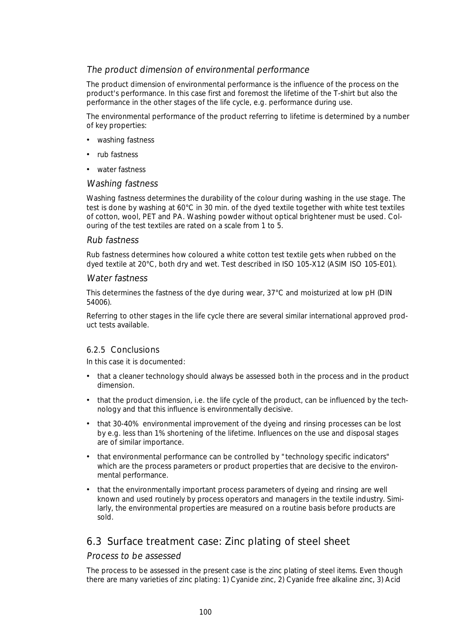### The product dimension of environmental performance

The product dimension of environmental performance is the influence of the process on the product's performance. In this case first and foremost the lifetime of the T-shirt but also the performance in the other stages of the life cycle, e.g. performance during use.

The environmental performance of the product referring to lifetime is determined by a number of key properties:

- washing fastness
- rub fastness
- water fastness

#### Washing fastness

Washing fastness determines the durability of the colour during washing in the use stage. The test is done by washing at 60°C in 30 min. of the dyed textile together with white test textiles of cotton, wool, PET and PA. Washing powder without optical brightener must be used. Colouring of the test textiles are rated on a scale from 1 to 5.

#### Rub fastness

Rub fastness determines how coloured a white cotton test textile gets when rubbed on the dyed textile at 20°C, both dry and wet. Test described in ISO 105-X12 (ASIM ISO 105-E01).

#### Water fastness

This determines the fastness of the dye during wear, 37°C and moisturized at low pH (DIN 54006).

Referring to other stages in the life cycle there are several similar international approved product tests available.

#### 6.2.5 Conclusions

In this case it is documented:

- that a cleaner technology should always be assessed both in the process and in the product dimension.
- that the product dimension, i.e. the life cycle of the product, can be influenced by the technology and that this influence is environmentally decisive.
- that 30-40% environmental improvement of the dyeing and rinsing processes can be lost by e.g. less than 1% shortening of the lifetime. Influences on the use and disposal stages are of similar importance.
- that environmental performance can be controlled by "technology specific indicators" which are the process parameters or product properties that are decisive to the environmental performance.
- that the environmentally important process parameters of dyeing and rinsing are well known and used routinely by process operators and managers in the textile industry. Similarly, the environmental properties are measured on a routine basis before products are sold.

# 6.3 Surface treatment case: Zinc plating of steel sheet

#### Process to be assessed

The process to be assessed in the present case is the zinc plating of steel items. Even though there are many varieties of zinc plating: 1) Cyanide zinc, 2) Cyanide free alkaline zinc, 3) Acid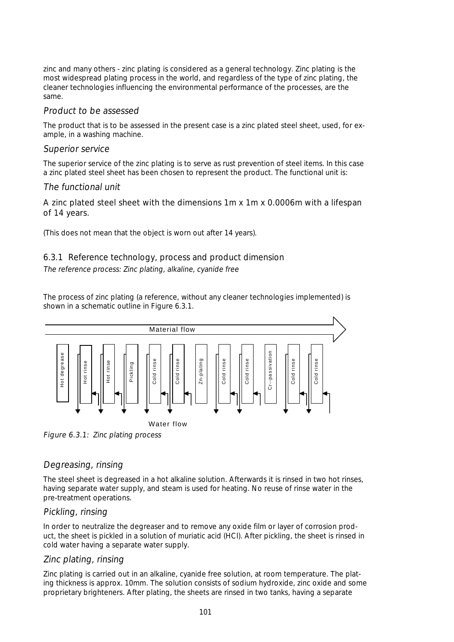zinc and many others - zinc plating is considered as a general technology. Zinc plating is the most widespread plating process in the world, and regardless of the type of zinc plating, the cleaner technologies influencing the environmental performance of the processes, are the same.

### Product to be assessed

The product that is to be assessed in the present case is a zinc plated steel sheet, used, for example, in a washing machine.

## Superior service

The superior service of the zinc plating is to serve as rust prevention of steel items. In this case a zinc plated steel sheet has been chosen to represent the product. The functional unit is:

## The functional unit

# A zinc plated steel sheet with the dimensions 1m x 1m x 0.0006m with a lifespan of 14 years.

(This does not mean that the object is worn out after 14 years).

# 6.3.1 Reference technology, process and product dimension

The reference process: Zinc plating, alkaline, cyanide free

The process of zinc plating (a reference, without any cleaner technologies implemented) is shown in a schematic outline in Figure 6.3.1.



Figure 6.3.1: Zinc plating process

# Degreasing, rinsing

The steel sheet is degreased in a hot alkaline solution. Afterwards it is rinsed in two hot rinses, having separate water supply, and steam is used for heating. No reuse of rinse water in the pre-treatment operations.

# Pickling, rinsing

In order to neutralize the degreaser and to remove any oxide film or layer of corrosion product, the sheet is pickled in a solution of muriatic acid (HCl). After pickling, the sheet is rinsed in cold water having a separate water supply.

# Zinc plating, rinsing

Zinc plating is carried out in an alkaline, cyanide free solution, at room temperature. The plating thickness is approx. 10mm. The solution consists of sodium hydroxide, zinc oxide and some proprietary brighteners. After plating, the sheets are rinsed in two tanks, having a separate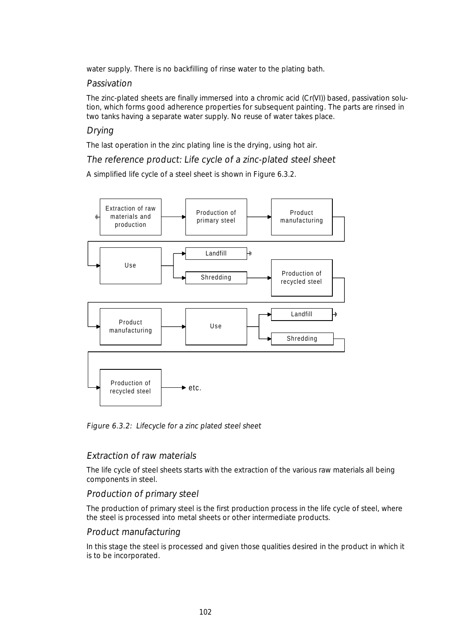water supply. There is no backfilling of rinse water to the plating bath.

### Passivation

The zinc-plated sheets are finally immersed into a chromic acid (Cr(VI)) based, passivation solution, which forms good adherence properties for subsequent painting. The parts are rinsed in two tanks having a separate water supply. No reuse of water takes place.

# Drying

The last operation in the zinc plating line is the drying, using hot air.

The reference product: Life cycle of a zinc-plated steel sheet

A simplified life cycle of a steel sheet is shown in Figure 6.3.2.



Figure 6.3.2: Lifecycle for a zinc plated steel sheet

#### Extraction of raw materials

The life cycle of steel sheets starts with the extraction of the various raw materials all being components in steel.

# Production of primary steel

The production of primary steel is the first production process in the life cycle of steel, where the steel is processed into metal sheets or other intermediate products.

# Product manufacturing

In this stage the steel is processed and given those qualities desired in the product in which it is to be incorporated.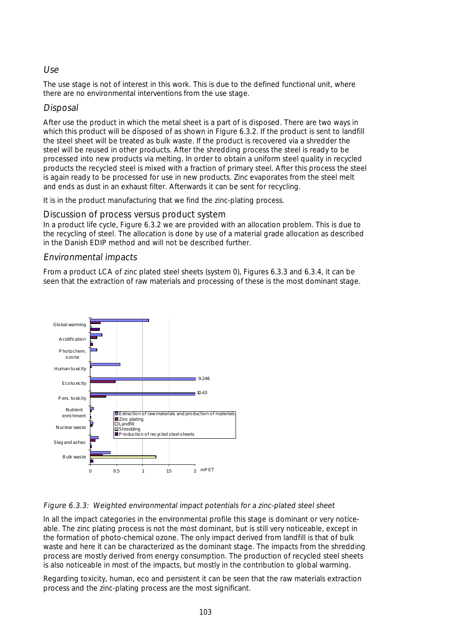## Use

The use stage is not of interest in this work. This is due to the defined functional unit, where there are no environmental interventions from the use stage.

### Disposal

After use the product in which the metal sheet is a part of is disposed. There are two ways in which this product will be disposed of as shown in Figure 6.3.2. If the product is sent to landfill the steel sheet will be treated as bulk waste. If the product is recovered via a shredder the steel will be reused in other products. After the shredding process the steel is ready to be processed into new products via melting. In order to obtain a uniform steel quality in recycled products the recycled steel is mixed with a fraction of primary steel. After this process the steel is again ready to be processed for use in new products. Zinc evaporates from the steel melt and ends as dust in an exhaust filter. Afterwards it can be sent for recycling.

It is in the product manufacturing that we find the zinc-plating process.

### Discussion of process versus product system

In a product life cycle, Figure 6.3.2 we are provided with an allocation problem. This is due to the recycling of steel. The allocation is done by use of a material grade allocation as described in the Danish EDIP method and will not be described further.

## Environmental impacts

From a product LCA of zinc plated steel sheets (system 0), Figures 6.3.3 and 6.3.4, it can be seen that the extraction of raw materials and processing of these is the most dominant stage.



#### Figure 6.3.3: Weighted environmental impact potentials for a zinc-plated steel sheet

In all the impact categories in the environmental profile this stage is dominant or very noticeable. The zinc plating process is not the most dominant, but is still very noticeable, except in the formation of photo-chemical ozone. The only impact derived from landfill is that of bulk waste and here it can be characterized as the dominant stage. The impacts from the shredding process are mostly derived from energy consumption. The production of recycled steel sheets is also noticeable in most of the impacts, but mostly in the contribution to global warming.

Regarding toxicity, human, eco and persistent it can be seen that the raw materials extraction process and the zinc-plating process are the most significant.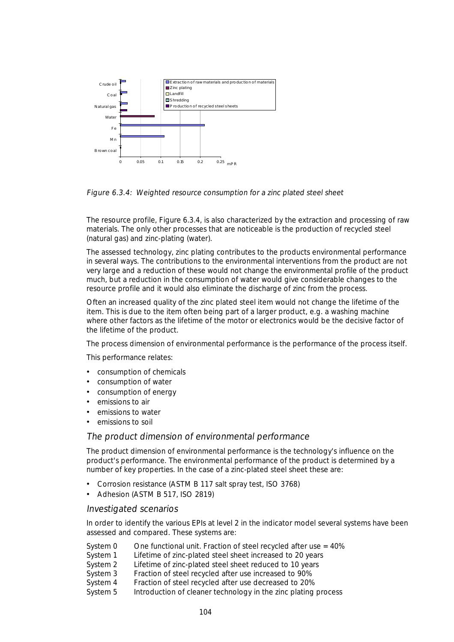

Figure 6.3.4: Weighted resource consumption for a zinc plated steel sheet

The resource profile, Figure 6.3.4, is also characterized by the extraction and processing of raw materials. The only other processes that are noticeable is the production of recycled steel (natural gas) and zinc-plating (water).

The assessed technology, zinc plating contributes to the products environmental performance in several ways. The contributions to the environmental interventions from the product are not very large and a reduction of these would not change the environmental profile of the product much, but a reduction in the consumption of water would give considerable changes to the resource profile and it would also eliminate the discharge of zinc from the process.

Often an increased quality of the zinc plated steel item would not change the lifetime of the item. This is due to the item often being part of a larger product, e.g. a washing machine where other factors as the lifetime of the motor or electronics would be the decisive factor of the lifetime of the product.

The process dimension of environmental performance is the performance of the process itself.

This performance relates:

- consumption of chemicals
- consumption of water
- consumption of energy
- emissions to air
- emissions to water
- emissions to soil

#### The product dimension of environmental performance

The product dimension of environmental performance is the technology's influence on the product's performance. The environmental performance of the product is determined by a number of key properties. In the case of a zinc-plated steel sheet these are:

- Corrosion resistance (ASTM B 117 salt spray test, ISO 3768)
- Adhesion (ASTM B 517, ISO 2819)

#### Investigated scenarios

In order to identify the various EPIs at level 2 in the indicator model several systems have been assessed and compared. These systems are:

- System  $0$  One functional unit. Fraction of steel recycled after use =  $40\%$
- System 1 Lifetime of zinc-plated steel sheet increased to 20 years
- System 2 Lifetime of zinc-plated steel sheet reduced to 10 years
- System 3 Fraction of steel recycled after use increased to 90%
- System 4 Fraction of steel recycled after use decreased to 20%
- System 5 Introduction of cleaner technology in the zinc plating process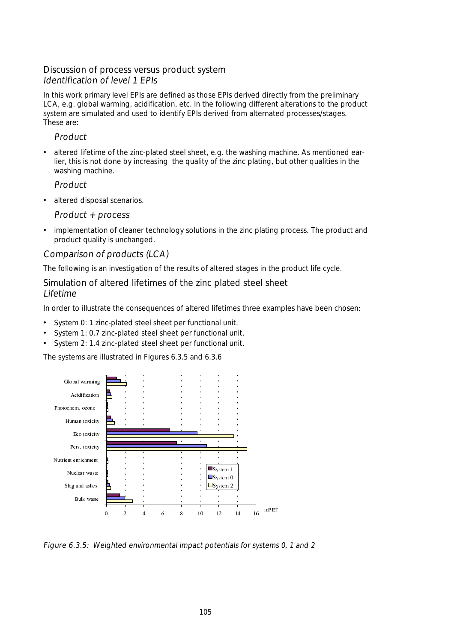# Discussion of process versus product system Identification of level 1 EPIs

In this work primary level EPIs are defined as those EPIs derived directly from the preliminary LCA, e.g. global warming, acidification, etc. In the following different alterations to the product system are simulated and used to identify EPIs derived from alternated processes/stages. These are:

## Product

• altered lifetime of the zinc-plated steel sheet, e.g. the washing machine. As mentioned earlier, this is not done by increasing the quality of the zinc plating, but other qualities in the washing machine.

**Product** 

• altered disposal scenarios.

Product + process

• implementation of cleaner technology solutions in the zinc plating process. The product and product quality is unchanged.

## Comparison of products (LCA)

The following is an investigation of the results of altered stages in the product life cycle.

Simulation of altered lifetimes of the zinc plated steel sheet Lifetime

In order to illustrate the consequences of altered lifetimes three examples have been chosen:

- System 0: 1 zinc-plated steel sheet per functional unit.
- System 1: 0.7 zinc-plated steel sheet per functional unit.
- System 2: 1.4 zinc-plated steel sheet per functional unit.

The systems are illustrated in Figures 6.3.5 and 6.3.6



Figure 6.3.5: Weighted environmental impact potentials for systems 0, 1 and 2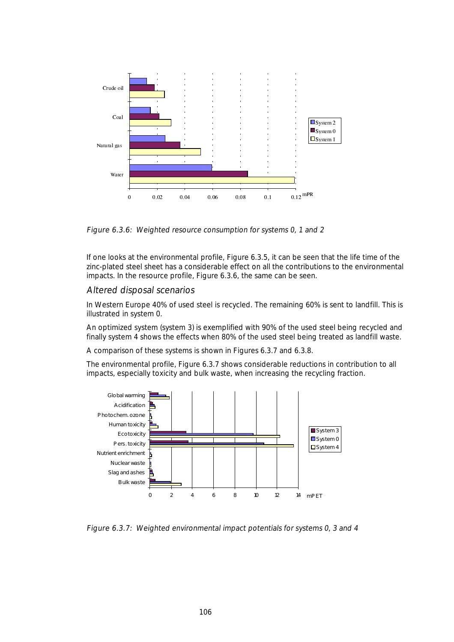

Figure 6.3.6: Weighted resource consumption for systems 0, 1 and 2

If one looks at the environmental profile, Figure 6.3.5, it can be seen that the life time of the zinc-plated steel sheet has a considerable effect on all the contributions to the environmental impacts. In the resource profile, Figure 6.3.6, the same can be seen.

#### Altered disposal scenarios

In Western Europe 40% of used steel is recycled. The remaining 60% is sent to landfill. This is illustrated in system 0.

An optimized system (system 3) is exemplified with 90% of the used steel being recycled and finally system 4 shows the effects when 80% of the used steel being treated as landfill waste.

A comparison of these systems is shown in Figures 6.3.7 and 6.3.8.

The environmental profile, Figure 6.3.7 shows considerable reductions in contribution to all impacts, especially toxicity and bulk waste, when increasing the recycling fraction.



Figure 6.3.7: Weighted environmental impact potentials for systems 0, 3 and 4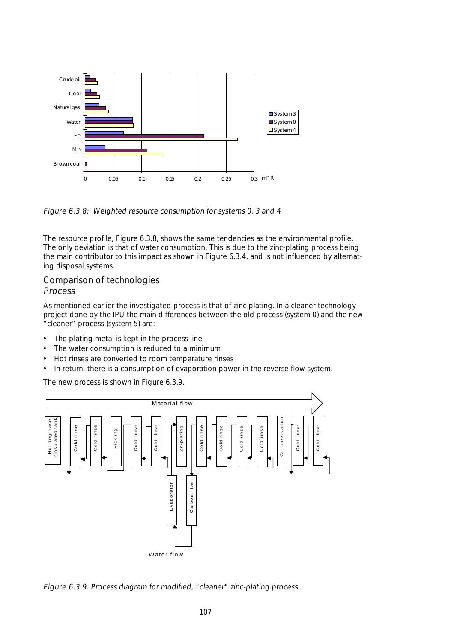

Figure 6.3.8: Weighted resource consumption for systems 0, 3 and 4

The resource profile, Figure 6.3.8, shows the same tendencies as the environmental profile. The only deviation is that of water consumption. This is due to the zinc-plating process being the main contributor to this impact as shown in Figure 6.3.4, and is not influenced by alternating disposal systems.

#### Comparison of technologies Process

As mentioned earlier the investigated process is that of zinc plating. In a cleaner technology project done by the IPU the main differences between the old process (system 0) and the new "cleaner" process (system 5) are:

- The plating metal is kept in the process line
- The water consumption is reduced to a minimum
- Hot rinses are converted to room temperature rinses
- In return, there is a consumption of evaporation power in the reverse flow system.

The new process is shown in Figure 6.3.9.



Figure 6.3.9: Process diagram for modified, "cleaner" zinc-plating process.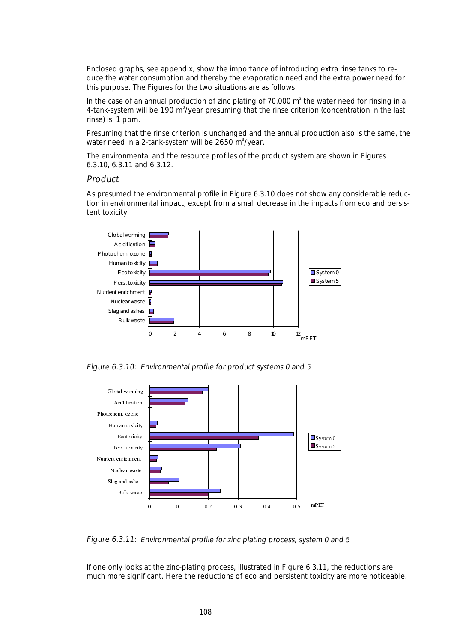Enclosed graphs, see appendix, show the importance of introducing extra rinse tanks to reduce the water consumption and thereby the evaporation need and the extra power need for this purpose. The Figures for the two situations are as follows:

In the case of an annual production of zinc plating of 70,000  $m^2$  the water need for rinsing in a 4-tank-system will be 190 m<sup>3</sup>/year presuming that the rinse criterion (concentration in the last rinse) is: 1 ppm.

Presuming that the rinse criterion is unchanged and the annual production also is the same, the water need in a 2-tank-system will be 2650 m<sup>3</sup>/year.

The environmental and the resource profiles of the product system are shown in Figures 6.3.10, 6.3.11 and 6.3.12.

#### Product

As presumed the environmental profile in Figure 6.3.10 does not show any considerable reduction in environmental impact, except from a small decrease in the impacts from eco and persistent toxicity.



Figure 6.3.10: Environmental profile for product systems 0 and 5





If one only looks at the zinc-plating process, illustrated in Figure 6.3.11, the reductions are much more significant. Here the reductions of eco and persistent toxicity are more noticeable.